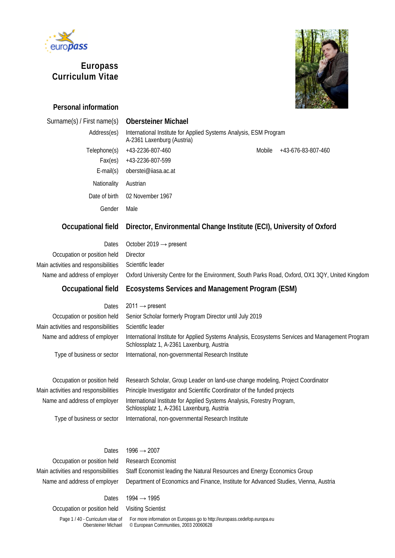

# **Europass Curriculum Vitae**



# **Personal information**

# Surname(s) / First name(s) **Obersteiner Michael**

| Address(es)                         | International Institute for Applied Systems Analysis, ESM Program<br>A-2361 Laxenburg (Austria)  |
|-------------------------------------|--------------------------------------------------------------------------------------------------|
| Telephone(s)                        | +43-2236-807-460<br>Mobile<br>+43-676-83-807-460                                                 |
| Fax(es)                             | +43-2236-807-599                                                                                 |
| $E$ -mail $(s)$                     | oberstei@iiasa.ac.at                                                                             |
| Nationality                         | Austrian                                                                                         |
| Date of birth                       | 02 November 1967                                                                                 |
| Gender                              | Male                                                                                             |
| <b>Occupational field</b>           | Director, Environmental Change Institute (ECI), University of Oxford                             |
| Dates                               | October 2019 $\rightarrow$ present                                                               |
| Occupation or position held         | <b>Director</b>                                                                                  |
| ain activities and responsibilities | Scientific leader                                                                                |
| Name and address of employer        | Oxford University Centre for the Environment, South Parks Road, Oxford, OX1 3QY, United Kingdom  |
| Occupational field                  | Ecosystems Services and Management Program (ESM)                                                 |
| Dates                               | $2011 \rightarrow$ present                                                                       |
| Occupation or position held         | Senior Scholar formerly Program Director until July 2019                                         |
| ain activities and responsibilities | Scientific leader                                                                                |
| Name and address of employer        | International Institute for Annlied Systems Analysis, Ecosystems Services and Management Program |

Main ac

| Dates                                | $2011 \rightarrow$ present                                                                                                                    |
|--------------------------------------|-----------------------------------------------------------------------------------------------------------------------------------------------|
| Occupation or position held          | Senior Scholar formerly Program Director until July 2019                                                                                      |
| Main activities and responsibilities | Scientific leader                                                                                                                             |
| Name and address of employer         | International Institute for Applied Systems Analysis, Ecosystems Services and Management Program<br>Schlossplatz 1, A-2361 Laxenburg, Austria |
| Type of business or sector           | International, non-governmental Research Institute                                                                                            |
|                                      |                                                                                                                                               |
| Occupation or position held          | Research Scholar, Group Leader on land-use change modeling. Project Coordinator                                                               |

| Occupation or position held          | Research Scholar, Group Leader on land-use change modeling, Project Coordinator                                      |
|--------------------------------------|----------------------------------------------------------------------------------------------------------------------|
| Main activities and responsibilities | Principle Investigator and Scientific Coordinator of the funded projects                                             |
| Name and address of employer         | International Institute for Applied Systems Analysis, Forestry Program,<br>Schlossplatz 1, A-2361 Laxenburg, Austria |
| Type of business or sector           | International, non-governmental Research Institute                                                                   |

Dates  $1996 \rightarrow 2007$ Occupation or position held Research Economist

Main activities and responsibilities Staff Economist leading the Natural Resources and Energy Economics Group Name and address of employer Department of Economics and Finance, Institute for Advanced Studies, Vienna, Austria

# Dates  $1994 \rightarrow 1995$

Occupation or position held Visiting Scientist

Page 1 / 40 - Curriculum vitae of Obersteiner Michael For more information on Europass go to http://europass.cedefop.europa.eu © European Communities, 2003 20060628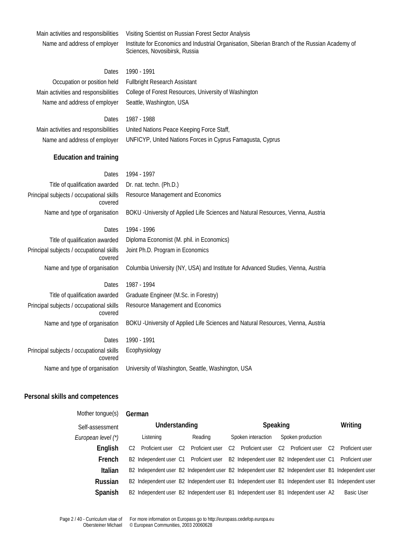Main activities and responsibilities Visiting Scientist on Russian Forest Sector Analysis

Name and address of employer Institute for Economics and Industrial Organisation, Siberian Branch of the Russian Academy of Sciences, Novosibirsk, Russia

# Dates 1990 - 1991

Name and address of employer Seattle, Washington, USA

Occupation or position held Fullbright Research Assistant Main activities and responsibilities College of Forest Resources, University of Washington

Dates 1987 - 1988 Main activities and responsibilities United Nations Peace Keeping Force Staff, Name and address of employer UNFICYP, United Nations Forces in Cyprus Famagusta, Cyprus

# **Education and training**

| Dates                                               | 1994 - 1997                                                                       |  |  |  |  |  |  |
|-----------------------------------------------------|-----------------------------------------------------------------------------------|--|--|--|--|--|--|
| Title of qualification awarded                      | Dr. nat. techn. (Ph.D.)                                                           |  |  |  |  |  |  |
| Principal subjects / occupational skills<br>covered | Resource Management and Economics                                                 |  |  |  |  |  |  |
| Name and type of organisation                       | BOKU - University of Applied Life Sciences and Natural Resources, Vienna, Austria |  |  |  |  |  |  |
| Dates                                               | 1994 - 1996                                                                       |  |  |  |  |  |  |
| Title of qualification awarded                      | Diploma Economist (M. phil. in Economics)                                         |  |  |  |  |  |  |
| Principal subjects / occupational skills<br>covered | Joint Ph.D. Program in Economics                                                  |  |  |  |  |  |  |
| Name and type of organisation                       | Columbia University (NY, USA) and Institute for Advanced Studies, Vienna, Austria |  |  |  |  |  |  |
| <b>Dates</b>                                        | 1987 - 1994                                                                       |  |  |  |  |  |  |
| Title of qualification awarded                      | Graduate Engineer (M.Sc. in Forestry)                                             |  |  |  |  |  |  |
| Principal subjects / occupational skills<br>covered | Resource Management and Economics                                                 |  |  |  |  |  |  |
| Name and type of organisation                       | BOKU - University of Applied Life Sciences and Natural Resources, Vienna, Austria |  |  |  |  |  |  |
| Dates                                               | 1990 - 1991                                                                       |  |  |  |  |  |  |
| Principal subjects / occupational skills<br>covered | Ecophysiology                                                                     |  |  |  |  |  |  |
| Name and type of organisation                       | University of Washington, Seattle, Washington, USA                                |  |  |  |  |  |  |

# **Personal skills and competences**

| Mother tonque(s)   | German         |                                                |                |                 |  |                                |                |                                                                                                     |         |                   |
|--------------------|----------------|------------------------------------------------|----------------|-----------------|--|--------------------------------|----------------|-----------------------------------------------------------------------------------------------------|---------|-------------------|
| Self-assessment    | Understanding  |                                                |                | Speaking        |  |                                |                |                                                                                                     | Writing |                   |
| European level (*) |                | Listening                                      |                | Reading         |  | Spoken interaction             |                | Spoken production                                                                                   |         |                   |
| English            | C <sub>2</sub> | Proficient user                                | C <sub>2</sub> | Proficient user |  | C <sub>2</sub> Proficient user | C <sub>2</sub> | Proficient user                                                                                     | C2      | Proficient user   |
| French             |                | B <sub>2</sub> Independent user C <sub>1</sub> |                | Proficient user |  |                                |                | B2 Independent user B2 Independent user C1 Proficient user                                          |         |                   |
| Italian            |                |                                                |                |                 |  |                                |                | B2 Independent user B2 Independent user B2 Independent user B2 Independent user B1 Independent user |         |                   |
| Russian            |                |                                                |                |                 |  |                                |                | B2 Independent user B2 Independent user B1 Independent user B1 Independent user B1 Independent user |         |                   |
| Spanish            |                |                                                |                |                 |  |                                |                | B2 Independent user B2 Independent user B1 Independent user B1 Independent user A2                  |         | <b>Basic User</b> |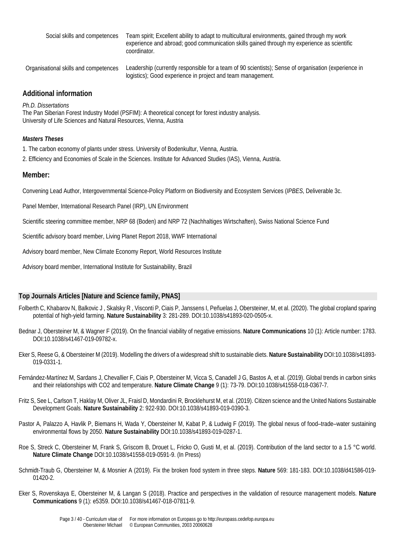| Social skills and competences         | Team spirit; Excellent ability to adapt to multicultural environments, gained through my work<br>experience and abroad; good communication skills gained through my experience as scientific<br>coordinator. |
|---------------------------------------|--------------------------------------------------------------------------------------------------------------------------------------------------------------------------------------------------------------|
| Organisational skills and competences | Leadership (currently responsible for a team of 90 scientists); Sense of organisation (experience in                                                                                                         |

logistics); Good experience in project and team management.

# **Additional information**

*Ph.D. Dissertations*

The Pan Siberian Forest Industry Model (PSFIM): A theoretical concept for forest industry analysis. University of Life Sciences and Natural Resources, Vienna, Austria

# *Masters Theses*

- 1. The carbon economy of plants under stress. University of Bodenkultur, Vienna, Austria.
- 2. Efficiency and Economies of Scale in the Sciences. Institute for Advanced Studies (IAS), Vienna, Austria.

# **Member:**

Convening Lead Author, Intergovernmental Science-Policy Platform on Biodiversity and Ecosystem Services (*IPBES*, Deliverable 3c.

Panel Member, International Research Panel (IRP), UN Environment

Scientific steering committee member, NRP 68 (Boden) and NRP 72 (Nachhaltiges Wirtschaften), Swiss National Science Fund

Scientific advisory board member, Living Planet Report 2018, WWF International

Advisory board member, New Climate Economy Report, World Resources Institute

Advisory board member, International Institute for Sustainability, Brazil

# **Top Journals Articles [Nature and Science family, PNAS]**

- Folberth C, Khabarov N, Balkovic J , Skalsky R , Visconti P, Ciais P, Janssens I, Peñuelas J, Obersteiner, M, et al. (2020). The global cropland sparing potential of high-yield farming. **Nature Sustainability** 3: 281-289. DOI:10.1038/s41893-020-0505-x.
- Bednar J, Obersteiner M, & Wagner F (2019). On the financial viability of negative emissions. **Nature Communications** 10 (1): Article number: 1783. DOI:10.1038/s41467-019-09782-x.
- Eker S, Reese G, & Obersteiner M (2019). Modelling the drivers of a widespread shift to sustainable diets. **Nature Sustainability** DOI:10.1038/s41893- 019-0331-1.
- Fernández-Martínez M, Sardans J, Chevallier F, Ciais P, Obersteiner M, Vicca S, Canadell J G, Bastos A, et al. (2019). Global trends in carbon sinks and their relationships with CO2 and temperature. **Nature Climate Change** 9 (1): 73-79. DOI:10.1038/s41558-018-0367-7.
- Fritz S, See L, Carlson T, Haklay M, Oliver JL, Fraisl D, Mondardini R, Brocklehurst M, et al. (2019). Citizen science and the United Nations Sustainable Development Goals. **Nature Sustainability** 2: 922-930. DOI:10.1038/s41893-019-0390-3.
- Pastor A, Palazzo A, Havlik P, Biemans H, Wada Y, Obersteiner M, Kabat P, & Ludwig F (2019). The global nexus of food–trade–water sustaining environmental flows by 2050. **Nature Sustainability** DOI:10.1038/s41893-019-0287-1.
- Roe S, Streck C, Obersteiner M, Frank S, Griscom B, Drouet L, Fricko O, Gusti M, et al. (2019). Contribution of the land sector to a 1.5 °C world. **Nature Climate Change** DOI:10.1038/s41558-019-0591-9. (In Press)
- Schmidt-Traub G, Obersteiner M, & Mosnier A (2019). Fix the broken food system in three steps. **Nature** 569: 181-183. DOI:10.1038/d41586-019- 01420-2.
- Eker S, Rovenskaya E, Obersteiner M, & Langan S (2018). Practice and perspectives in the validation of resource management models. **Nature Communications** 9 (1): e5359. DOI:10.1038/s41467-018-07811-9.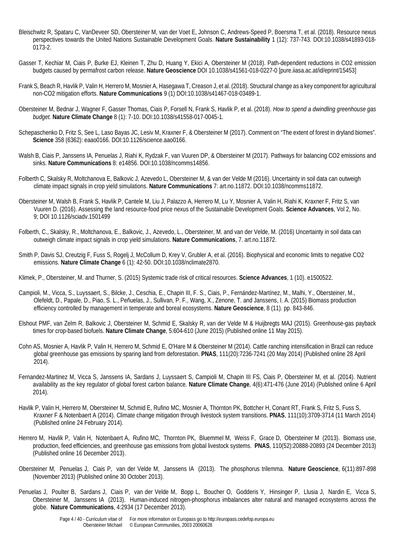- Bleischwitz R, Spataru C, VanDeveer SD, Obersteiner M, van der Voet E, Johnson C, Andrews-Speed P, Boersma T, et al. (2018). Resource nexus perspectives towards the United Nations Sustainable Development Goals. **Nature Sustainability** 1 (12): 737-743. DOI:10.1038/s41893-018- 0173-2.
- Gasser T, Kechiar M, Ciais P, Burke EJ, Kleinen T, Zhu D, Huang Y, Ekici A, Obersteiner M (2018). Path-dependent reductions in CO2 emission budgets caused by permafrost carbon release. **Nature Geoscience** DOI 10.1038/s41561-018-0227-0 [pure.iiasa.ac.at/id/eprint/15453]
- Frank S, Beach R, Havlik P, Valin H, Herrero M, Mosnier A, Hasegawa T, Creason J, et al. (2018). Structural change as a key component for agricultural non-CO2 mitigation efforts. **Nature Communications** 9 (1) DOI:10.1038/s41467-018-03489-1.
- [Obersteiner M,](http://pure.iiasa.ac.at/view/iiasa/219.html) Bednar J[, Wagner F,](http://pure.iiasa.ac.at/view/iiasa/321.html) Gasser Thomas, Ciais P, [Forsell N,](http://pure.iiasa.ac.at/view/iiasa/93.html) [Frank S,](http://pure.iiasa.ac.at/view/iiasa/94.html) [Havlik P,](http://pure.iiasa.ac.at/view/iiasa/119.html) et al. (2018). *[How to spend a dwindling greenhouse gas](http://pure.iiasa.ac.at/15031/)  [budget.](http://pure.iiasa.ac.at/15031/)* **Nature Climate Change** 8 (1): 7-10. DOI[:10.1038/s41558-017-0045-1.](http://doi.org/10.1038/s41558-017-0045-1)
- Schepaschenko D, Fritz S, See L, Laso Bayas JC, Lesiv M, Kraxner F, & Obersteiner M (2017). Comment on "The extent of forest in dryland biomes". **Science** 358 (6362): eaao0166. DOI:10.1126/science.aao0166.
- Walsh B, Ciais P, Janssens IA, Penuelas J, Riahi K, Rydzak F, van Vuuren DP, & Obersteiner M (2017). Pathways for balancing CO2 emissions and sinks. **Nature Communications** 8: e14856. DOI:10.1038/ncomms14856.
- Folberth C, Skalsky R, Moltchanova E, Balkovic J, Azevedo L, Obersteiner M, & van der Velde M (2016). Uncertainty in soil data can outweigh climate impact signals in crop yield simulations. **Nature Communications** 7: art.no.11872. DOI:10.1038/ncomms11872.
- Obersteiner M, Walsh B, Frank S, Havlik P, Cantele M, Liu J, Palazzo A, Herrero M, Lu Y, Mosnier A, Valin H, Riahi K, Kraxner F, Fritz S, van Vuuren D. (2016). Assessing the land resource-food price nexus of the Sustainable Development Goals. **Science Advances**, Vol 2, No. 9; DOI 10.1126/sciadv.1501499
- Folberth, C., Skalsky, R., Moltchanova, E., Balkovic, J., Azevedo, L., Obersteiner, M. and van der Velde, M. (2016) Uncertainty in soil data can outweigh climate impact signals in crop yield simulations. **Nature Communications**, 7. art.no.11872.
- Smith P, Davis SJ, Creutzig F, Fuss S, Rogelj J, McCollum D, Krey V, Grubler A, et al. (2016). Biophysical and economic limits to negative CO2 emissions. **Nature Climate Change** 6 (1): 42-50. DOI:10.1038/nclimate2870.
- Klimek, P., Obersteiner, M. and Thurner, S. (2015) Systemic trade risk of critical resources. **Science Advances**, 1 (10). e1500522.
- Campioli, M., Vicca, S., Luyssaert, S., Bilcke, J., Ceschia, E., Chapin III, F. S., Ciais, P., Fernández-Martínez, M., Malhi, Y., Obersteiner, M., Olefeldt, D., Papale, D., Piao, S. L., Peñuelas, J., Sullivan, P. F., Wang, X., Zenone, T. and Janssens, I. A. (2015) Biomass production efficiency controlled by management in temperate and boreal ecosystems. **Nature Geoscience**, 8 (11). pp. 843-846.
- Elshout PMF, van Zelm R, Balkovic J, Obersteiner M, Schmid E, Skalsky R, van der Velde M & Huijbregts MAJ (2015). Greenhouse-gas payback times for crop-based biofuels. **Nature Climate Change**, 5:604-610 (June 2015) (Published online 11 May 2015).
- Cohn AS, Mosnier A, Havlik P, Valin H, Herrero M, Schmid E, O'Hare M & Obersteiner M (2014). Cattle ranching intensification in Brazil can reduce global greenhouse gas emissions by sparing land from deforestation. **PNAS**, 111(20):7236-7241 (20 May 2014) (Published online 28 April 2014).
- Fernandez-Martinez M, Vicca S, Janssens IA, Sardans J, Luyssaert S, Campioli M, Chapin III FS, Ciais P, Obersteiner M, et al. (2014). Nutrient availability as the key regulator of global forest carbon balance. **Nature Climate Change**, 4(6):471-476 (June 2014) (Published online 6 April 2014).
- Havlik P, Valin H, Herrero M, Obersteiner M, Schmid E, Rufino MC, Mosnier A, Thornton PK, Bottcher H, Conant RT, Frank S, Fritz S, Fuss S, Kraxner F & Notenbaert A (2014). Climate change mitigation through livestock system transitions. **PNAS**, 111(10):3709-3714 (11 March 2014) (Published online 24 February 2014).
- Herrero M, Havlik P, Valin H, Notenbaert A, Rufino MC, Thornton PK, Bluemmel M, Weiss F, Grace D, Obersteiner M (2013). Biomass use, production, feed efficiencies, and greenhouse gas emissions from global livestock systems. **PNAS**, 110(52):20888-20893 (24 December 2013) (Published online 16 December 2013).
- Obersteiner M, Penuelas J, Ciais P, van der Velde M, Janssens IA (2013). The phosphorus trilemma. **Nature Geoscience**, 6(11):897-898 (November 2013) (Published online 30 October 2013).
- Penuelas J, Poulter B, Sardans J, Ciais P, van der Velde M, Bopp L, Boucher O, Godderis Y, Hinsinger P, Llusia J, Nardin E, Vicca S, Obersteiner M, Janssens IA (2013). Human-induced nitrogen-phosphorus imbalances alter natural and managed ecosystems across the globe. **Nature Communications**, 4:2934 (17 December 2013).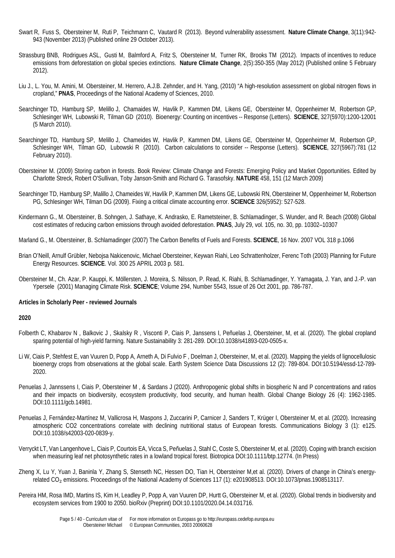- Swart R, Fuss S, Obersteiner M, Ruti P, Teichmann C, Vautard R (2013). Beyond vulnerability assessment. **Nature Climate Change**, 3(11):942- 943 (November 2013) (Published online 29 October 2013).
- Strassburg BNB, Rodrigues ASL, Gusti M, Balmford A, Fritz S, Obersteiner M, Turner RK, Brooks TM (2012). Impacts of incentives to reduce emissions from deforestation on global species extinctions. **Nature Climate Change**, 2(5):350-355 (May 2012) (Published online 5 February 2012).
- Liu J., L. You, M. Amini, M. Obersteiner, M. Herrero, A.J.B. Zehnder, and H. Yang, (2010) "A high-resolution assessment on global nitrogen flows in cropland," **PNAS**, Proceedings of the National Academy of Sciences, 2010.
- Searchinger TD, Hamburg SP, Melillo J, Chamaides W, Havlik P, Kammen DM, Likens GE, Obersteiner M, Oppenheimer M, Robertson GP, Schlesinger WH, Lubowski R, Tilman GD (2010). Bioenergy: Counting on incentives -- Response (Letters). **SCIENCE**, 327(5970):1200-12001 (5 March 2010).
- Searchinger TD, Hamburg SP, Melillo J, Chameides W, Havlik P, Kammen DM, Likens GE, Obersteiner M, Oppenheimer M, Robertson GP, Schlesinger WH, Tilman GD, Lubowski R (2010). Carbon calculations to consider -- Response (Letters). **SCIENCE**, 327(5967):781 (12 February 2010).
- Obersteiner M. (2009) Storing carbon in forests. Book Review: Climate Change and Forests: Emerging Policy and Market Opportunities. Edited by Charlotte Streck, Robert O'Sullivan, Toby Janson-Smith and Richard G. Tarasofsky. **NATURE** 458, 151 (12 March 2009)
- Searchinger TD, Hamburg SP, Malillo J, Chameides W, Havlík P, Kammen DM, Likens GE, Lubowski RN, Obersteiner M, Oppenheimer M, Robertson PG, Schlesinger WH, Tilman DG (2009). Fixing a critical climate accounting error. **SCIENCE** 326(5952): 527-528.
- Kindermann G., M. Obersteiner, B. Sohngen, J. Sathaye, K. Andrasko, E. Rametsteiner, B. Schlamadinger, S. Wunder, and R. Beach (2008) Global cost estimates of reducing carbon emissions through avoided deforestation. **PNAS**, July 29, vol. 105, no. 30, pp. 10302–10307
- Marland G., M. Obersteiner, B. Schlamadinger (2007) The Carbon Benefits of Fuels and Forests. **SCIENCE**, 16 Nov. 2007 VOL 318 p.1066
- Brian O'Neill, Arnulf Grübler, Nebojsa Nakicenovic, Michael Obersteiner, Keywan Riahi, Leo Schrattenholzer, Ferenc Toth (2003) Planning for Future Energy Resources. **SCIENCE**. Vol. 300 25 APRIL 2003 p. 581.
- Obersteiner M., Ch. Azar, P. Kauppi, K. Möllersten, J. Moreira, S. Nilsson, P. Read, K. Riahi, B. Schlamadinger, Y. Yamagata, J. Yan, and J.-P. van Ypersele (2001) Managing Climate Risk. **SCIENCE**; Volume 294, Number 5543, Issue of 26 Oct 2001, pp. 786-787.

#### **Articles in Scholarly Peer - reviewed Journals**

- Folberth C, Khabarov N , Balkovic J , Skalsky R , Visconti P, Ciais P, Janssens I, Peñuelas J, Obersteiner, M, et al. (2020). The global cropland sparing potential of high-yield farming. Nature Sustainability 3: 281-289. DOI:10.1038/s41893-020-0505-x.
- Li W, Ciais P, Stehfest E, van Vuuren D, Popp A, Arneth A, Di Fulvio F , Doelman J, Obersteiner, M, et al. (2020). Mapping the yields of lignocellulosic bioenergy crops from observations at the global scale. Earth System Science Data Discussions 12 (2): 789-804. DOI:10.5194/essd-12-789- 2020.
- Penuelas J, Jannssens I, Ciais P, Obersteiner M , & Sardans J (2020). Anthropogenic global shifts in biospheric N and P concentrations and ratios and their impacts on biodiversity, ecosystem productivity, food security, and human health. Global Change Biology 26 (4): 1962-1985. DOI:10.1111/gcb.14981.
- Penuelas J, Fernández-Martínez M, Vallicrosa H, Maspons J, Zuccarini P, Carnicer J, Sanders T, Krüger I, Obersteiner M, et al. (2020). Increasing atmospheric CO2 concentrations correlate with declining nutritional status of European forests. Communications Biology 3 (1): e125. DOI:10.1038/s42003-020-0839-y.
- Verryckt LT, Van Langenhove L, Ciais P, Courtois EA, Vicca S, Peñuelas J, Stahl C, Coste S, Obersteiner M, et al. (2020). Coping with branch excision when measuring leaf net photosynthetic rates in a lowland tropical forest. Biotropica DOI:10.1111/btp.12774. (In Press)
- Zheng X, Lu Y, Yuan J, Baninla Y, Zhang S, Stenseth NC, Hessen DO, Tian H, Obersteiner M,et al. (2020). Drivers of change in China's energyrelated CO₂ emissions. Proceedings of the National Academy of Sciences 117 (1): e201908513. DOI:10.1073/pnas.1908513117.
- Pereira HM, Rosa IMD, Martins IS, Kim H, Leadley P, Popp A, van Vuuren DP, Hurtt G, Obersteiner M, et al. (2020). Global trends in biodiversity and ecosystem services from 1900 to 2050. bioRxiv (Preprint) DOI:10.1101/2020.04.14.031716.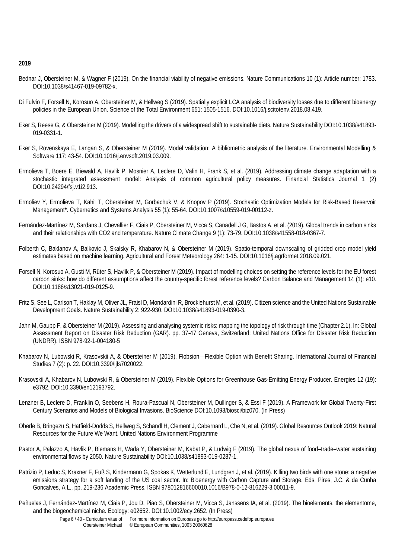- Bednar J, Obersteiner M, & Wagner F (2019). On the financial viability of negative emissions. Nature Communications 10 (1): Article number: 1783. DOI:10.1038/s41467-019-09782-x.
- Di Fulvio F, Forsell N, Korosuo A, Obersteiner M, & Hellweg S (2019). Spatially explicit LCA analysis of biodiversity losses due to different bioenergy policies in the European Union. Science of the Total Environment 651: 1505-1516. DOI:10.1016/j.scitotenv.2018.08.419.
- Eker S, Reese G, & Obersteiner M (2019). Modelling the drivers of a widespread shift to sustainable diets. Nature Sustainability DOI:10.1038/s41893- 019-0331-1.
- Eker S, Rovenskaya E, Langan S, & Obersteiner M (2019). Model validation: A bibliometric analysis of the literature. Environmental Modelling & Software 117: 43-54. DOI:10.1016/j.envsoft.2019.03.009.
- Ermolieva T, Boere E, Biewald A, Havlik P, Mosnier A, Leclere D, Valin H, Frank S, et al. (2019). Addressing climate change adaptation with a stochastic integrated assessment model: Analysis of common agricultural policy measures. Financial Statistics Journal 1 (2) DOI:10.24294/fsj.v1i2.913.
- Ermoliev Y, Ermolieva T, Kahil T, Obersteiner M, Gorbachuk V, & Knopov P (2019). Stochastic Optimization Models for Risk-Based Reservoir Management\*. Cybernetics and Systems Analysis 55 (1): 55-64. DOI:10.1007/s10559-019-00112-z.
- Fernández-Martínez M, Sardans J, Chevallier F, Ciais P, Obersteiner M, Vicca S, Canadell J G, Bastos A, et al. (2019). Global trends in carbon sinks and their relationships with CO2 and temperature. Nature Climate Change 9 (1): 73-79. DOI:10.1038/s41558-018-0367-7.
- Folberth C, Baklanov A, Balkovic J, Skalsky R, Khabarov N, & Obersteiner M (2019). Spatio-temporal downscaling of gridded crop model yield estimates based on machine learning. Agricultural and Forest Meteorology 264: 1-15. DOI:10.1016/j.agrformet.2018.09.021.
- Forsell N, Korosuo A, Gusti M, Rüter S, Havlik P, & Obersteiner M (2019). Impact of modelling choices on setting the reference levels for the EU forest carbon sinks: how do different assumptions affect the country-specific forest reference levels? Carbon Balance and Management 14 (1): e10. DOI:10.1186/s13021-019-0125-9.
- Fritz S, See L, Carlson T, Haklay M, Oliver JL, Fraisl D, Mondardini R, Brocklehurst M, et al. (2019). Citizen science and the United Nations Sustainable Development Goals. Nature Sustainability 2: 922-930. DOI:10.1038/s41893-019-0390-3.
- Jahn M, Gaupp F, & Obersteiner M (2019). Assessing and analysing systemic risks: mapping the topology of risk through time (Chapter 2.1). In: Global Assessment Report on Disaster Risk Reduction (GAR). pp. 37-47 Geneva, Switzerland: United Nations Office for Disaster Risk Reduction (UNDRR). ISBN 978-92-1-004180-5
- Khabarov N, Lubowski R, Krasovskii A, & Obersteiner M (2019). Flobsion—Flexible Option with Benefit Sharing. International Journal of Financial Studies 7 (2): p. 22. DOI:10.3390/ijfs7020022.
- Krasovskii A, Khabarov N, Lubowski R, & Obersteiner M (2019). Flexible Options for Greenhouse Gas-Emitting Energy Producer. Energies 12 (19): e3792. DOI:10.3390/en12193792.
- Lenzner B, Leclere D, Franklin O, Seebens H, Roura-Pascual N, Obersteiner M, Dullinger S, & Essl F (2019). A Framework for Global Twenty-First Century Scenarios and Models of Biological Invasions. BioScience DOI:10.1093/biosci/biz070. (In Press)
- Oberle B, Bringezu S, Hatfield-Dodds S, Hellweg S, Schandl H, Clement J, Cabernard L, Che N, et al. (2019). Global Resources Outlook 2019: Natural Resources for the Future We Want. United Nations Environment Programme
- Pastor A, Palazzo A, Havlik P, Biemans H, Wada Y, Obersteiner M, Kabat P, & Ludwig F (2019). The global nexus of food–trade–water sustaining environmental flows by 2050. Nature Sustainability DOI:10.1038/s41893-019-0287-1.
- Patrizio P, Leduc S, Kraxner F, Fuß S, Kindermann G, Spokas K, Wetterlund E, Lundgren J, et al. (2019). Killing two birds with one stone: a negative emissions strategy for a soft landing of the US coal sector. In: Bioenergy with Carbon Capture and Storage. Eds. Pires, J.C. & da Cunha Goncalves, A.L., pp. 219-236 Academic Press. ISBN 978012816600010.1016/B978-0-12-816229-3.00011-9.
- Peñuelas J, Fernández‐Martínez M, Ciais P, Jou D, Piao S, Obersteiner M, Vicca S, Janssens IA, et al. (2019). The bioelements, the elementome, and the biogeochemical niche. Ecology: e02652. DOI:10.1002/ecy.2652. (In Press)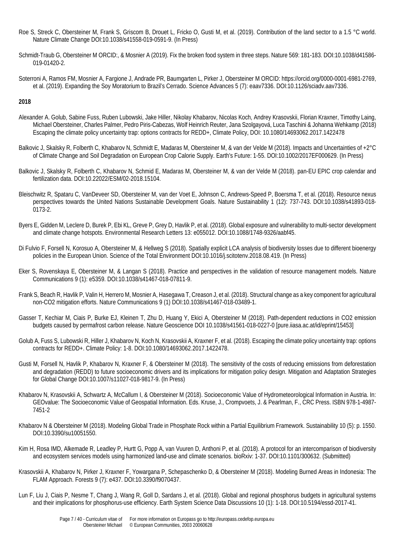- Roe S, Streck C, Obersteiner M, Frank S, Griscom B, Drouet L, Fricko O, Gusti M, et al. (2019). Contribution of the land sector to a 1.5 °C world. Nature Climate Change DOI:10.1038/s41558-019-0591-9. (In Press)
- Schmidt-Traub G, Obersteiner M ORCID:, & Mosnier A (2019). Fix the broken food system in three steps. Nature 569: 181-183. DOI:10.1038/d41586- 019-01420-2.
- Soterroni A, Ramos FM, Mosnier A, Fargione J, Andrade PR, Baumgarten L, Pirker J, Obersteiner M ORCID: https://orcid.org/0000-0001-6981-2769, et al. (2019). Expanding the Soy Moratorium to Brazil's Cerrado. Science Advances 5 (7): eaav7336. DOI:10.1126/sciadv.aav7336.

- Alexander A. Golub, Sabine Fuss, Ruben Lubowski, Jake Hiller, Nikolay Khabarov, Nicolas Koch, Andrey Krasovskii, Florian Kraxner, Timothy Laing, Michael Obersteiner, Charles Palmer, Pedro Piris-Cabezas, Wolf Heinrich Reuter, Jana Szolgayová, Luca Taschini & Johanna Wehkamp (2018) Escaping the climate policy uncertainty trap: options contracts for REDD+, Climate Policy, DOI: 10.1080/14693062.2017.1422478
- [Balkovic J,](http://pure.iiasa.ac.at/view/iiasa/23.html) [Skalsky R,](http://pure.iiasa.ac.at/view/iiasa/287.html) [Folberth C,](http://pure.iiasa.ac.at/view/iiasa/92.html) [Khabarov N,](http://pure.iiasa.ac.at/view/iiasa/151.html) [Schmidt E,](http://pure.iiasa.ac.at/view/iiasa/2362.html) [Madaras M,](http://pure.iiasa.ac.at/view/iiasa/2598.html) [Obersteiner M,](http://pure.iiasa.ac.at/view/iiasa/219.html) & [van der Velde M](http://pure.iiasa.ac.at/view/iiasa/1631.html) (2018). [Impacts and Uncertainties of +2°C](http://pure.iiasa.ac.at/15118/)  [of Climate Change and Soil Degradation on European Crop Calorie Supply.](http://pure.iiasa.ac.at/15118/) Earth's Future: 1-55. DO[I:10.1002/2017EF000629.](http://doi.org/10.1002/2017EF000629) (In Press)
- [Balkovic J,](http://pure.iiasa.ac.at/view/iiasa/23.html) [Skalsky R,](http://pure.iiasa.ac.at/view/iiasa/287.html) [Folberth C,](http://pure.iiasa.ac.at/view/iiasa/92.html) [Khabarov N,](http://pure.iiasa.ac.at/view/iiasa/151.html) Schmid E, Madaras M, [Obersteiner M,](http://pure.iiasa.ac.at/view/iiasa/219.html) & van der Velde M (2018). [pan-EU EPIC crop calendar and](http://pure.iiasa.ac.at/15104/)  [fertilization data.](http://pure.iiasa.ac.at/15104/) DO[I:10.22022/ESM/02-2018.15104.](http://doi.org/10.22022/ESM/02-2018.15104)
- Bleischwitz R, Spataru C, VanDeveer SD, Obersteiner M, van der Voet E, Johnson C, Andrews-Speed P, Boersma T, et al. (2018). Resource nexus perspectives towards the United Nations Sustainable Development Goals. Nature Sustainability 1 (12): 737-743. DOI:10.1038/s41893-018- 0173-2.
- Byers E, Gidden M, Leclere D, Burek P, Ebi KL, Greve P, Grey D, Havlik P, et al. (2018). Global exposure and vulnerability to multi-sector development and climate change hotspots. Environmental Research Letters 13: e055012. DOI:10.1088/1748-9326/aabf45.
- Di Fulvio F, Forsell N, Korosuo A, Obersteiner M, & Hellweg S (2018). Spatially explicit LCA analysis of biodiversity losses due to different bioenergy policies in the European Union. Science of the Total Environment DOI:10.1016/j.scitotenv.2018.08.419. (In Press)
- Eker S, Rovenskaya E, Obersteiner M, & Langan S (2018). Practice and perspectives in the validation of resource management models. Nature Communications 9 (1): e5359. DOI:10.1038/s41467-018-07811-9.
- Frank S, Beach R, Havlik P, Valin H, Herrero M, Mosnier A, Hasegawa T, Creason J, et al. (2018). Structural change as a key component for agricultural non-CO2 mitigation efforts. Nature Communications 9 (1) DOI:10.1038/s41467-018-03489-1.
- Gasser T, Kechiar M, Ciais P, Burke EJ, Kleinen T, Zhu D, Huang Y, Ekici A, Obersteiner M (2018). Path-dependent reductions in CO2 emission budgets caused by permafrost carbon release. Nature Geoscience DOI 10.1038/s41561-018-0227-0 [pure.iiasa.ac.at/id/eprint/15453]
- Golub A, Fuss S, Lubowski R, Hiller J, Khabarov N, Koch N, Krasovskii A, Kraxner F, et al. (2018). Escaping the climate policy uncertainty trap: options contracts for REDD+. Climate Policy: 1-8. DOI:10.1080/14693062.2017.1422478.
- Gusti M, Forsell N, Havlik P, Khabarov N, Kraxner F, & Obersteiner M (2018). The sensitivity of the costs of reducing emissions from deforestation and degradation (REDD) to future socioeconomic drivers and its implications for mitigation policy design. Mitigation and Adaptation Strategies for Global Change DOI:10.1007/s11027-018-9817-9. (In Press)
- [Khabarov N,](http://pure.iiasa.ac.at/view/iiasa/151.html) [Krasovskii A,](http://pure.iiasa.ac.at/view/iiasa/164.html) [Schwartz A,](http://pure.iiasa.ac.at/view/iiasa/275.html) [McCallum I,](http://pure.iiasa.ac.at/view/iiasa/202.html) & [Obersteiner M](http://pure.iiasa.ac.at/view/iiasa/219.html) (2018). [Socioeconomic Value of Hydrometeorological Information in Austria.](http://pure.iiasa.ac.at/14973/) In: GEOvalue: The Socioeconomic Value of Geospatial Information. Eds. Kruse, J., Crompvoets, J. & Pearlman, F., CRC Press. ISBN 978-1-4987- 7451-2
- Khabarov N & Obersteiner M (2018). Modeling Global Trade in Phosphate Rock within a Partial Equilibrium Framework. Sustainability 10 (5): p. 1550. DOI:10.3390/su10051550.
- Kim H, Rosa IMD, Alkemade R, Leadley P, Hurtt G, Popp A, van Vuuren D, Anthoni P, et al. (2018). A protocol for an intercomparison of biodiversity and ecosystem services models using harmonized land-use and climate scenarios. bioRxiv: 1-37. DOI:10.1101/300632. (Submitted)
- Krasovskii A, Khabarov N, Pirker J, Kraxner F, Yowargana P, Schepaschenko D, & Obersteiner M (2018). Modeling Burned Areas in Indonesia: The FLAM Approach. Forests 9 (7): e437. DOI:10.3390/f9070437.
- Lun F, [Liu J,](http://pure.iiasa.ac.at/view/iiasa/184.html) Ciais P, Nesme T, Chang J, Wang R, Goll D, Sardans J, et al. (2018)[. Global and regional phosphorus budgets in agricultural systems](http://pure.iiasa.ac.at/14686/)  [and their implications for phosphorus-use efficiency.](http://pure.iiasa.ac.at/14686/) Earth System Science Data Discussions 10 (1): 1-18. DOI[:10.5194/essd-2017-41.](http://doi.org/10.5194/essd-2017-41)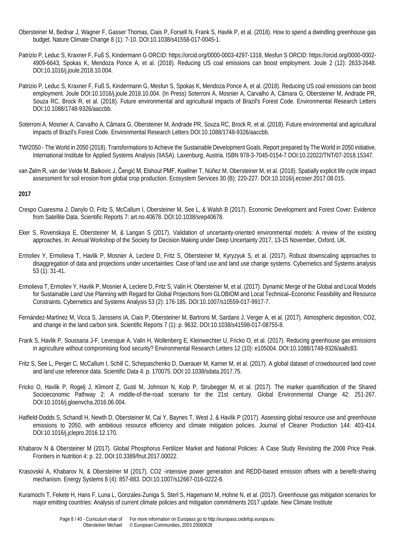- [Obersteiner M,](http://pure.iiasa.ac.at/view/iiasa/219.html) Bednar J[, Wagner F,](http://pure.iiasa.ac.at/view/iiasa/321.html) Gasser Thomas, Ciais P, [Forsell N,](http://pure.iiasa.ac.at/view/iiasa/93.html) [Frank S,](http://pure.iiasa.ac.at/view/iiasa/94.html) [Havlik P,](http://pure.iiasa.ac.at/view/iiasa/119.html) et al. (2018). [How to spend a dwindling greenhouse gas](http://pure.iiasa.ac.at/15031/)  [budget.](http://pure.iiasa.ac.at/15031/) Nature Climate Change 8 (1): 7-10. DO[I:10.1038/s41558-017-0045-1.](http://doi.org/10.1038/s41558-017-0045-1)
- Patrizio P, Leduc S, Kraxner F, Fuß S, Kindermann G ORCID: https://orcid.org/0000-0003-4297-1318, Mesfun S ORCID: https://orcid.org/0000-0002- 4909-6643, Spokas K, Mendoza Ponce A, et al. (2018). Reducing US coal emissions can boost employment. Joule 2 (12): 2633-2648. DOI:10.1016/j.joule.2018.10.004.
- Patrizio P, Leduc S, Kraxner F, Fuß S, Kindermann G, Mesfun S, Spokas K, Mendoza Ponce A, et al. (2018). Reducing US coal emissions can boost employment. Joule DOI:10.1016/j.joule.2018.10.004. (In Press) Soterroni A, Mosnier A, Carvalho A, Câmara G, Obersteiner M, Andrade PR, Souza RC, Brock R, et al. (2018). Future environmental and agricultural impacts of Brazil's Forest Code. Environmental Research Letters DOI:10.1088/1748-9326/aaccbb.
- Soterroni A, Mosnier A, Carvalho A, Câmara G, Obersteiner M, Andrade PR, Souza RC, Brock R, et al. (2018). Future environmental and agricultural impacts of Brazil's Forest Code. Environmental Research Letters DOI:10.1088/1748-9326/aaccbb.
- TWI2050 The World in 2050 (2018). Transformations to Achieve the Sustainable Development Goals. Report prepared by The World in 2050 initiative. International Institute for Applied Systems Analysis (IIASA). Laxenburg, Austria. ISBN 978-3-7045-0154-7 DOI:10.22022/TNT/07-2018.15347.
- van Zelm R, van der Velde M, Balkovic J, Čengić M, Elshout PMF, Koellner T, Núñez M, Obersteiner M, et al. (2018). Spatially explicit life cycle impact assessment for soil erosion from global crop production. Ecosystem Services 30 (B): 220-227. DOI:10.1016/j.ecoser.2017.08.015.

- Crespo Cuaresma J, Danylo O, Fritz S, McCallum I, Obersteiner M, See L, & Walsh B (2017). Economic Development and Forest Cover: Evidence from Satellite Data. Scientific Reports 7: art.no.40678. DOI:10.1038/srep40678.
- Eker S, Rovenskaya E, Obersteiner M, & Langan S (2017). Validation of uncertainty-oriented environmental models: A review of the existing approaches. In: Annual Workshop of the Society for Decision Making under Deep Uncertainty 2017, 13-15 November, Oxford, UK.
- Ermoliev Y, Ermolieva T, Havlik P, Mosnier A, Leclere D, Fritz S, Obersteiner M, Kyryzyuk S, et al. (2017). Robust downscaling approaches to disaggregation of data and projections under uncertainties: Case of land use and land use change systems. Cybernetics and Systems analysis 53 (1): 31-41.
- Ermolieva T, Ermoliev Y, Havlik P, Mosnier A, Leclere D, Fritz S, Valin H, Obersteiner M, et al. (2017). Dynamic Merge of the Global and Local Models for Sustainable Land Use Planning with Regard for Global Projections from GLOBIOM and Local Technical–Economic Feasibility and Resource Constraints. Cybernetics and Systems Analysis 53 (2): 176-185. DOI:10.1007/s10559-017-9917-7.
- Fernández-Martínez M, Vicca S, Janssens IA, Ciais P, Obersteiner M, Bartrons M, Sardans J, Verger A, et al. (2017). Atmospheric deposition, CO2, and change in the land carbon sink. Scientific Reports 7 (1): p. 9632. DOI:10.1038/s41598-017-08755-8.
- Frank S, Havlik P, Soussana J-F, Levesque A, Valin H, Wollenberg E, Kleinwechter U, Fricko O, et al. (2017). Reducing greenhouse gas emissions in agriculture without compromising food security? Environmental Research Letters 12 (10): e105004. DOI:10.1088/1748-9326/aa8c83.
- Fritz S, See L, Perger C, McCallum I, Schill C, Schepaschenko D, Duerauer M, Karner M, et al. (2017). A global dataset of crowdsourced land cover and land use reference data. Scientific Data 4: p. 170075. DOI:10.1038/sdata.2017.75.
- Fricko O, Havlik P, Rogelj J, Klimont Z, Gusti M, Johnson N, Kolp P, Strubegger M, et al. (2017). The marker quantification of the Shared Socioeconomic Pathway 2: A middle-of-the-road scenario for the 21st century. Global Environmental Change 42: 251-267. DOI:10.1016/j.gloenvcha.2016.06.004.
- Hatfield-Dodds S, Schandl H, Newth D, Obersteiner M, Cai Y, Baynes T, West J, & Havlik P (2017). Assessing global resource use and greenhouse emissions to 2050, with ambitious resource efficiency and climate mitigation policies. Journal of Cleaner Production 144: 403-414. DOI:10.1016/j.jclepro.2016.12.170.
- Khabarov N & Obersteiner M (2017). Global Phosphorus Fertilizer Market and National Policies: A Case Study Revisiting the 2008 Price Peak. Frontiers in Nutrition 4: p. 22. DOI:10.3389/fnut.2017.00022.
- Krasovskii A, Khabarov N, & Obersteiner M (2017). CO2 -intensive power generation and REDD-based emission offsets with a benefit-sharing mechanism. Energy Systems 8 (4): 857-883. DOI:10.1007/s12667-016-0222-8.
- Kuramochi T, Fekete H, Hans F, Luna L, Gonzales-Zuniga S, Sterl S, Hagemann M, Hohne N, et al. (2017). Greenhouse gas mitigation scenarios for major emitting countries: Analysis of current climate policies and mitigation commitments 2017 update. New Climate Institute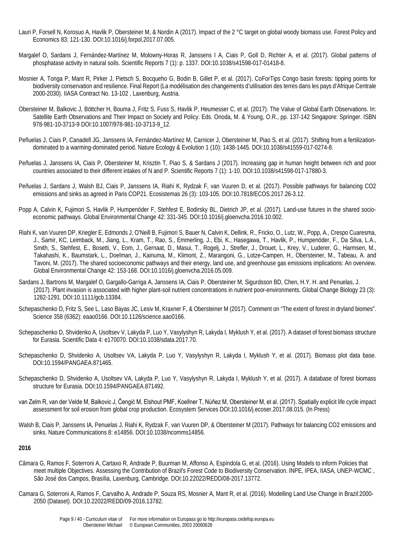- Lauri P, Forsell N, Korosuo A, Havlik P, Obersteiner M, & Nordin A (2017). Impact of the 2 °C target on global woody biomass use. Forest Policy and Economics 83: 121-130. DOI:10.1016/j.forpol.2017.07.005.
- Margalef O, Sardans J, Fernández-Martínez M, Molowny-Horas R, Janssens I A, Ciais P, Goll D, Richter A, et al. (2017). Global patterns of phosphatase activity in natural soils. Scientific Reports 7 (1): p. 1337. DOI:10.1038/s41598-017-01418-8.
- Mosnier A, Tonga P, Mant R, Pirker J, Pietsch S, Bocqueho G, Bodin B, Gillet P, et al. (2017). CoForTips Congo basin forests: tipping points for biodiversity conservation and resilience. Final Report (La modélisation des changements d'utilisation des terres dans les pays d'Afrique Centrale 2000-2030). IIASA Contract No. 13-102 , Laxenburg, Austria.
- Obersteiner M, Balkovic J, Böttcher H, Bouma J, Fritz S, Fuss S, Havlik P, Heumesser C, et al. (2017). The Value of Global Earth Observations. In: Satellite Earth Observations and Their Impact on Society and Policy. Eds. Onoda, M. & Young, O.R., pp. 137-142 Singapore: Springer. ISBN 978-981-10-3713-9 DOI:10.1007/978-981-10-3713-9\_12.
- Peñuelas J, Ciais P, Canadell JG, Janssens IA, Fernández-Martínez M, Carnicer J, Obersteiner M, Piao S, et al. (2017). Shifting from a fertilizationdominated to a warming-dominated period. Nature Ecology & Evolution 1 (10): 1438-1445. DOI:10.1038/s41559-017-0274-8.
- Peñuelas J, Janssens IA, Ciais P, Obersteiner M, Krisztin T, Piao S, & Sardans J (2017). Increasing gap in human height between rich and poor countries associated to their different intakes of N and P. Scientific Reports 7 (1): 1-10. DOI:10.1038/s41598-017-17880-3.
- Peñuelas J, Sardans J, Walsh BJ, Ciais P, Janssens IA, Riahi K, Rydzak F, van Vuuren D, et al. (2017). Possible pathways for balancing CO2 emissions and sinks as agreed in Paris COP21. Ecosistemas 26 (3): 103-105. DOI:10.7818/ECOS.2017.26-3.12.
- Popp A, Calvin K, Fujimori S, Havlik P, Humpenöder F, Stehfest E, Bodirsky BL, Dietrich JP, et al. (2017). Land-use futures in the shared socioeconomic pathways. Global Environmental Change 42: 331-345. DOI:10.1016/j.gloenvcha.2016.10.002.
- Riahi K, van Vuuren DP, Kriegler E, Edmonds J, O'Neill B, Fujimori S, Bauer N, Calvin K, Dellink, R., Fricko, O., Lutz, W., Popp, A., Crespo Cuaresma, J., Samir, KC, Leimback, M., Jiang, L., Kram, T., Rao, S., Emmerling, J., Ebi, K., Hasegawa, T., Havlik, P., Humpenöder, F., Da Silva, L.A., Smith, S., Stehfest, E., Bosetti, V., Eom, J., Gernaat, D., Masui, T., Rogelj, J., Strefler, J., Drouet, L., Krey, V., Luderer, G., Harmsen, M., Takahashi, K., Baumstark, L., Doelman, J., Kainuma, M., Klimont, Z., Marangoni, G., Lotze-Campen, H., Obersteiner, M., Tabeau, A. and Tavoni, M. (2017). The shared socioeconomic pathways and their energy, land use, and greenhouse gas emissions implications: An overview. Global Environmental Change 42: 153-168. DOI:10.1016/j.gloenvcha.2016.05.009.
- Sardans J, Bartrons M, Margalef O, Gargallo-Garriga A, Janssens IA, Ciais P, Obersteiner M, Sigurdsson BD, Chen, H.Y. H. and Penuelas, J. (2017). Plant invasion is associated with higher plant-soil nutrient concentrations in nutrient poor-environments. Global Change Biology 23 (3): 1282-1291. DOI:10.1111/gcb.13384.
- Schepaschenko D, Fritz S, See L, Laso Bayas JC, Lesiv M, Kraxner F, & Obersteiner M (2017). Comment on "The extent of forest in dryland biomes". Science 358 (6362): eaao0166. DOI:10.1126/science.aao0166.
- Schepaschenko D, Shvidenko A, Usoltsev V, Lakyda P, Luo Y, Vasylyshyn R, Lakyda I, Myklush Y, et al. (2017). A dataset of forest biomass structure for Eurasia. Scientific Data 4: e170070. DOI:10.1038/sdata.2017.70.
- Schepaschenko D, Shvidenko A, Usoltsev VA, Lakyda P, Luo Y, Vasylyshyn R, Lakyda I, Myklush Y, et al. (2017). Biomass plot data base. DOI:10.1594/PANGAEA.871465.
- Schepaschenko D, Shvidenko A, Usoltsev VA, Lakyda P, Luo Y, Vasylyshyn R, Lakyda I, Myklush Y, et al. (2017). A database of forest biomass structure for Eurasia. DOI:10.1594/PANGAEA.871492.
- van Zelm R, van der Velde M, Balkovic J, Čengić M, Elshout PMF, Koellner T, Núñez M, Obersteiner M, et al. (2017). Spatially explicit life cycle impact assessment for soil erosion from global crop production. Ecosystem Services DOI:10.1016/j.ecoser.2017.08.015. (In Press)
- Walsh B, Ciais P, Janssens IA, Penuelas J, Riahi K, Rydzak F, van Vuuren DP, & Obersteiner M (2017). Pathways for balancing CO2 emissions and sinks. Nature Communications 8: e14856. DOI:10.1038/ncomms14856.

- Câmara G, Ramos F, Soterroni A, Cartaxo R, Andrade P, Buurman M, Affonso A, Espíndola G, et al. (2016). Using Models to inform Policies that meet multiple Objectives. Assessing the Contribution of Brazil's Forest Code to Biodiversity Conservation. INPE, IPEA, IIASA, UNEP-WCMC , São José dos Campos, Brasília, Laxenburg, Cambridge. DOI:10.22022/REDD/08-2017.13772.
- Camara G, Soterroni A, Ramos F, Carvalho A, Andrade P, Souza RS, Mosnier A, Mant R, et al. (2016). Modelling Land Use Change in Brazil:2000- 2050 (Dataset). DOI:10.22022/REDD/09-2016.13782.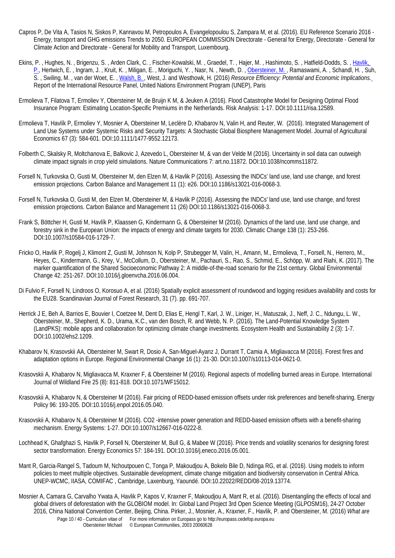- Capros P, De Vita A, Tasios N, Siskos P, Kannavou M, Petropoulos A, Evangelopoulou S, Zampara M, et al. (2016). EU Reference Scenario 2016 Energy, transport and GHG emissions Trends to 2050. EUROPEAN COMMISSION Directorate - General for Energy, Directorate - General for Climate Action and Directorate - General for Mobility and Transport, Luxembourg.
- Ekins, P. , Hughes, N. , Brigenzu, S. , Arden Clark, C. , Fischer-Kowalski, M. , Graedel, T. , Hajer, M. , Hashimoto, S. , Hatfield-Dodds, S. , [Havlik,](http://pure.iiasa.ac.at/view/iiasa/119.html)  [P.,](http://pure.iiasa.ac.at/view/iiasa/119.html) Hertwich, E., Ingram, J., Kruit, K., Miligan, E., Moriguchi, Y., Nasr, N., Newth, D., Obersteiner, M., Ramaswami, A., Schandl, H., Suh, S. , Swiling, M. , van der Woet, E. , [Walsh, B. ,](http://pure.iiasa.ac.at/view/iiasa/322.html) West, J. and Westhowk, H. (2016) *[Resource Efficiency: Potential and Economic Implications.](http://pure.iiasa.ac.at/13813/)* Report of the International Resource Panel, United Nations Environment Program (UNEP), Paris
- Ermolieva T, Filatova T, Ermoliev Y, Obersteiner M, de Bruijn K M, & Jeuken A (2016). Flood Catastrophe Model for Designing Optimal Flood Insurance Program: Estimating Location-Specific Premiums in the Netherlands. Risk Analysis: 1-17. DOI:10.1111/risa.12589.
- Ermolieva T, Havlík P, Ermoliev Y, Mosnier A, Obersteiner M, Leclère D, Khabarov N, Valin H, and Reuter, W. (2016). Integrated Management of Land Use Systems under Systemic Risks and Security Targets: A Stochastic Global Biosphere Management Model. Journal of Agricultural Economics 67 (3): 584-601. DOI:10.1111/1477-9552.12173.
- Folberth C, Skalsky R, Moltchanova E, Balkovic J, Azevedo L, Obersteiner M, & van der Velde M (2016). Uncertainty in soil data can outweigh climate impact signals in crop yield simulations. Nature Communications 7: art.no.11872. DOI:10.1038/ncomms11872.
- Forsell N, Turkovska O, Gusti M, Obersteiner M, den Elzen M, & Havlik P (2016). Assessing the INDCs' land use, land use change, and forest emission projections. Carbon Balance and Management 11 (1): e26. DOI:10.1186/s13021-016-0068-3.
- Forsell N, Turkovska O, Gusti M, den Elzen M, Obersteiner M, & Havlik P (2016). Assessing the INDCs' land use, land use change, and forest emission projections. Carbon Balance and Management 11 (26) DOI:10.1186/s13021-016-0068-3.
- Frank S, Böttcher H, Gusti M, Havlík P, Klaassen G, Kindermann G, & Obersteiner M (2016). Dynamics of the land use, land use change, and forestry sink in the European Union: the impacts of energy and climate targets for 2030. Climatic Change 138 (1): 253-266. DOI:10.1007/s10584-016-1729-7.
- Fricko O, Havlik P, Rogelj J, Klimont Z, Gusti M, Johnson N, Kolp P, Strubegger M, Valin, H., Amann, M., Ermolieva, T., Forsell, N., Herrero, M., Heyes, C., Kindermann, G., Krey, V., McCollum, D., Obersteiner, M., Pachauri, S., Rao, S., Schmid, E., Schöpp, W. and Riahi, K. (2017). The marker quantification of the Shared Socioeconomic Pathway 2: A middle-of-the-road scenario for the 21st century. Global Environmental Change 42: 251-267. DOI:10.1016/j.gloenvcha.2016.06.004.
- [Di Fulvio F,](http://pure.iiasa.ac.at/view/iiasa/65.html) [Forsell N,](http://pure.iiasa.ac.at/view/iiasa/93.html) Lindroos O, [Korosuo A,](http://pure.iiasa.ac.at/view/iiasa/162.html) et al. (2016) [Spatially explicit assessment of roundwood and logging residues availability and costs for](http://pure.iiasa.ac.at/13786/)  [the EU28.](http://pure.iiasa.ac.at/13786/) Scandinavian Journal of Forest Research, 31 (7). pp. 691-707.
- Herrick J E, Beh A, Barrios E, Bouvier I, Coetzee M, Dent D, Elias E, Hengl T, Karl, J. W., Liniger, H., Matuszak, J., Neff, J. C., Ndungu, L. W., Obersteiner, M., Shepherd, K. D., Urama, K.C., van den Bosch, R. and Webb, N. P. (2016). The Land-Potential Knowledge System (LandPKS): mobile apps and collaboration for optimizing climate change investments. Ecosystem Health and Sustainability 2 (3): 1-7. DOI:10.1002/ehs2.1209.
- Khabarov N, Krasovskii AA, Obersteiner M, Swart R, Dosio A, San-Miguel-Ayanz J, Durrant T, Camia A, Migliavacca M (2016). Forest fires and adaptation options in Europe. Regional Environmental Change 16 (1): 21-30. DOI:10.1007/s10113-014-0621-0.
- Krasovskii A, Khabarov N, Migliavacca M, Kraxner F, & Obersteiner M (2016). Regional aspects of modelling burned areas in Europe. International Journal of Wildland Fire 25 (8): 811-818. DOI:10.1071/WF15012.
- Krasovskii A, Khabarov N, & Obersteiner M (2016). Fair pricing of REDD-based emission offsets under risk preferences and benefit-sharing. Energy Policy 96: 193-205. DOI:10.1016/j.enpol.2016.05.040.
- Krasovskii A, Khabarov N, & Obersteiner M (2016). CO2 -intensive power generation and REDD-based emission offsets with a benefit-sharing mechanism. Energy Systems: 1-27. DOI:10.1007/s12667-016-0222-8.
- Lochhead K, Ghafghazi S, Havlik P, Forsell N, Obersteiner M, Bull G, & Mabee W (2016). Price trends and volatility scenarios for designing forest sector transformation. Energy Economics 57: 184-191. DOI:10.1016/j.eneco.2016.05.001.
- Mant R, Garcia-Rangel S, Tadoum M, Nchoutpouen C, Tonga P, Makoudjou A, Bokelo Bile D, Ndinga RG, et al. (2016). Using models to inform policies to meet multiple objectives. Sustainable development, climate change mitigation and biodiversity conservation in Central Africa. UNEP-WCMC, IIASA, COMIFAC , Cambridge, Laxenburg, Yaoundé. DOI:10.22022/REDD/08-2019.13774.
- Page 10 / 40 Curriculum vitae of For more information on Europass go to http://europass.cedefop.europa.eu Mosnier A, Camara G, Carvalho Ywata A, Havlik P, Kapos V, Kraxner F, Makoudjou A, Mant R, et al. (2016). Disentangling the effects of local and global drivers of deforestation with the GLOBIOM model. In: Global Land Project 3rd Open Science Meeting (GLPOSM16), 24-27 October 2016, China National Convention Center, Beijing, China. [Pirker, J.,](http://pure.iiasa.ac.at/view/iiasa/234.html) [Mosnier, A.,](http://pure.iiasa.ac.at/view/iiasa/212.html) [Kraxner, F.,](http://pure.iiasa.ac.at/view/iiasa/165.html) [Havlik, P.](http://pure.iiasa.ac.at/view/iiasa/119.html) and [Obersteiner, M.](http://pure.iiasa.ac.at/view/iiasa/219.html) (2016) *[What are](http://pure.iiasa.ac.at/13343/)*

Obersteiner Michael © European Communities, 2003 20060628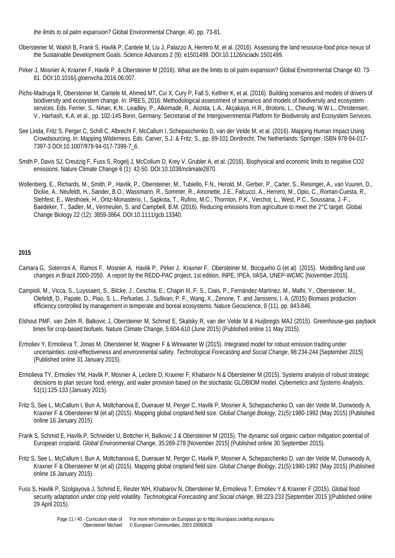*[the limits to oil palm expansion?](http://pure.iiasa.ac.at/13343/)* Global Environmental Change, 40. pp. 73-81.

- Obersteiner M, Walsh B, Frank S, Havlik P, Cantele M, Liu J, Palazzo A, Herrero M, et al. (2016). Assessing the land resource-food price nexus of the Sustainable Development Goals. Science Advances 2 (9): e1501499. DOI:10.1126/sciadv.1501499.
- Pirker J, Mosnier A, Kraxner F, Havlik P, & Obersteiner M (2016). What are the limits to oil palm expansion? Global Environmental Change 40: 73- 81. DOI:10.1016/j.gloenvcha.2016.06.007.
- Pichs-Madruga R, Obersteiner M, Cantele M, Ahmed MT, Cui X, Cury P, Fall S, Kellner K, et al. (2016). Building scenarios and models of drivers of biodiversity and ecosystem change. In: IPBES, 2016: Methodological assessment of scenarios and models of biodiversity and ecosystem services. Eds. Ferrier, S., Ninan, K.N., Leadley, P., Alkemade, R., Acosta, L.A., Akçakaya, H.R., Brotons, L., Cheung, W.W.L., Christensen, V., Harhash, K.A. et al., pp. 102-145 Bonn, Germany: Secretariat of the Intergovernmental Platform for Biodiversity and Ecosystem Services.
- See Linda, Fritz S, Perger C, Schill C, Albrecht F, McCallum I, Schepaschenko D, van der Velde M, et al. (2016). Mapping Human Impact Using Crowdsourcing. In: Mapping Wilderness. Eds. Carver, S.J. & Fritz, S., pp. 89-101 Dordrecht, The Netherlands: Springer. ISBN 978-94-017- 7397-3 DOI:10.1007/978-94-017-7399-7\_6.
- Smith P, Davis SJ, Creutzig F, Fuss S, Rogelj J, McCollum D, Krey V, Grubler A, et al. (2016). Biophysical and economic limits to negative CO2 emissions. Nature Climate Change 6 (1): 42-50. DOI:10.1038/nclimate2870.
- Wollenberg, E., Richards, M., Smith, P., Havlik, P., Obersteiner, M., Tubiello, F.N., Herold, M., Gerber, P., Carter, S., Reisinger, A., van Vuuren, D., Dickie, A., Neufeldt, H., Sander, B.O., Wassmann, R., Sommer, R., Amonette, J.E., Falcucci, A., Herrero, M., Opio, C., Roman-Cuesta, R., Stehfest, E., Westhoek, H., Ortiz-Monasterio, I., Sapkota, T., Rufino, M.C., Thornton, P.K., Verchot, L., West, P.C., Soussana, J.-F., Baedeker, T., Sadler, M., Vermeulen, S. and Campbell, B.M. (2016). Reducing emissions from agriculture to meet the 2°C target. Global Change Biology 22 (12): 3859-3864. DOI:10.1111/gcb.13340.

- [Camara](javascript:subwinsrch() G, [Soterroni](javascript:subwinsrch() A, [Ramos](javascript:subwinsrch() F, [Mosnier](javascript:subwinsrch() A, [Havlik](javascript:subwinsrch() P, [Pirker](javascript:subwinsrch() J, [Kraxner](javascript:subwinsrch() F, [Obersteiner](javascript:subwinsrch() M, [Bocqueho](javascript:subwinsrch() G (et al) (2015). Modelling land use changes in Brazil 2000-2050. A report by the REDD-PAC project, 1st edition, INPE, IPEA, IIASA, UNEP-WCMC [November 2015].
- Campioli, M., Vicca, S., Luyssaert, S., Bilcke, J., Ceschia, E., Chapin III, F. S., Ciais, P., Fernández-Martínez, M., Malhi, Y., Obersteiner, M., Olefeldt, D., Papale, D., Piao, S. L., Peñuelas, J., Sullivan, P. F., Wang, X., Zenone, T. and Janssens, I. A. (2015) Biomass production efficiency controlled by management in temperate and boreal ecosystems. Nature Geoscience, 8 (11). pp. 843-846.
- Elshout PMF, van Zelm R, Balkovic J, Obersteiner M, Schmid E, Skalsky R, van der Velde M & Huijbregts MAJ (2015). Greenhouse-gas payback times for crop-based biofuels. Nature Climate Change, 5:604-610 (June 2015) (Published online 11 May 2015).
- Ermoliev Y, Ermolieva T, Jonas M, Obersteiner M, Wagner F & Winiwarter W (2015). Integrated model for robust emission trading under uncertainties: cost-effectiveness and environmental safety. *Technological Forecasting and Social Change*, 98:234-244 [September 2015] (Published online 31 January 2015).
- Ermolieva TY, Ermoliev YM, Havlik P, Mosnier A, Leclere D, Kraxner F, Khabarov N & Obersteiner M (2015). Systems analysis of robust strategic decisions to plan secure food, energy, and water provision based on the stochastic GLOBIOM model. *Cybernetics and Systems Analysis*, 51(1):125-133 (January 2015).
- Fritz S, See L, McCallum I, Bun A, Moltchanova E, Duerauer M, Perger C, Havlik P, Mosnier A, Schepaschenko D, van der Velde M, Dunwoody A, Kraxner F & Obersteiner M (et al) (2015). Mapping global cropland field size. *Global Change Biology*, 21(5):1980-1992 (May 2015) (Published online 16 January 2015).
- Frank S, Schmid E, Havlik P, Schneider U, Bottcher H, Balkovic J & Obersteiner M (2015). The dynamic soil organic carbon mitigation potential of European cropland. *Global Environmental Change*, 35:269-278 [November 2015] (Published online 30 September 2015).
- Fritz S, See L, McCallum I, Bun A, Moltchanova E, Duerauer M, Perger C, Havlik P, Mosnier A, Schepaschenko D, van der Velde M, Dunwoody A, Kraxner F & Obersteiner M (et al) (2015). Mapping global cropland field size. *Global Change Biology*, 21(5):1980-1992 (May 2015) (Published online 16 January 2015).
- Fuss S, Havlik P, Szolgayova J, Schmid E, Reuter WH, Khabarov N, Obersteiner M, Ermolieva T, Ermoliev Y & Kraxner F (2015). Global food security adaptation under crop yield volatility. *Technological Forecasting and Social change*, 98:223-233 [September 2015 ](Published online 29 April 2015).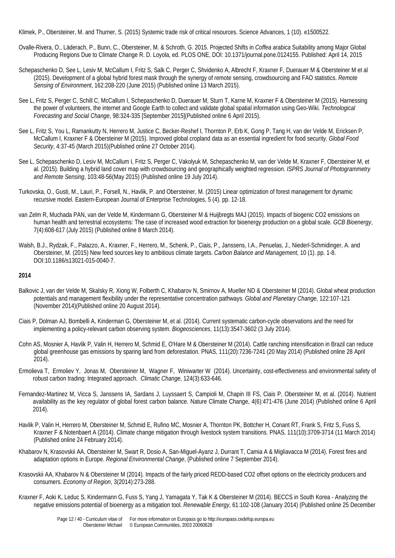Klimek, P., Obersteiner, M. and Thurner, S. (2015) Systemic trade risk of critical resources. Science Advances, 1 (10). e1500522.

- Ovalle-Rivera, O., Läderach, P., Bunn, C., Obersteiner, M. & Schroth, G. 2015. Projected Shifts in *Coffea arabica* Suitability among Major Global Producing Regions Due to Climate Change R. D. Loyola, ed. PLOS ONE, DOI: 10.1371/journal.pone.0124155. Published: April 14, 2015
- Schepaschenko D, See L, Lesiv M, McCallum I, Fritz S, Salk C, Perger C, Shvidenko A, Albrecht F, Kraxner F, Duerauer M & Obersteiner M et al (2015). Development of a global hybrid forest mask through the synergy of remote sensing, crowdsourcing and FAO statistics. *Remote Sensing of Environment*, 162:208-220 (June 2015) (Published online 13 March 2015).
- See L, Fritz S, Perger C, Schill C, McCallum I, Schepaschenko D, Duerauer M, Sturn T, Karne M, Kraxner F & Obersteiner M (2015). Harnessing the power of volunteers, the internet and Google Earth to collect and validate global spatial information using Geo-Wiki. *Technological Forecasting and Social Change*, 98:324-335 [September 2015](Published online 6 April 2015).
- See L, Fritz S, You L, Ramankutty N, Herrero M, Justice C, Becker-Reshef I, Thornton P, Erb K, Gong P, Tang H, van der Velde M, Ericksen P, McCallum I, Kraxner F & Obersteiner M (2015). Improved global cropland data as an essential ingredient for food security. *Global Food Security*, 4:37-45 (March 2015)(Published online 27 October 2014).
- See L, Schepaschenko D, Lesiv M, McCallum I, Fritz S, Perger C, Vakolyuk M, Schepaschenko M, van der Velde M, Kraxner F, Obersteiner M, et al. (2015). Building a hybrid land cover map with crowdsourcing and geographically weighted regression. *ISPRS Journal of Photogrammetry and Remote Sensing*, 103:48-56(May 2015) (Published online 19 July 2014).
- Turkovska, O., Gusti, M., Lauri, P., Forsell, N., Havlik, P. and Obersteiner, M. (2015) Linear optimization of forest management for dynamic recursive model. Eastern-European Journal of Enterprise Technologies, 5 (4). pp. 12-18.
- van Zelm R, Muchada PAN, van der Velde M, Kindermann G, Obersteiner M & Huijbregts MAJ (2015). Impacts of biogenic CO2 emissions on human health and terrestrial ecosystems: The case of increased wood extraction for bioenergy production on a global scale. *GCB Bioenergy*, 7(4):608-617 (July 2015) (Published online 8 March 2014).
- Walsh, B.J., Rydzak, F., Palazzo, A., Kraxner, F., Herrero, M., Schenk, P., Ciais, P., Janssens, I.A., Penuelas, J., Niederl-Schmidinger, A. and Obersteiner, M. (2015) New feed sources key to ambitious climate targets. *Carbon Balance and Management*, 10 (1). pp. 1-8. DOI:10.1186/s13021-015-0040-7.

- Balkovic J, van der Velde M, Skalsky R, Xiong W, Folberth C, Khabarov N, Smirnov A, Mueller ND & Obersteiner M (2014). Global wheat production potentials and management flexibility under the representative concentration pathways. *Global and Planetary Change*, 122:107-121 (November 2014)(Published online 20 August 2014).
- Ciais P, Dolman AJ, Bombelli A, Kinderman G, Obersteiner M, et al. (2014). Current systematic carbon-cycle observations and the need for implementing a policy-relevant carbon observing system. *Biogeosciences*, 11(13):3547-3602 (3 July 2014).
- Cohn AS, Mosnier A, Havlik P, Valin H, Herrero M, Schmid E, O'Hare M & Obersteiner M (2014). Cattle ranching intensification in Brazil can reduce global greenhouse gas emissions by sparing land from deforestation. PNAS, 111(20):7236-7241 (20 May 2014) (Published online 28 April 2014).
- Ermolieva T, Ermoliev Y, Jonas M, Obersteiner M, Wagner F, Winiwarter W (2014). Uncertainty, cost-effectiveness and environmental safety of robust carbon trading: Integrated approach. *Climatic Change*, 124(3):633-646.
- Fernandez-Martinez M, Vicca S, Janssens IA, Sardans J, Luyssaert S, Campioli M, Chapin III FS, Ciais P, Obersteiner M, et al. (2014). Nutrient availability as the key regulator of global forest carbon balance. Nature Climate Change, 4(6):471-476 (June 2014) (Published online 6 April 2014).
- Havlik P, Valin H, Herrero M, Obersteiner M, Schmid E, Rufino MC, Mosnier A, Thornton PK, Bottcher H, Conant RT, Frank S, Fritz S, Fuss S, Kraxner F & Notenbaert A (2014). Climate change mitigation through livestock system transitions. PNAS, 111(10):3709-3714 (11 March 2014) (Published online 24 February 2014).
- Khabarov N, Krasovskii AA, Obersteiner M, Swart R, Dosio A, San-Miguel-Ayanz J, Durrant T, Camia A & Migliavacca M (2014). Forest fires and adaptation options in Europe. *Regional Environmental Change*, (Published online 7 September 2014).
- Krasovskii AA, Khabarov N & Obersteiner M (2014). Impacts of the fairly priced REDD-based CO2 offset options on the electricity producers and consumers. *Economy of Region*, 3(2014):273-288.
- Kraxner F, Aoki K, Leduc S, Kindermann G, Fuss S, Yang J, Yamagata Y, Tak K & Obersteiner M (2014). BECCS in South Korea Analyzing the negative emissions potential of bioenergy as a mitigation tool. *Renewable Energy*, 61:102-108 (January 2014) (Published online 25 December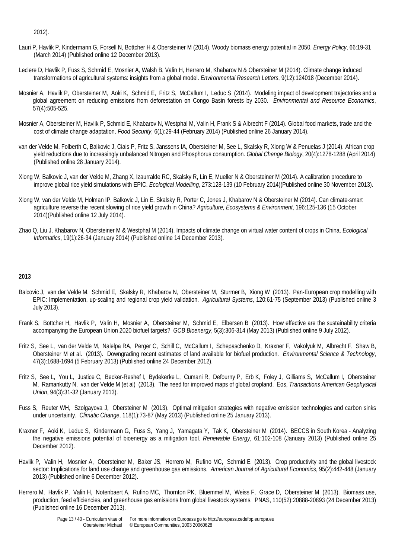2012).

- Lauri P, Havlik P, Kindermann G, Forsell N, Bottcher H & Obersteiner M (2014). Woody biomass energy potential in 2050. *Energy Policy*, 66:19-31 (March 2014) (Published online 12 December 2013).
- Leclere D, Havlik P, Fuss S, Schmid E, Mosnier A, Walsh B, Valin H, Herrero M, Khabarov N & Obersteiner M (2014). Climate change induced transformations of agricultural systems: insights from a global model. *Environmental Research Letters*, 9(12):124018 (December 2014).
- Mosnier A, Havlik P, Obersteiner M, Aoki K, Schmid E, Fritz S, McCallum I, Leduc S (2014). Modeling impact of development trajectories and a global agreement on reducing emissions from deforestation on Congo Basin forests by 2030. *Environmental and Resource Economics*, 57(4):505-525.
- Mosnier A, Obersteiner M, Havlik P, Schmid E, Khabarov N, Westphal M, Valin H, Frank S & Albrecht F (2014). Global food markets, trade and the cost of climate change adaptation. *Food Security*, 6(1):29-44 (February 2014) (Published online 26 January 2014).
- van der Velde M, Folberth C, Balkovic J, Ciais P, Fritz S, Janssens IA, Obersteiner M, See L, Skalsky R, Xiong W & Penuelas J (2014). African crop yield reductions due to increasingly unbalanced Nitrogen and Phosphorus consumption. *Global Change Biology*, 20(4):1278-1288 (April 2014) (Published online 28 January 2014).
- Xiong W, Balkovic J, van der Velde M, Zhang X, Izaurralde RC, Skalsky R, Lin E, Mueller N & Obersteiner M (2014). A calibration procedure to improve global rice yield simulations with EPIC. *Ecological Modelling*, 273:128-139 (10 February 2014)(Published online 30 November 2013).
- Xiong W, van der Velde M, Holman IP, Balkovic J, Lin E, Skalsky R, Porter C, Jones J, Khabarov N & Obersteiner M (2014). Can climate-smart agriculture reverse the recent slowing of rice yield growth in China? *Agriculture, Ecosystems & Environment*, 196:125-136 (15 October 2014)(Published online 12 July 2014).
- Zhao Q, Liu J, Khabarov N, Obersteiner M & Westphal M (2014). Impacts of climate change on virtual water content of crops in China. *Ecological Informatics*, 19(1):26-34 (January 2014) (Published online 14 December 2013).

- Balcovic J, van der Velde M, Schmid E, Skalsky R, Khabarov N, Obersteiner M, Sturmer B, Xiong W (2013). Pan-European crop modelling with EPIC: Implementation, up-scaling and regional crop yield validation. *Agricultural Systems*, 120:61-75 (September 2013) (Published online 3 July 2013).
- Frank S, Bottcher H, Havlik P, Valin H, Mosnier A, Obersteiner M, Schmid E, Elbersen B (2013). How effective are the sustainability criteria accompanying the European Union 2020 biofuel targets? *GCB Bioenergy*, 5(3):306-314 (May 2013) (Published online 9 July 2012).
- Fritz S, See L, van der Velde M, Nalelpa RA, Perger C, Schill C, McCallum I, Schepaschenko D, Kraxner F, Vakolyuk M, Albrecht F, Shaw B, Obersteiner M et al. (2013). Downgrading recent estimates of land available for biofuel production. *Environmental Science & Technology*, 47(3):1688-1694 (5 February 2013) (Published online 24 December 2012).
- Fritz S, See L, You L, Justice C, Becker-Reshef I, Bydekerke L, Cumani R, Defourny P, Erb K, Foley J, Gilliams S, McCallum I, Obersteiner M, Ramankutty N, van der Velde M (et al) (2013). The need for improved maps of global cropland. Eos, *Transactions American Geophysical Union*, 94(3):31-32 (January 2013).
- Fuss S, Reuter WH, Szolgayova J, Obersteiner M (2013). Optimal mitigation strategies with negative emission technologies and carbon sinks under uncertainty. *Climatic Change*, 118(1):73-87 (May 2013) (Published online 25 January 2013).
- Kraxner F, Aoki K, Leduc S, Kindermann G, Fuss S, Yang J, Yamagata Y, Tak K, Obersteiner M (2014). BECCS in South Korea Analyzing the negative emissions potential of bioenergy as a mitigation tool. *Renewable Energy*, 61:102-108 (January 2013) (Published online 25 December 2012).
- Havlik P, Valin H, Mosnier A, Obersteiner M, Baker JS, Herrero M, Rufino MC, Schmid E (2013). Crop productivity and the global livestock sector: Implications for land use change and greenhouse gas emissions. *American Journal of Agricultural Economics*, 95(2):442-448 (January 2013) (Published online 6 December 2012).
- Herrero M, Havlik P, Valin H, Notenbaert A, Rufino MC, Thornton PK, Bluemmel M, Weiss F, Grace D, Obersteiner M (2013). Biomass use, production, feed efficiencies, and greenhouse gas emissions from global livestock systems. PNAS, 110(52):20888-20893 (24 December 2013) (Published online 16 December 2013).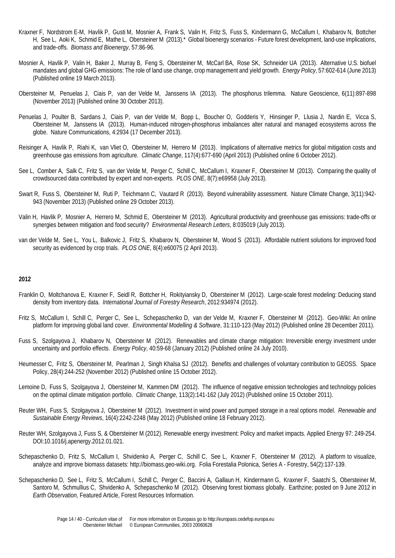- Kraxner F, Nordstrom E-M, Havlik P, Gusti M, Mosnier A, Frank S, Valin H, Fritz S, Fuss S, Kindermann G, McCallum I, Khabarov N, Bottcher H, See L, Aoki K, Schmid E, Mathe L, Obersteiner M (2013).\* Global bioenergy scenarios - Future forest development, land-use implications, and trade-offs. *Biomass and Bioenergy*, 57:86-96.
- Mosnier A, Havlik P, Valin H, Baker J, Murray B, Feng S, Obersteiner M, McCarl BA, Rose SK, Schneider UA (2013). Alternative U.S. biofuel mandates and global GHG emissions: The role of land use change, crop management and yield growth. *Energy Policy*, 57:602-614 (June 2013) (Published online 19 March 2013).
- Obersteiner M, Penuelas J, Ciais P, van der Velde M, Janssens IA (2013). The phosphorus trilemma. Nature Geoscience, 6(11):897-898 (November 2013) (Published online 30 October 2013).
- Penuelas J, Poulter B, Sardans J, Ciais P, van der Velde M, Bopp L, Boucher O, Godderis Y, Hinsinger P, Llusia J, Nardin E, Vicca S, Obersteiner M, Janssens IA (2013). Human-induced nitrogen-phosphorus imbalances alter natural and managed ecosystems across the globe. Nature Communications, 4:2934 (17 December 2013).
- Reisinger A, Havlik P, Riahi K, van Vliet O, Obersteiner M, Herrero M (2013). Implications of alternative metrics for global mitigation costs and greenhouse gas emissions from agriculture. *Climatic Change*, 117(4):677-690 (April 2013) (Published online 6 October 2012).
- See L, Comber A, Salk C, Fritz S, van der Velde M, Perger C, Schill C, McCallum I, Kraxner F, Obersteiner M (2013). Comparing the quality of crowdsourced data contributed by expert and non-experts. *PLOS ONE*, 8(7):e69958 (July 2013).
- Swart R, Fuss S, Obersteiner M, Ruti P, Teichmann C, Vautard R (2013). Beyond vulnerability assessment. Nature Climate Change, 3(11):942- 943 (November 2013) (Published online 29 October 2013).
- Valin H, Havlik P, Mosnier A, Herrero M, Schmid E, Obersteiner M (2013). Agricultural productivity and greenhouse gas emissions: trade-offs or synergies between mitigation and food security? *Environmental Research Letters*, 8:035019 (July 2013).
- van der Velde M, See L, You L, Balkovic J, Fritz S, Khabarov N, Obersteiner M, Wood S (2013). Affordable nutrient solutions for improved food security as evidenced by crop trials. *PLOS ONE*, 8(4):e60075 (2 April 2013).

- Franklin O, Moltchanova E, Kraxner F, Seidl R, Bottcher H, Rokityiansky D, Obersteiner M (2012). Large-scale forest modeling: Deducing stand density from inventory data. *International Journal of Forestry Research*, 2012:934974 (2012).
- Fritz S, McCallum I, Schill C, Perger C, See L, Schepaschenko D, van der Velde M, Kraxner F, Obersteiner M (2012). Geo-Wiki: An online platform for improving global land cover. *Environmental Modelling & Software*, 31:110-123 (May 2012) (Published online 28 December 2011).
- Fuss S, Szolgayova J, Khabarov N, Obersteiner M (2012). Renewables and climate change mitigation: Irreversible energy investment under uncertainty and portfolio effects. *Energy Policy*, 40:59-68 (January 2012) (Published online 24 July 2010).
- Heumesser C, Fritz S, Obersteiner M, Pearlman J, Singh Khalsa SJ (2012). Benefits and challenges of voluntary contribution to GEOSS. Space Policy, 28(4):244-252 (November 2012) (Published online 15 October 2012).
- Lemoine D, Fuss S, Szolgayova J, Obersteiner M, Kammen DM (2012). The influence of negative emission technologies and technology policies on the optimal climate mitigation portfolio. *Climatic Change*, 113(2):141-162 (July 2012) (Published online 15 October 2011).
- Reuter WH, Fuss S, Szolgayova J, Obersteiner M (2012). Investment in wind power and pumped storage in a real options model. *Renewable and Sustainable Energy Reviews*, 16(4):2242-2248 (May 2012) (Published online 18 February 2012).
- Reuter WH, Szolgayova J, Fuss S, & Obersteiner M (2012). Renewable energy investment: Policy and market impacts. Applied Energy 97: 249-254. DOI:10.1016/j.apenergy.2012.01.021.
- Schepaschenko D, Fritz S, McCallum I, Shvidenko A, Perger C, Schill C, See L, Kraxner F, Obersteiner M (2012). A platform to visualize, analyze and improve biomass datasets: http://biomass.geo-wiki.org. Folia Forestalia Polonica, Series A - Forestry, 54(2):137-139.
- Schepaschenko D, See L, Fritz S, McCallum I, Schill C, Perger C, Baccini A, Gallaun H, Kindermann G, Kraxner F, Saatchi S, Obersteiner M, Santoro M, Schmullius C, Shvidenko A, Schepaschenko M (2012). Observing forest biomass globally. Earthzine; posted on 9 June 2012 in *Earth Observation*, Featured Article, Forest Resources Information.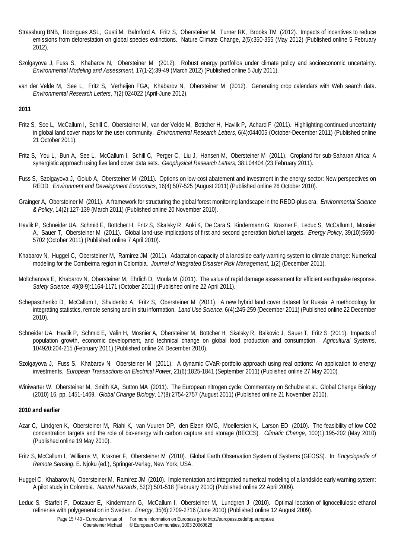- Strassburg BNB, Rodrigues ASL, Gusti M, Balmford A, Fritz S, Obersteiner M, Turner RK, Brooks TM (2012). Impacts of incentives to reduce emissions from deforestation on global species extinctions. Nature Climate Change, 2(5):350-355 (May 2012) (Published online 5 February 2012).
- Szolgayova J, Fuss S, Khabarov N, Obersteiner M (2012). Robust energy portfolios under climate policy and socioeconomic uncertainty. *Environmental Modeling and Assessment*, 17(1-2):39-49 (March 2012) (Published online 5 July 2011).
- van der Velde M, See L, Fritz S, Verheijen FGA, Khabarov N, Obersteiner M (2012). Generating crop calendars with Web search data. *Environmental Research Letters*, 7(2):024022 (April-June 2012).

- Fritz S, See L, McCallum I, Schill C, Obersteiner M, van der Velde M, Bottcher H, Havlik P, Achard F (2011). Highlighting continued uncertainty in global land cover maps for the user community. *Environmental Research Letters*, 6(4):044005 (October-December 2011) (Published online 21 October 2011).
- Fritz S, You L, Bun A, See L, McCallum I, Schill C, Perger C, Liu J, Hansen M, Obersteiner M (2011). Cropland for sub-Saharan Africa: A synergistic approach using five land cover data sets. *Geophysical Research Letters*, 38:L04404 (23 February 2011).
- Fuss S, Szolgayova J, Golub A, Obersteiner M (2011). Options on low-cost abatement and investment in the energy sector: New perspectives on REDD. *Environment and Development Economics*, 16(4):507-525 (August 2011) (Published online 26 October 2010).
- Grainger A, Obersteiner M (2011). A framework for structuring the global forest monitoring landscape in the REDD-plus era. *Environmental Science & Policy*, 14(2):127-139 (March 2011) (Published online 20 November 2010).
- Havlik P, Schneider UA, Schmid E, Bottcher H, Fritz S, Skalsky R, Aoki K, De Cara S, Kindermann G, Kraxner F, Leduc S, McCallum I, Mosnier A, Sauer T, Obersteiner M (2011). Global land-use implications of first and second generation biofuel targets. *Energy Policy*, 39(10):5690- 5702 (October 2011) (Published online 7 April 2010).
- Khabarov N, Huggel C, Obersteiner M, Ramirez JM (2011). Adaptation capacity of a landslide early warning system to climate change: Numerical modeling for the Combeima region in Colombia. *Journal of Integrated Disaster Risk Management*, 1(2) (December 2011).
- Moltchanova E, Khabarov N, Obersteiner M, Ehrlich D, Moula M (2011). The value of rapid damage assessment for efficient earthquake response. *Safety Science*, 49(8-9):1164-1171 (October 2011) (Published online 22 April 2011).
- Schepaschenko D, McCallum I, Shvidenko A, Fritz S, Obersteiner M (2011). A new hybrid land cover dataset for Russia: A methodology for integrating statistics, remote sensing and in situ information. *Land Use Science*, 6(4):245-259 (December 2011) (Published online 22 December 2010).
- Schneider UA, Havlik P, Schmid E, Valin H, Mosnier A, Obersteiner M, Bottcher H, Skalsky R, Balkovic J, Sauer T, Fritz S (2011). Impacts of population growth, economic development, and technical change on global food production and consumption. *Agricultural Systems*, 104920:204-215 (February 2011) (Published online 24 December 2010).
- Szolgayova J, Fuss S, Khabarov N, Obersteiner M (2011). A dynamic CVaR-portfolio approach using real options: An application to energy investments. *European Transactions on Electrical Power*, 21(6):1825-1841 (September 2011) (Published online 27 May 2010).
- Winiwarter W, Obersteiner M, Smith KA, Sutton MA (2011). The European nitrogen cycle: Commentary on Schulze et al., Global Change Biology (2010) 16, pp. 1451-1469. *Global Change Biology*, 17(8):2754-2757 (August 2011) (Published online 21 November 2010).

# **2010 and earlier**

- Azar C, Lindgren K, Obersteiner M, Riahi K, van Vuuren DP, den Elzen KMG, Moellersten K, Larson ED (2010). The feasibility of low CO2 concentration targets and the role of bio-energy with carbon capture and storage (BECCS). *Climatic Change*, 100(1):195-202 (May 2010) (Published online 19 May 2010).
- Fritz S, McCallum I, Williams M, Kraxner F, Obersteiner M (2010). Global Earth Observation System of Systems (GEOSS). In: *Encyclopedia of Remote Sensing*, E. Njoku (ed.), Springer-Verlag, New York, USA.
- Huggel C, Khabarov N, Obersteiner M, Ramirez JM (2010). Implementation and integrated numerical modeling of a landslide early warning system: A pilot study in Colombia. *Natural Hazards*, 52(2):501-518 (February 2010) (Published online 22 April 2009).
- Leduc S, Starfelt F, Dotzauer E, Kindermann G, McCallum I, Obersteiner M, Lundgren J (2010). Optimal location of lignocellulosic ethanol refineries with polygeneration in Sweden. *Energy*, 35(6):2709-2716 (June 2010) (Published online 12 August 2009).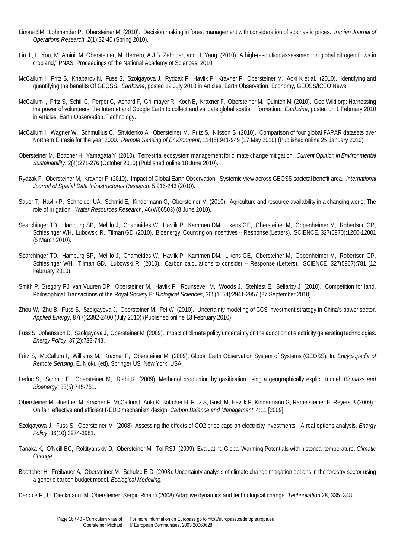- Limaei SM, Lohmander P, Obersteiner M (2010). Decision making in forest management with consideration of stochastic prices. *Iranian Journal of Operations Research*, 2(1):32-40 (Spring 2010).
- Liu J., L. You, M. Amini, M. Obersteiner, M. Herrero, A.J.B. Zehnder, and H. Yang, (2010) "A high-resolution assessment on global nitrogen flows in cropland," PNAS, Proceedings of the National Academy of Sciences, 2010.
- McCallum I, Fritz S, Khabarov N, Fuss S, Szolgayova J, Rydzak F, Havlik P, Kraxner F, Obersteiner M, Aoki K et al. (2010). Identifying and quantifying the benefits Of GEOSS. *Earthzine*, posted 12 July 2010 in Articles, Earth Observation, Economy, GEOSS/ICEO News.
- McCallum I, Fritz S, Schill C, Perger C, Achard F, Grillmayer R, Koch B, Kraxner F, Obersteiner M, Quinten M (2010). Geo-Wiki.org: Harnessing the power of volunteers, the Internet and Google Earth to collect and validate global spatial information. *Earthzine*, posted on 1 February 2010 in Articles, Earth Observation, Technology.
- McCallum I, Wagner W, Schmullius C, Shvidenko A, Obersteiner M, Fritz S, Nilsson S (2010). Comparison of four global FAPAR datasets over Northern Eurasia for the year 2000. *Remote Sensing of Environment*, 114(5):941-949 (17 May 2010) (Published online 25 January 2010).
- Obersteiner M, Bottcher H, Yamagata Y (2010). Terrestrial ecosystem management for climate change mitigation. *Current Opinion in Environmental Sustainability*, 2(4):271-276 (October 2010) (Published online 18 June 2010).
- Rydzak F, Obersteiner M, Kraxner F (2010). Impact of Global Earth Observation Systemic view across GEOSS societal benefit area. *International Journal of Spatial Data Infrastructures Research*, 5:216-243 (2010).
- Sauer T, Havlik P, Schneider UA, Schmid E, Kindermann G, Obersteiner M (2010). Agriculture and resource availability in a changing world: The role of irrigation. *Water Resources Research*, 46(W06503) (8 June 2010).
- Searchinger TD, Hamburg SP, Melillo J, Chamaides W, Havlik P, Kammen DM, Likens GE, Obersteiner M, Oppenheimer M, Robertson GP, Schlesinger WH, Lubowski R, Tilman GD (2010). Bioenergy: Counting on incentives -- Response (Letters). SCIENCE, 327(5970):1200-12001 (5 March 2010).
- Searchinger TD, Hamburg SP, Melillo J, Chameides W, Havlik P, Kammen DM, Likens GE, Obersteiner M, Oppenheimer M, Robertson GP, Schlesinger WH, Tilman GD, Lubowski R (2010). Carbon calculations to consider -- Response (Letters). SCIENCE, 327(5967):781 (12 February 2010).
- Smith P, Gregory PJ, van Vuuren DP, Obersteiner M, Havlik P, Rounsevell M, Woods J, Stehfest E, Bellarby J (2010). Competition for land. Philosophical Transactions of the Royal Society B: *Biological Sciences*, 365(1554):2941-2957 (27 September 2010).
- Zhou W, Zhu B, Fuss S, Szolgayova J, Obersteiner M, Fei W (2010). Uncertainty modeling of CCS investment strategy in China's power sector. *Applied Energy*, 87(7):2392-2400 (July 2010) (Published online 13 February 2010).
- Fuss S, Johansson D, Szolgayova J, Obersteiner M (2009). Impact of climate policy uncertainty on the adoption of electricity generating technologies. *Energy Policy*, 37(2):733-743.
- Fritz S, McCallum I, Williams M, Kraxner F, Obersteiner M (2009). Global Earth Observation System of Systems (GEOSS). In: *Encyclopedia of Remote Sensing*, E. Njoku (ed), Springer US, New York, USA.
- Leduc S, Schmid E, Obersteiner M, Riahi K (2009). Methanol production by gasification using a geographically explicit model. *Biomass and Bioenergy*, 33(5):745-751.
- Obersteiner M, Huettner M, Kraxner F, McCallum I, Aoki K, Böttcher H, Fritz S, Gusti M, Havlik P, Kindermann G, Rametsteiner E, Reyers B (2009) : On fair, effective and efficient REDD mechanism design. *Carbon Balance and Management*, 4:11 [2009].
- Szolgayova J, Fuss S, Obersteiner M (2008). Assessing the effects of CO2 price caps on electricity investments A real options analysis. *Energy Policy*, 36(10):3974-3981.
- Tanaka K, O'Neill BC, Rokityanskiy D, Obersteiner M, Tol RSJ (2009). Evaluating Global Warming Potentials with historical temperature. *Climatic Change*.
- Boettcher H, Freibauer A, Obersteiner M, Schulze E-D (2008). Uncertainty analysis of climate change mitigation options in the forestry sector using a generic carbon budget model. *Ecological Modelling.*
- Dercole F., U. Dieckmann, M. Obersteiner, Sergio Rinaldi (2008) Adaptive dynamics and technological change. *Technovation* 28, 335–348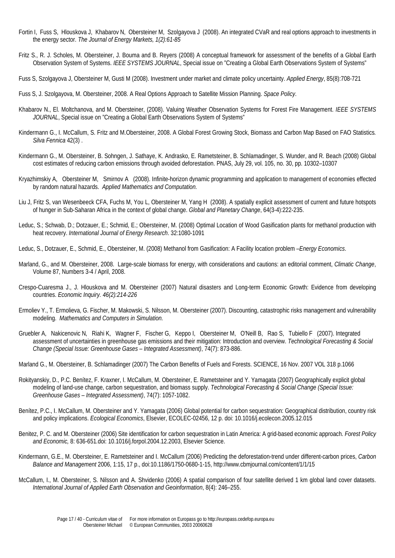- Fortin I, Fuss S, Hlouskova J, Khabarov N, Obersteiner M, Szolgayova J (2008). An integrated CVaR and real options approach to investments in the energy sector. *The Journal of Energy Markets, 1(2):61-85*
- Fritz S., R. J. Scholes, M. Obersteiner, J. Bouma and B. Reyers (2008) A conceptual framework for assessment of the benefits of a Global Earth Observation System of Systems. *IEEE SYSTEMS JOURNAL*, Special issue on "Creating a Global Earth Observations System of Systems"
- Fuss S, Szolgayova J, Obersteiner M, Gusti M (2008). Investment under market and climate policy uncertainty. *Applied Energy*, 85(8):708-721
- Fuss S, J. Szolgayova, M. Obersteiner, 2008. A Real Options Approach to Satellite Mission Planning. *Space Policy*.
- Khabarov N., El. Moltchanova, and M. Obersteiner, (2008). Valuing Weather Observation Systems for Forest Fire Management. *IEEE SYSTEMS JOURNAL*, Special issue on "Creating a Global Earth Observations System of Systems"
- Kindermann G., I. McCallum, S. Fritz and M.Obersteiner, 2008. A Global Forest Growing Stock, Biomass and Carbon Map Based on FAO Statistics*. Silva Fennica* 42(3) .
- Kindermann G., M. Obersteiner, B. Sohngen, J. Sathaye, K. Andrasko, E. Rametsteiner, B. Schlamadinger, S. Wunder, and R. Beach (2008) Global cost estimates of reducing carbon emissions through avoided deforestation. PNAS, July 29, vol. 105, no. 30, pp. 10302–10307
- Kryazhimskiy A, Obersteiner M, Smirnov A (2008). Infinite-horizon dynamic programming and application to management of economies effected by random natural hazards. *Applied Mathematics and Computation.*
- Liu J, Fritz S, van Wesenbeeck CFA, Fuchs M, You L, Obersteiner M, Yang H (2008). A spatially explicit assessment of current and future hotspots of hunger in Sub-Saharan Africa in the context of global change. *Global and Planetary Change*, 64(3-4):222-235.
- Leduc, S.; Schwab, D.; Dotzauer, E.; Schmid, E.; Obersteiner, M. (2008) Optimal Location of Wood Gasification plants for methanol production with heat recovery. *International Journal of Energy Research*. 32:1080-1091
- Leduc, S., Dotzauer, E., Schmid, E., Obersteiner, M. (2008) Methanol from Gasification: A Facility location problem –*Energy Economics*.
- Marland, G., and M. Obersteiner, 2008. Large-scale biomass for energy, with considerations and cautions: an editorial comment, *Climatic Change*, Volume 87, Numbers 3-4 / April, 2008.
- Crespo-Cuaresma J., J. Hlouskova and M. Obersteiner (2007) Natural disasters and Long-term Economic Growth: Evidence from developing countries. *Economic Inquiry. 46(2):214-226*
- Ermoliev Y., T. Ermolieva, G. Fischer, M. Makowski, S. Nilsson, M. Obersteiner (2007). Discounting, catastrophic risks management and vulnerability modeling. *Mathematics and Computers in Simulation.*
- Gruebler A, Nakicenovic N, Riahi K, Wagner F, Fischer G, Keppo I, Obersteiner M, O'Neill B, Rao S, Tubiello F (2007). Integrated assessment of uncertainties in greenhouse gas emissions and their mitigation: Introduction and overview. *Technological Forecasting & Social Change (Special Issue: Greenhouse Gases – Integrated Assessment)*, 74(7): 873-886.
- Marland G., M. Obersteiner, B. Schlamadinger (2007) The Carbon Benefits of Fuels and Forests. SCIENCE, 16 Nov. 2007 VOL 318 p.1066
- Rokityanskiy, D., P.C. Benítez, F. Kraxner, I. McCallum, M. Obersteiner, E. Rametsteiner and Y. Yamagata (2007) Geographically explicit global modeling of land-use change, carbon sequestration, and biomass supply. *Technological Forecasting & Social Change (Special Issue: Greenhouse Gases – Integrated Assessment)*, 74(7): 1057-1082.
- Benítez, P.C., I. McCallum, M. Obersteiner and Y. Yamagata (2006) Global potential for carbon sequestration: Geographical distribution, country risk and policy implications. *Ecological Economics*, Elsevier, ECOLEC-02456, 12 p. doi: 10.1016/j.ecolecon.2005.12.015
- Benitez, P. C. and M. Obersteiner (2006) Site identification for carbon sequestration in Latin America: A grid-based economic approach. *Forest Policy and Economic,* 8: 636-651*.*doi: 10.1016/j.forpol.2004.12.2003, Elsevier Science.
- Kindermann, G.E., M. Obersteiner, E. Rametsteiner and I. McCallum (2006) Predicting the deforestation-trend under different-carbon prices, *Carbon Balance and Management* 2006, 1:15, 17 p., doi:10.1186/1750-0680-1-15,<http://www.cbmjournal.com/content/1/1/15>
- McCallum, I., M. Obersteiner, S. Nilsson and A. Shvidenko (2006) A spatial comparison of four satellite derived 1 km global land cover datasets. *International Journal of Applied Earth Observation and Geoinformation*, 8(4): 246–255.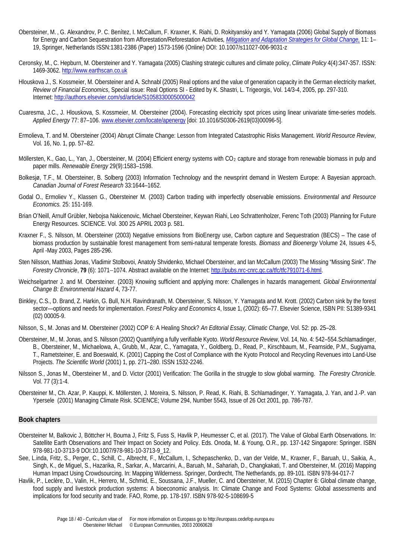- Obersteiner, M. , G. Alexandrov, P. C. Benítez, I. McCallum, F. Kraxner, K. Riahi, D. Rokityanskiy and Y. Yamagata (2006) Global Supply of Biomass for Energy and Carbon Sequestration from Afforestation/Reforestation Activities*, [Mitigation and Adaptation Strategies for Global Change,](http://www.springerlink.com/%28hk3ybtznzfqvqb55nhqse1fc%29/app/home/journal.asp?referrer=searchresults&id=102962&backto=searcharticlesresults,7,11;)* 11: 1– 19, Springer, Netherlands ISSN:1381-2386 (Paper) 1573-1596 (Online) DOI: 10.1007/s11027-006-9031-z
- Ceronsky, M., C. Hepburn, M. Obersteiner and Y. Yamagata (2005) Clashing strategic cultures and climate policy, *Climate Policy* 4(4):347-357. ISSN: 1469-3062[. http://www.earthscan.co.uk](http://www.earthscan.co.uk/)
- Hlouskova J., S. Kossmeier, M. Obersteiner and A. Schnabl (2005) Real options and the value of generation capacity in the German electricity market, *Review of Financial Economics*, Special issue: Real Options SI - Edited by K. Shastri, L. Trigeorgis, Vol. 14/3-4, 2005, pp. 297-310. Internet:<http://authors.elsevier.com/sd/article/S1058330005000042>
- Cuaresma, J.C., J. Hlouskova, S. Kossmeier, M. Obersteiner (2004). Forecasting electricity spot prices using linear univariate time-series models. *Applied Energy* 77: 87–106. [www.elsevier.com/locate/apenergy](http://www.elsevier.com/locate/apenergy) [doi: 10.1016/S0306-2619(03)00096-5].
- Ermolieva, T. and M. Obersteiner (2004) Abrupt Climate Change: Lesson from Integrated Catastrophic Risks Management. *World Resource Review*, Vol. 16, No. 1, pp. 57–82.
- Möllersten, K., Gao, L., Yan, J., Obersteiner, M. (2004) Efficient energy systems with CO<sub>2</sub> capture and storage from renewable biomass in pulp and paper mills. *Renewable Energy* 29(9):1583–1598.
- Bolkesjø, T.F., M. Obersteiner, B. Solberg (2003) Information Technology and the newsprint demand in Western Europe: A Bayesian approach. *Canadian Journal of Forest Research* 33:1644–1652.
- Godal O., Ermoliev Y., Klassen G., Obersteiner M. (2003) Carbon trading with imperfectly observable emissions. *Environmental and Resource Economics.* 25: 151-169.
- Brian O'Neill, Arnulf Grübler, Nebojsa Nakicenovic, Michael Obersteiner, Keywan Riahi, Leo Schrattenholzer, Ferenc Toth (2003) Planning for Future Energy Resources. SCIENCE. Vol. 300 25 APRIL 2003 p. 581.
- Kraxner F., S. Nilsson, M. Obersteiner (2003) Negative emissions from BioEnergy use, Carbon capture and Sequestration (BECS) The case of biomass production by sustainable forest management from semi-natural temperate forests. *Biomass and Bioenergy* Volume 24, Issues 4-5, April -May 2003, Pages 285-296.
- Sten Nilsson, Matthias Jonas, Vladimir Stolbovoi, Anatoly Shvidenko, Michael Obersteiner, and Ian McCallum (2003) The Missing "Missing Sink". *The Forestry Chronicle*, **79** (6): 1071−1074. Abstract available on the Internet[: http://pubs.nrc-cnrc.gc.ca/tfc/tfc791071-6.html.](http://pubs.nrc-cnrc.gc.ca/tfc/tfc791071-6.html)
- Weichselgartner J. and M. Obersteiner. (2003) Knowing sufficient and applying more: Challenges in hazards management*. Global Environmental Change B: Environmental Hazard* 4, 73-77.
- Binkley, C.S., D. Brand, Z. Harkin, G. Bull, N.H. Ravindranath, M. Obersteiner, S. Nilsson, Y. Yamagata and M. Krott. (2002) Carbon sink by the forest sector—options and needs for implementation. *Forest Policy and Economics* 4, Issue 1, (2002): 65–77. Elsevier Science, ISBN PII: S1389-9341 (02) 00005-9.

Nilsson, S., M. Jonas and M. Obersteiner (2002) COP 6: A Healing Shock? *An Editorial Essay, Climatic Change*, Vol. 52: pp. 25–28.

- Obersteiner, M., M. Jonas, and S. Nilsson (2002) Quantifying a fully verifiable Kyoto. *World Resource Review*, Vol. 14, No. 4: 542–554.Schlamadinger, B., Obersteiner, M., Michaelowa, A., Grubb, M., Azar, C., Yamagata, Y., Goldberg, D., Read, P., Kirschbaum, M., Fearnside, P.M., Sugiyama, T., Rametsteiner, E. and Boeswald, K. (2001) Capping the Cost of Compliance with the Kyoto Protocol and Recycling Revenues into Land-Use Projects. *The Scientific World* (2001) 1, pp. 271–280. ISSN 1532-2246.
- Nilsson S., Jonas M., Obersteiner M., and D. Victor (2001) Verification: The Gorilla in the struggle to slow global warming. *The Forestry Chronicle.* Vol. 77 (3):1-4.
- Obersteiner M., Ch. Azar, P. Kauppi, K. Möllersten, J. Moreira, S. Nilsson, P. Read, K. Riahi, B. Schlamadinger, Y. Yamagata, J. Yan, and J.-P. van Ypersele (2001) Managing Climate Risk. SCIENCE; Volume 294, Number 5543, Issue of 26 Oct 2001, pp. 786-787.

# **Book chapters**

- Obersteiner M, Balkovic J, Böttcher H, Bouma J, Fritz S, Fuss S, Havlik P, Heumesser C, et al. (2017). The Value of Global Earth Observations. In: Satellite Earth Observations and Their Impact on Society and Policy. Eds. Onoda, M. & Young, O.R., pp. 137-142 Singapore: Springer. ISBN 978-981-10-3713-9 DOI:10.1007/978-981-10-3713-9\_12.
- See, L.inda, Fritz, S., Perger, C., Schill, C., Albrecht, F., McCallum, I., Schepaschenko, D., van der Velde, M., Kraxner, F., Baruah, U., Saikia, A., Singh, K., de Miguel, S., Hazarika, R., Sarkar, A., Marcarini, A., Baruah, M., Sahariah, D., Changkakati, T. and Obersteiner, M. (2016) Mapping Human Impact Using Crowdsourcing. In: Mapping Wilderness. Springer, Dordrecht, The Netherlands, pp. 89-101. ISBN 978-94-017-7
- Havlik, P., Leclère, D., Valin, H., Herrero, M., Schmid, E., Soussana, J.F., Mueller, C. and Obersteiner, M. (2015) Chapter 6: Global climate change, food supply and livestock production systems: A bioeconomic analysis. In: Climate Change and Food Systems: Global assessments and implications for food security and trade. FAO, Rome, pp. 178-197. ISBN 978-92-5-108699-5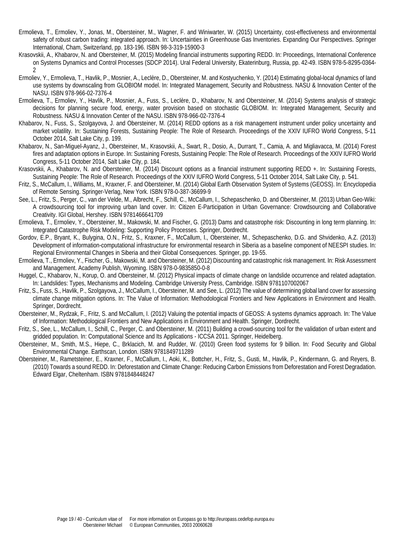- Ermolieva, T., Ermoliev, Y., Jonas, M., Obersteiner, M., Wagner, F. and Winiwarter, W. (2015) Uncertainty, cost-effectiveness and environmental safety of robust carbon trading: integrated approach. In: Uncertainties in Greenhouse Gas Inventories. Expanding Our Perspectives. Springer International, Cham, Switzerland, pp. 183-196. ISBN 98-3-319-15900-3
- Krasovskii, A., Khabarov, N. and Obersteiner, M. (2015) Modeling financial instruments supporting REDD. In: Proceedings, International Conference on Systems Dynamics and Control Processes (SDCP 2014). Ural Federal University, Ekaterinburg, Russia, pp. 42-49. ISBN 978-5-8295-0364- 2
- Ermoliev, Y., Ermolieva, T., Havlik, P., Mosnier, A., Leclère, D., Obersteiner, M. and Kostyuchenko, Y. (2014) Estimating global-local dynamics of land use systems by downscaling from GLOBIOM model. In: Integrated Management, Security and Robustness. NASU & Innovation Center of the NASU. ISBN 978-966-02-7376-4
- Ermolieva, T., Ermoliev, Y., Havlik, P., Mosnier, A., Fuss, S., Leclère, D., Khabarov, N. and Obersteiner, M. (2014) Systems analysis of strategic decisions for planning secure food, energy, water provision based on stochastic GLOBIOM. In: Integrated Management, Security and Robustness. NASU & Innovation Center of the NASU. ISBN 978-966-02-7376-4
- Khabarov, N., Fuss, S., Szolgayova, J. and Obersteiner, M. (2014) REDD options as a risk management instrument under policy uncertainty and market volatility. In: Sustaining Forests, Sustaining People: The Role of Research. Proceedings of the XXIV IUFRO World Congress, 5-11 October 2014, Salt Lake City, p. 199.
- Khabarov, N., San-Miguel-Ayanz, J., Obersteiner, M., Krasovskii, A., Swart, R., Dosio, A., Durrant, T., Camia, A. and Migliavacca, M. (2014) Forest fires and adaptation options in Europe. In: Sustaining Forests, Sustaining People: The Role of Research. Proceedings of the XXIV IUFRO World Congress, 5-11 October 2014, Salt Lake City, p. 184.
- Krasovskii, A., Khabarov, N. and Obersteiner, M. (2014) Discount options as a financial instrument supporting REDD +. In: Sustaining Forests, Sustaining People: The Role of Research. Proceedings of the XXIV IUFRO World Congress, 5-11 October 2014, Salt Lake City, p. 541.
- Fritz, S., McCallum, I., Williams, M., Kraxner, F. and Obersteiner, M. (2014) Global Earth Observation System of Systems (GEOSS). In: Encyclopedia of Remote Sensing. Springer-Verlag, New York. ISBN 978-0-387-36699-9
- See, L., Fritz, S., Perger, C., van der Velde, M., Albrecht, F., Schill, C., McCallum, I., Schepaschenko, D. and Obersteiner, M. (2013) Urban Geo-Wiki: A crowdsourcing tool for improving urban land cover. In: Citizen E-Participation in Urban Governance: Crowdsourcing and Collaborative Creativity. IGI Global, Hershey. ISBN 9781466641709
- Ermolieva, T., Ermoliev, Y., Obersteiner, M., Makowski, M. and Fischer, G. (2013) Dams and catastrophe risk: Discounting in long term planning. In: Integrated Catastrophe Risk Modeling: Supporting Policy Processes. Springer, Dordrecht.
- Gordov, E.P., Bryant, K., Bulygina, O.N., Fritz, S., Kraxner, F., McCallum, I., Obersteiner, M., Schepaschenko, D.G. and Shvidenko, A.Z. (2013) Development of information-computational infrastructure for environmental research in Siberia as a baseline component of NEESPI studies. In: Regional Environmental Changes in Siberia and their Global Consequences. Springer, pp. 19-55.
- Ermolieva, T., Ermoliev, Y., Fischer, G., Makowski, M. and Obersteiner, M. (2012) Discounting and catastrophic risk management. In: Risk Assessment and Management. Academy Publish, Wyoming. ISBN 978-0-9835850-0-8
- Huggel, C., Khabarov, N., Korup, O. and Obersteiner, M. (2012) Physical impacts of climate change on landslide occurrence and related adaptation. In: Landslides: Types, Mechanisms and Modeling. Cambridge University Press, Cambridge. ISBN 9781107002067
- Fritz, S., Fuss, S., Havlik, P., Szolgayova, J., McCallum, I., Obersteiner, M. and See, L. (2012) The value of determining global land cover for assessing climate change mitigation options. In: The Value of Information: Methodological Frontiers and New Applications in Environment and Health. Springer, Dordrecht.
- Obersteiner, M., Rydzak, F., Fritz, S. and McCallum, I. (2012) Valuing the potential impacts of GEOSS: A systems dynamics approach. In: The Value of Information: Methodological Frontiers and New Applications in Environment and Health. Springer, Dordrecht.
- Fritz, S., See, L., McCallum, I., Schill, C., Perger, C. and Obersteiner, M. (2011) Building a crowd-sourcing tool for the validation of urban extent and gridded population. In: Computational Science and Its Applications - ICCSA 2011. Springer, Heidelberg.
- Obersteiner, M., Smith, M.S., Hiepe, C., Brklacich, M. and Rudder, W. (2010) Green food systems for 9 billion. In: Food Security and Global Environmental Change. Earthscan, London. ISBN 9781849711289
- Obersteiner, M., Rametsteiner, E., Kraxner, F., McCallum, I., Aoki, K., Bottcher, H., Fritz, S., Gusti, M., Havlik, P., Kindermann, G. and Reyers, B. (2010) Towards a sound REDD. In: Deforestation and Climate Change: Reducing Carbon Emissions from Deforestation and Forest Degradation. Edward Elgar, Cheltenham. ISBN 9781848448247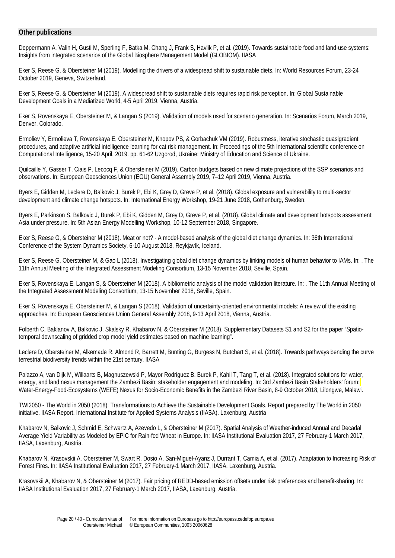# **Other publications**

Deppermann A, Valin H, Gusti M, Sperling F, Batka M, Chang J, Frank S, Havlik P, et al. (2019). Towards sustainable food and land-use systems: Insights from integrated scenarios of the Global Biosphere Management Model (GLOBIOM). IIASA

Eker S, Reese G, & Obersteiner M (2019). Modelling the drivers of a widespread shift to sustainable diets. In: World Resources Forum, 23-24 October 2019, Geneva, Switzerland.

Eker S, Reese G, & Obersteiner M (2019). A widespread shift to sustainable diets requires rapid risk perception. In: Global Sustainable Development Goals in a Mediatized World, 4-5 April 2019, Vienna, Austria.

Eker S, Rovenskaya E, Obersteiner M, & Langan S (2019). Validation of models used for scenario generation. In: Scenarios Forum, March 2019, Denver, Colorado.

Ermoliev Y, Ermolieva T, Rovenskaya E, Obersteiner M, Knopov PS, & Gorbachuk VM (2019). Robustness, iterative stochastic quasigradient procedures, and adaptive artificial intelligence learning for cat risk management. In: Proceedings of the 5th International scientific conference on Computational Intelligence, 15-20 April, 2019. pp. 61-62 Uzgorod, Ukraine: Ministry of Education and Science of Ukraine.

Quilcaille Y, Gasser T, Ciais P, Lecocq F, & Obersteiner M (2019). Carbon budgets based on new climate projections of the SSP scenarios and observations. In: European Geosciences Union (EGU) General Assembly 2019, 7–12 April 2019, Vienna, Austria.

Byers E, Gidden M, Leclere D, Balkovic J, Burek P, Ebi K, Grey D, Greve P, et al. (2018). Global exposure and vulnerability to multi-sector development and climate change hotspots. In: International Energy Workshop, 19-21 June 2018, Gothenburg, Sweden.

Byers E, Parkinson S, Balkovic J, Burek P, Ebi K, Gidden M, Grey D, Greve P, et al. (2018). Global climate and development hotspots assessment: Asia under pressure. In: 5th Asian Energy Modelling Workshop, 10-12 September 2018, Singapore.

Eker S, Reese G, & Obersteiner M (2018). Meat or not? - A model-based analysis of the global diet change dynamics. In: 36th International Conference of the System Dynamics Society, 6-10 August 2018, Reykjavík, Iceland.

Eker S, Reese G, Obersteiner M, & Gao L (2018). Investigating global diet change dynamics by linking models of human behavior to IAMs. In: . The 11th Annual Meeting of the Integrated Assessment Modeling Consortium, 13-15 November 2018, Seville, Spain.

Eker S, Rovenskaya E, Langan S, & Obersteiner M (2018). A bibliometric analysis of the model validation literature. In: . The 11th Annual Meeting of the Integrated Assessment Modeling Consortium, 13-15 November 2018, Seville, Spain.

Eker S, Rovenskaya E, Obersteiner M, & Langan S (2018). Validation of uncertainty-oriented environmental models: A review of the existing approaches. In: European Geosciences Union General Assembly 2018, 9-13 April 2018, Vienna, Austria.

Folberth C, Baklanov A, Balkovic J, Skalsky R, Khabarov N, & Obersteiner M (2018). Supplementary Datasets S1 and S2 for the paper "Spatiotemporal downscaling of gridded crop model yield estimates based on machine learning".

Leclere D, Obersteiner M, Alkemade R, Almond R, Barrett M, Bunting G, Burgess N, Butchart S, et al. (2018). Towards pathways bending the curve terrestrial biodiversity trends within the 21st century. IIASA

Palazzo A, van Dijk M, Willaarts B, Magnuszewski P, Mayor Rodriguez B, Burek P, Kahil T, Tang T, et al. (2018). Integrated solutions for water, energy, and land nexus management the Zambezi Basin: stakeholder engagement and modeling. In: 3rd Zambezi Basin Stakeholders' forum: Water-Energy-Food-Ecosystems (WEFE) Nexus for Socio-Economic Benefits in the Zambezi River Basin, 8-9 October 2018, Lilongwe, Malawi.

TWI2050 - The World in 2050 (2018). Transformations to Achieve the Sustainable Development Goals. Report prepared by The World in 2050 initiative. IIASA Report. International Institute for Applied Systems Analysis (IIASA). Laxenburg, Austria

Khabarov N, Balkovic J, Schmid E, Schwartz A, Azevedo L, & Obersteiner M (2017). Spatial Analysis of Weather-induced Annual and Decadal Average Yield Variability as Modeled by EPIC for Rain-fed Wheat in Europe. In: IIASA Institutional Evaluation 2017, 27 February-1 March 2017, IIASA, Laxenburg, Austria.

Khabarov N, Krasovskii A, Obersteiner M, Swart R, Dosio A, San-Miguel-Ayanz J, Durrant T, Camia A, et al. (2017). Adaptation to Increasing Risk of Forest Fires. In: IIASA Institutional Evaluation 2017, 27 February-1 March 2017, IIASA, Laxenburg, Austria.

Krasovskii A, Khabarov N, & Obersteiner M (2017). Fair pricing of REDD-based emission offsets under risk preferences and benefit-sharing. In: IIASA Institutional Evaluation 2017, 27 February-1 March 2017, IIASA, Laxenburg, Austria.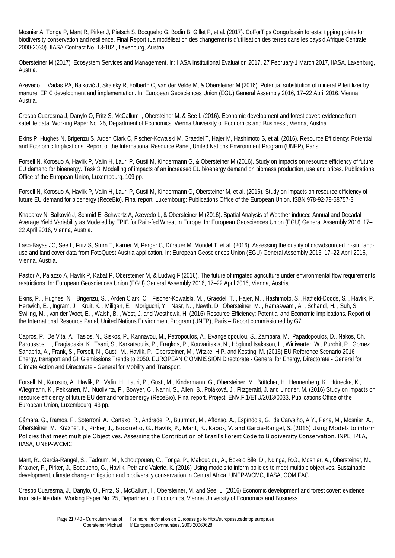Mosnier A, Tonga P, Mant R, Pirker J, Pietsch S, Bocqueho G, Bodin B, Gillet P, et al. (2017). CoForTips Congo basin forests: tipping points for biodiversity conservation and resilience. Final Report (La modélisation des changements d'utilisation des terres dans les pays d'Afrique Centrale 2000-2030). IIASA Contract No. 13-102 , Laxenburg, Austria.

Obersteiner M (2017). Ecosystem Services and Management. In: IIASA Institutional Evaluation 2017, 27 February-1 March 2017, IIASA, Laxenburg, Austria.

Azevedo L, Vadas PA, Balkovič J, Skalsky R, Folberth C, van der Velde M, & Obersteiner M (2016). Potential substitution of mineral P fertilizer by manure: EPIC development and implementation. In: European Geosciences Union (EGU) General Assembly 2016, 17–22 April 2016, Vienna, Austria.

Crespo Cuaresma J, Danylo O, Fritz S, McCallum I, Obersteiner M, & See L (2016). Economic development and forest cover: evidence from satellite data. Working Paper No. 25, Department of Economics, Vienna University of Economics and Business , Vienna, Austria.

Ekins P, Hughes N, Brigenzu S, Arden Clark C, Fischer-Kowalski M, Graedel T, Hajer M, Hashimoto S, et al. (2016). Resource Efficiency: Potential and Economic Implications. Report of the International Resource Panel, United Nations Environment Program (UNEP), Paris

Forsell N, Korosuo A, Havlik P, Valin H, Lauri P, Gusti M, Kindermann G, & Obersteiner M (2016). Study on impacts on resource efficiency of future EU demand for bioenergy. Task 3: Modelling of impacts of an increased EU bioenergy demand on biomass production, use and prices. Publications Office of the European Union, Luxembourg, 109 pp.

Forsell N, Korosuo A, Havlik P, Valin H, Lauri P, Gusti M, Kindermann G, Obersteiner M, et al. (2016). Study on impacts on resource efficiency of future EU demand for bioenergy (ReceBio). Final report. Luxembourg: Publications Office of the European Union. ISBN 978-92-79-58757-3

Khabarov N, Balkovič J, Schmid E, Schwartz A, Azevedo L, & Obersteiner M (2016). Spatial Analysis of Weather-induced Annual and Decadal Average Yield Variability as Modeled by EPIC for Rain-fed Wheat in Europe. In: European Geosciences Union (EGU) General Assembly 2016, 17– 22 April 2016, Vienna, Austria.

Laso-Bayas JC, See L, Fritz S, Sturn T, Karner M, Perger C, Dürauer M, Mondel T, et al. (2016). Assessing the quality of crowdsourced in-situ landuse and land cover data from FotoQuest Austria application. In: European Geosciences Union (EGU) General Assembly 2016, 17–22 April 2016, Vienna, Austria.

Pastor A, Palazzo A, Havlik P, Kabat P, Obersteiner M, & Ludwig F (2016). The future of irrigated agriculture under environmental flow requirements restrictions. In: European Geosciences Union (EGU) General Assembly 2016, 17–22 April 2016, Vienna, Austria.

Ekins, P. , Hughes, N. , Brigenzu, S. , Arden Clark, C. , Fischer-Kowalski, M. , Graedel, T. , Hajer, M. , Hashimoto, S. ,Hatfield-Dodds, S. , Havlik, P., Hertwich, E. , Ingram, J. , Kruit, K. , Miligan, E. , Moriguchi, Y. , Nasr, N. , Newth, D. ,Obersteiner, M. , Ramaswami, A. , Schandl, H. , Suh, S. , Swiling, M. , van der Woet, E. , Walsh, B. , West, J. and Westhowk, H. (2016) Resource Efficiency: Potential and Economic Implications. Report of the International Resource Panel, United Nations Environment Program (UNEP), Paris – Report commissioned by G7.

Capros, P., De Vita, A., Tasios, N., Siskos, P., Kannavou, M., Petropoulos, A., Evangelopoulou, S., Zampara, M., Papadopoulos, D., Nakos, Ch., Paroussos, L., Fragiadakis, K., Tsani, S., Karkatsoulis, P., Fragkos, P., Kouvaritakis, N., Höglund Isaksson, L., Winiwarter, W., Purohit, P., Gomez Sanabria, A., Frank, S., Forsell, N., Gusti, M., Havlik, P., Obersteiner, M., Witzke, H.P. and Kesting, M. (2016) EU Reference Scenario 2016 - Energy, transport and GHG emissions Trends to 2050. EUROPEAN C OMMISSION Directorate - General for Energy, Directorate - General for Climate Action and Directorate - General for Mobility and Transport.

Forsell, N., Korosuo, A., Havlik, P., Valin, H., Lauri, P., Gusti, M., Kindermann, G., Obersteiner, M., Böttcher, H., Hennenberg, K., Hünecke, K., Wiegmann, K., Pekkanen, M., Nuolivirta, P., Bowyer, C., Nanni, S., Allen, B., Poláková, J., Fitzgerald, J. and Lindner, M. (2016) Study on impacts on resource efficiency of future EU demand for bioenergy (ReceBio). Final report. Project: ENV.F.1/ETU/2013/0033. Publications Office of the European Union, Luxembourg, 43 pp.

Câmara, G., Ramos, F., Soterroni, A., Cartaxo, R., Andrade, P., Buurman, M., Affonso, A., Espíndola, G., de Carvalho, A.Y., Pena, M., Mosnier, A., Obersteiner, M., Kraxner, F., Pirker, J., Bocqueho, G., Havlik, P., Mant, R., Kapos, V. and Garcia-Rangel, S. (2016) Using Models to inform Policies that meet multiple Objectives. Assessing the Contribution of Brazil's Forest Code to Biodiversity Conservation. INPE, IPEA, IIASA, UNEP-WCMC

Mant, R., Garcia-Rangel, S., Tadoum, M., Nchoutpouen, C., Tonga, P., Makoudjou, A., Bokelo Bile, D., Ndinga, R.G., Mosnier, A., Obersteiner, M., Kraxner, F., Pirker, J., Bocqueho, G., Havlik, Petr and Valerie, K. (2016) Using models to inform policies to meet multiple objectives. Sustainable development, climate change mitigation and biodiversity conservation in Central Africa. UNEP-WCMC, IIASA, COMIFAC

Crespo Cuaresma, J., Danylo, O., Fritz, S., McCallum, I., Obersteiner, M. and See, L. (2016) Economic development and forest cover: evidence from satellite data. Working Paper No. 25, Department of Economics, Vienna University of Economics and Business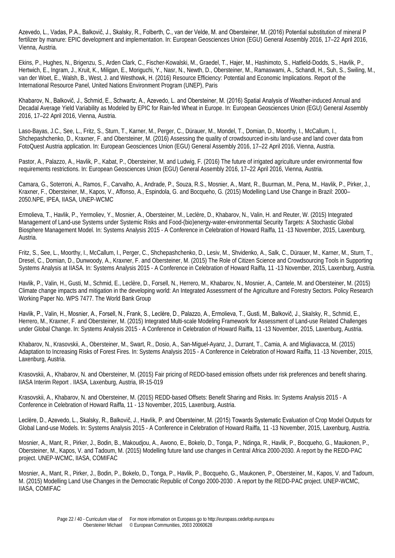Azevedo, L., Vadas, P.A., Balkovič, J., Skalsky, R., Folberth, C., van der Velde, M. and Obersteiner, M. (2016) Potential substitution of mineral P fertilizer by manure: EPIC development and implementation. In: European Geosciences Union (EGU) General Assembly 2016, 17–22 April 2016, Vienna, Austria.

Ekins, P., Hughes, N., Brigenzu, S., Arden Clark, C., Fischer-Kowalski, M., Graedel, T., Hajer, M., Hashimoto, S., Hatfield-Dodds, S., Havlik, P., Hertwich, E., Ingram, J., Kruit, K., Miligan, E., Moriguchi, Y., Nasr, N., Newth, D., Obersteiner, M., Ramaswami, A., Schandl, H., Suh, S., Swiling, M., van der Woet, E., Walsh, B., West, J. and Westhowk, H. (2016) Resource Efficiency: Potential and Economic Implications. Report of the International Resource Panel, United Nations Environment Program (UNEP), Paris

Khabarov, N., Balkovič, J., Schmid, E., Schwartz, A., Azevedo, L. and Obersteiner, M. (2016) Spatial Analysis of Weather-induced Annual and Decadal Average Yield Variability as Modeled by EPIC for Rain-fed Wheat in Europe. In: European Geosciences Union (EGU) General Assembly 2016, 17–22 April 2016, Vienna, Austria.

Laso-Bayas, J.C., See, L., Fritz, S., Sturn, T., Karner, M., Perger, C., Dürauer, M., Mondel, T., Domian, D., Moorthy, I., McCallum, I., Shchepashchenko, D., Kraxner, F. and Obersteiner, M. (2016) Assessing the quality of crowdsourced in-situ land-use and land cover data from FotoQuest Austria application. In: European Geosciences Union (EGU) General Assembly 2016, 17–22 April 2016, Vienna, Austria.

Pastor, A., Palazzo, A., Havlik, P., Kabat, P., Obersteiner, M. and Ludwig, F. (2016) The future of irrigated agriculture under environmental flow requirements restrictions. In: European Geosciences Union (EGU) General Assembly 2016, 17–22 April 2016, Vienna, Austria.

Camara, G., Soterroni, A., Ramos, F., Carvalho, A., Andrade, P., Souza, R.S., Mosnier, A., Mant, R., Buurman, M., Pena, M., Havlik, P., Pirker, J., Kraxner, F., Obersteiner, M., Kapos, V., Affonso, A., Espindola, G. and Bocqueho, G. (2015) Modelling Land Use Change in Brazil: 2000– 2050.NPE, IPEA, IIASA, UNEP-WCMC

Ermolieva, T., Havlik, P., Yermoliev, Y., Mosnier, A., Obersteiner, M., Leclère, D., Khabarov, N., Valin, H. and Reuter, W. (2015) Integrated Management of Land-use Systems under Systemic Risks and Food-(bio)energy-water-environmental Security Targets: A Stochastic Global Biosphere Management Model. In: Systems Analysis 2015 - A Conference in Celebration of Howard Raiffa, 11 -13 November, 2015, Laxenburg, Austria.

Fritz, S., See, L., Moorthy, I., McCallum, I., Perger, C., Shchepashchenko, D., Lesiv, M., Shvidenko, A., Salk, C., Dürauer, M., Karner, M., Sturn, T., Dresel, C., Domian, D., Dunwoody, A., Kraxner, F. and Obersteiner, M. (2015) The Role of Citizen Science and Crowdsourcing Tools in Supporting Systems Analysis at IIASA. In: Systems Analysis 2015 - A Conference in Celebration of Howard Raiffa, 11 -13 November, 2015, Laxenburg, Austria.

Havlik, P., Valin, H., Gusti, M., Schmid, E., Leclère, D., Forsell, N., Herrero, M., Khabarov, N., Mosnier, A., Cantele, M. and Obersteiner, M. (2015) Climate change impacts and mitigation in the developing world: An Integrated Assessment of the Agriculture and Forestry Sectors. Policy Research Working Paper No. WPS 7477. The World Bank Group

Havlik, P., Valin, H., Mosnier, A., Forsell, N., Frank, S., Leclère, D., Palazzo, A., Ermolieva, T., Gusti, M., Balkovič, J., Skalsky, R., Schmid, E., Herrero, M., Kraxner, F. and Obersteiner, M. (2015) Integrated Multi-scale Modeling Framework for Assessment of Land-use Related Challenges under Global Change. In: Systems Analysis 2015 - A Conference in Celebration of Howard Raiffa, 11 -13 November, 2015, Laxenburg, Austria.

Khabarov, N., Krasovskii, A., Obersteiner, M., Swart, R., Dosio, A., San-Miguel-Ayanz, J., Durrant, T., Camia, A. and Migliavacca, M. (2015) Adaptation to Increasing Risks of Forest Fires. In: Systems Analysis 2015 - A Conference in Celebration of Howard Raiffa, 11 -13 November, 2015, Laxenburg, Austria.

Krasovskii, A., Khabarov, N. and Obersteiner, M. (2015) Fair pricing of REDD-based emission offsets under risk preferences and benefit sharing. IIASA Interim Report . IIASA, Laxenburg, Austria, IR-15-019

Krasovskii, A., Khabarov, N. and Obersteiner, M. (2015) REDD-based Offsets: Benefit Sharing and Risks. In: Systems Analysis 2015 - A Conference in Celebration of Howard Raiffa, 11 - 13 November, 2015, Laxenburg, Austria.

Leclère, D., Azevedo, L., Skalsky, R., Balkovič, J., Havlik, P. and Obersteiner, M. (2015) Towards Systematic Evaluation of Crop Model Outputs for Global Land-use Models. In: Systems Analysis 2015 - A Conference in Celebration of Howard Raiffa, 11 -13 November, 2015, Laxenburg, Austria.

Mosnier, A., Mant, R., Pirker, J., Bodin, B., Makoudjou, A., Awono, E., Bokelo, D., Tonga, P., Ndinga, R., Havlik, P., Bocqueho, G., Maukonen, P., Obersteiner, M., Kapos, V. and Tadoum, M. (2015) Modelling future land use changes in Central Africa 2000-2030. A report by the REDD-PAC project. UNEP-WCMC, IIASA, COMIFAC

Mosnier, A., Mant, R., Pirker, J., Bodin, P., Bokelo, D., Tonga, P., Havlik, P., Bocqueho, G., Maukonen, P., Obersteiner, M., Kapos, V. and Tadoum, M. (2015) Modelling Land Use Changes in the Democratic Republic of Congo 2000-2030 . A report by the REDD-PAC project. UNEP-WCMC, IIASA, COMIFAC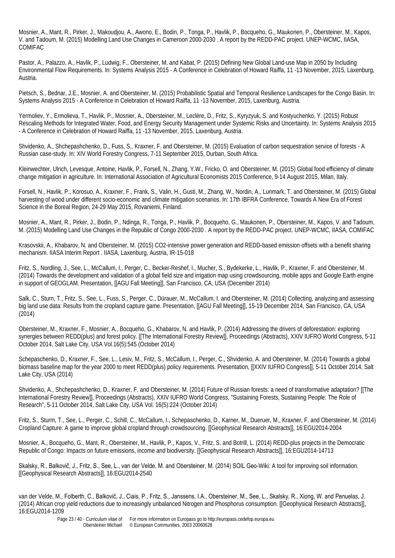Mosnier, A., Mant, R., Pirker, J., Makoudjou, A., Awono, E., Bodin, P., Tonga, P., Havlik, P., Bocqueho, G., Maukonen, P., Obersteiner, M., Kapos, V. and Tadoum, M. (2015) Modelling Land Use Changes in Cameroon 2000-2030 . A report by the REDD-PAC project. UNEP-WCMC, IIASA, COMIFAC

Pastor, A., Palazzo, A., Havlik, P., Ludwig, F., Obersteiner, M. and Kabat, P. (2015) Defining New Global Land-use Map in 2050 by Including Environmental Flow Requirements. In: Systems Analysis 2015 - A Conference in Celebration of Howard Raiffa, 11 -13 November, 2015, Laxenburg, Austria.

Pietsch, S., Bednar, J.E., Mosnier, A. and Obersteiner, M. (2015) Probabilistic Spatial and Temporal Resilience Landscapes for the Congo Basin. In: Systems Analysis 2015 - A Conference in Celebration of Howard Raiffa, 11 -13 November, 2015, Laxenburg, Austria.

Yermoliev, Y., Ermolieva, T., Havlik, P., Mosnier, A., Obersteiner, M., Leclère, D., Fritz, S., Kyryzyuk, S. and Kostyuchenko, Y. (2015) Robust Rescaling Methods for Integrated Water, Food, and Energy Security Management under Systemic Risks and Uncertainty. In: Systems Analysis 2015 - A Conference in Celebration of Howard Raiffa, 11 -13 November, 2015, Laxenburg, Austria.

Shvidenko, A., Shchepashchenko, D., Fuss, S., Kraxner, F. and Obersteiner, M. (2015) Evaluation of carbon sequestration service of forests - A Russian case-study. In: XIV World Forestry Congress, 7-11 September 2015, Durban, South Africa.

Kleinwechter, Ulrich, Levesque, Antoine, Havlik, P., Forsell, N., Zhang, Y.W., Fricko, O. and Obersteiner, M. (2015) Global food efficiency of climate change mitigation in agriculture. In: International Association of Agricultural Economists 2015 Conference, 9-14 August 2015, Milan, Italy.

Forsell, N., Havlik, P., Korosuo, A., Kraxner, F., Frank, S., Valin, H., Gusti, M., Zhang, W., Nordin, A., Lunmark, T. and Obersteiner, M. (2015) Global harvesting of wood under different socio-economic and climate mitigation scenarios. In: 17th IBFRA Conference, Towards A New Era of Forest Science in the Boreal Region, 24-29 May 2015, Rovaniemi, Finland.

Mosnier, A., Mant, R., Pirker, J., Bodin, P., Ndinga, R., Tonga, P., Havlik, P., Bocqueho, G., Maukonen, P., Obersteiner, M., Kapos, V. and Tadoum, M. (2015) Modelling Land Use Changes in the Republic of Congo 2000-2030 . A report by the REDD-PAC project. UNEP-WCMC, IIASA, COMIFAC

Krasovskii, A., Khabarov, N. and Obersteiner, M. (2015) CO2-intensive power generation and REDD-based emission offsets with a benefit sharing mechanism. IIASA Interim Report . IIASA, Laxenburg, Austria, IR-15-018

Fritz, S., Nordling, J., See, L., McCallum, I., Perger, C., Becker-Reshef, I., Mucher, S., Bydekerke, L., Havlik, P., Kraxner, F. and Obersteiner, M. (2014) Towards the development and validation of a global field size and irrigation map using crowdsourcing, mobile apps and Google Earth engine in support of GEOGLAM. Presentation, [[AGU Fall Meeting]], San Francisco, CA, USA (December 2014)

Salk, C., Sturn, T., Fritz, S., See, L., Fuss, S., Perger, C., Dürauer, M., McCallum, I. and Obersteiner, M. (2014) Collecting, analyzing and assessing big land use data: Results from the cropland capture game. Presentation, [[AGU Fall Meeting]], 15-19 December 2014, San Francisco, CA, USA (2014)

Obersteiner, M., Kraxner, F., Mosnier, A., Bocqueho, G., Khabarov, N. and Havlik, P. (2014) Addressing the drivers of deforestation: exploring synergies between REDD(plus) and forest policy. [[The International Forestry Review]], Proceedings (Abstracts), XXIV IUFRO World Congress, 5-11 October 2014, Salt Lake City, USA Vol.16(5):545 (October 2014)

Schepaschenko, D., Kraxner, F., See, L., Lesiv, M., Fritz, S., McCallum, I., Perger, C., Shvidenko, A. and Obersteiner, M. (2014) Towards a global biomass baseline map for the year 2000 to meet REDD(plus) policy requirements. Presentation, [[XXIV IUFRO Congress]], 5-11 October 2014, Salt Lake City, USA (2014)

Shvidenko, A., Shchepashchenko, D., Kraxner, F. and Obersteiner, M. (2014) Future of Russian forests: a need of transformative adaptation? [[The International Forestry Review]], Proceedings (Abstracts), XXIV IUFRO World Congress, "Sustaining Forests, Sustaining People: The Role of Research", 5-11 October 2014, Salt Lake City, USA Vol. 16(5):224 (October 2014)

Fritz, S., Sturm, T., See, L., Perger, C., Schill, C., McCallum, I., Schepaschenko, D., Karner, M., Dueruer, M., Kraxner, F. and Obersteiner, M. (2014) Cropland Capture: A game to improve global cropland through crowdsourcing. [[Geophysical Research Abstracts]], 16:EGU2014-2004

Mosnier, A., Bocqueho, G., Mant, R., Obersteiner, M., Havlik, P., Kapos, V., Fritz, S. and Botrill, L. (2014) REDD-plus projects in the Democratic Republic of Congo: Impacts on future emissions, income and biodiversity. [[Geophysical Research Abstracts]], 16:EGU2014-14713

Skalsky, R., Balkovič, J., Fritz, S., See, L., van der Velde, M. and Obersteiner, M. (2014) SOIL Geo-Wiki: A tool for improving soil information. [[Geophysical Research Abstracts]], 16:EGU2014-2540

van der Velde, M., Folberth, C., Balkovič, J., Ciais, P., Fritz, S., Janssens, I.A., Obersteiner, M., See, L., Skalsky, R., Xiong, W. and Penuelas, J. (2014) African crop yield reductions due to increasingly unbalanced Nitrogen and Phosphorus consumption. [[Geophysical Research Abstracts]], 16:EGU2014-1209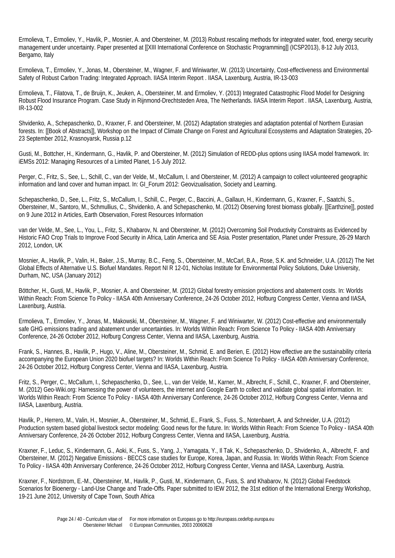Ermolieva, T., Ermoliev, Y., Havlik, P., Mosnier, A. and Obersteiner, M. (2013) Robust rescaling methods for integrated water, food, energy security management under uncertainty. Paper presented at [[XIII International Conference on Stochastic Programming]] (ICSP2013), 8-12 July 2013, Bergamo, Italy

Ermolieva, T., Ermoliev, Y., Jonas, M., Obersteiner, M., Wagner, F. and Winiwarter, W. (2013) Uncertainty, Cost-effectiveness and Environmental Safety of Robust Carbon Trading: Integrated Approach. IIASA Interim Report . IIASA, Laxenburg, Austria, IR-13-003

Ermolieva, T., Filatova, T., de Bruijn, K., Jeuken, A., Obersteiner, M. and Ermoliev, Y. (2013) Integrated Catastrophic Flood Model for Designing Robust Flood Insurance Program. Case Study in Rijnmond-Drechtsteden Area, The Netherlands. IIASA Interim Report . IIASA, Laxenburg, Austria, IR-13-002

Shvidenko, A., Schepaschenko, D., Kraxner, F. and Obersteiner, M. (2012) Adaptation strategies and adaptation potential of Northern Eurasian forests. In: [[Book of Abstracts]], Workshop on the Impact of Climate Change on Forest and Agricultural Ecosystems and Adaptation Strategies, 20- 23 September 2012, Krasnoyarsk, Russia p.12

Gusti, M., Bottcher, H., Kindermann, G., Havlik, P. and Obersteiner, M. (2012) Simulation of REDD-plus options using IIASA model framework. In: iEMSs 2012: Managing Resources of a Limited Planet, 1-5 July 2012.

Perger, C., Fritz, S., See, L., Schill, C., van der Velde, M., McCallum, I. and Obersteiner, M. (2012) A campaign to collect volunteered geographic information and land cover and human impact. In: GI\_Forum 2012: Geovizualisation, Society and Learning.

Schepaschenko, D., See, L., Fritz, S., McCallum, I., Schill, C., Perger, C., Baccini, A., Gallaun, H., Kindermann, G., Kraxner, F., Saatchi, S., Obersteiner, M., Santoro, M., Schmullius, C., Shvidenko, A. and Schepaschenko, M. (2012) Observing forest biomass globally. [[Earthzine]], posted on 9 June 2012 in Articles, Earth Observation, Forest Resources Information

van der Velde, M., See, L., You, L., Fritz, S., Khabarov, N. and Obersteiner, M. (2012) Overcoming Soil Productivity Constraints as Evidenced by Historic FAO Crop Trials to Improve Food Security in Africa, Latin America and SE Asia. Poster presentation, Planet under Pressure, 26-29 March 2012, London, UK

Mosnier, A., Havlik, P., Valin, H., Baker, J.S., Murray, B.C., Feng, S., Obersteiner, M., McCarl, B.A., Rose, S.K. and Schneider, U.A. (2012) The Net Global Effects of Alternative U.S. Biofuel Mandates. Report NI R 12-01, Nicholas Institute for Environmental Policy Solutions, Duke University, Durham, NC, USA (January 2012)

Böttcher, H., Gusti, M., Havlik, P., Mosnier, A. and Obersteiner, M. (2012) Global forestry emission projections and abatement costs. In: Worlds Within Reach: From Science To Policy - IIASA 40th Anniversary Conference, 24-26 October 2012, Hofburg Congress Center, Vienna and IIASA, Laxenburg, Austria.

Ermolieva, T., Ermoliev, Y., Jonas, M., Makowski, M., Obersteiner, M., Wagner, F. and Winiwarter, W. (2012) Cost-effective and environmentally safe GHG emissions trading and abatement under uncertainties. In: Worlds Within Reach: From Science To Policy - IIASA 40th Anniversary Conference, 24-26 October 2012, Hofburg Congress Center, Vienna and IIASA, Laxenburg, Austria.

Frank, S., Hannes, B., Havlik, P., Hugo, V., Aline, M., Obersteiner, M., Schmid, E. and Berien, E. (2012) How effective are the sustainability criteria accompanying the European Union 2020 biofuel targets? In: Worlds Within Reach: From Science To Policy - IIASA 40th Anniversary Conference, 24-26 October 2012, Hofburg Congress Center, Vienna and IIASA, Laxenburg, Austria.

Fritz, S., Perger, C., McCallum, I., Schepaschenko, D., See, L., van der Velde, M., Karner, M., Albrecht, F., Schill, C., Kraxner, F. and Obersteiner, M. (2012) Geo-Wiki.org: Harnessing the power of volunteers, the internet and Google Earth to collect and validate global spatial information. In: Worlds Within Reach: From Science To Policy - IIASA 40th Anniversary Conference, 24-26 October 2012, Hofburg Congress Center, Vienna and IIASA, Laxenburg, Austria.

Havlik, P., Herrero, M., Valin, H., Mosnier, A., Obersteiner, M., Schmid, E., Frank, S., Fuss, S., Notenbaert, A. and Schneider, U.A. (2012) Production system based global livestock sector modeling: Good news for the future. In: Worlds Within Reach: From Science To Policy - IIASA 40th Anniversary Conference, 24-26 October 2012, Hofburg Congress Center, Vienna and IIASA, Laxenburg, Austria.

Kraxner, F., Leduc, S., Kindermann, G., Aoki, K., Fuss, S., Yang, J., Yamagata, Y., Il Tak, K., Schepaschenko, D., Shvidenko, A., Albrecht, F. and Obersteiner, M. (2012) Negative Emissions - BECCS case studies for Europe, Korea, Japan, and Russia. In: Worlds Within Reach: From Science To Policy - IIASA 40th Anniversary Conference, 24-26 October 2012, Hofburg Congress Center, Vienna and IIASA, Laxenburg, Austria.

Kraxner, F., Nordstrom, E.-M., Obersteiner, M., Havlik, P., Gusti, M., Kindermann, G., Fuss, S. and Khabarov, N. (2012) Global Feedstock Scenarios for Bioenergy - Land-Use Change and Trade-Offs. Paper submitted to IEW 2012, the 31st edition of the International Energy Workshop, 19-21 June 2012, University of Cape Town, South Africa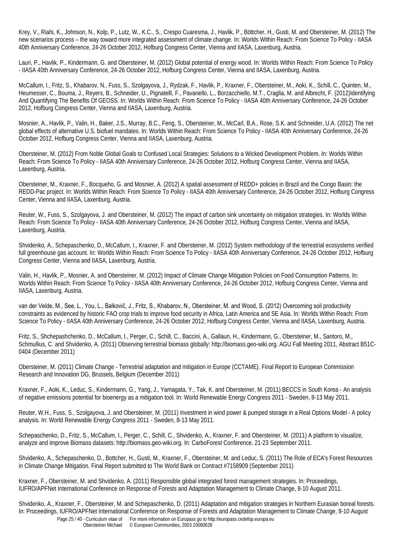Krey, V., Riahi, K., Johnson, N., Kolp, P., Lutz, W., K.C., S., Crespo Cuaresma, J., Havlik, P., Böttcher, H., Gusti, M. and Obersteiner, M. (2012) The new scenarios process – the way toward more integrated assessment of climate change. In: Worlds Within Reach: From Science To Policy - IIASA 40th Anniversary Conference, 24-26 October 2012, Hofburg Congress Center, Vienna and IIASA, Laxenburg, Austria.

Lauri, P., Havlik, P., Kindermann, G. and Obersteiner, M. (2012) Global potential of energy wood. In: Worlds Within Reach: From Science To Policy - IIASA 40th Anniversary Conference, 24-26 October 2012, Hofburg Congress Center, Vienna and IIASA, Laxenburg, Austria.

McCallum, I., Fritz, S., Khabarov, N., Fuss, S., Szolgayova, J., Rydzak, F., Havlik, P., Kraxner, F., Obersteiner, M., Aoki, K., Schill, C., Quinten, M., Heumesser, C., Bouma, J., Reyers, B., Schneider, U., Pignatelli, F., Pavanello, L., Borzacchiello, M.T., Craglia, M. and Albrecht, F. (2012)Identifying And Quantifying The Benefits Of GEOSS. In: Worlds Within Reach: From Science To Policy - IIASA 40th Anniversary Conference, 24-26 October 2012, Hofburg Congress Center, Vienna and IIASA, Laxenburg, Austria.

Mosnier, A., Havlik, P., Valin, H., Baker, J.S., Murray, B.C., Feng, S., Obersteiner, M., McCarl, B.A., Rose, S.K. and Schneider, U.A. (2012) The net global effects of alternative U.S. biofuel mandates. In: Worlds Within Reach: From Science To Policy - IIASA 40th Anniversary Conference, 24-26 October 2012, Hofburg Congress Center, Vienna and IIASA, Laxenburg, Austria.

Obersteiner, M. (2012) From Noble Global Goals to Confused Local Strategies: Solutions to a Wicked Development Problem. In: Worlds Within Reach: From Science To Policy - IIASA 40th Anniversary Conference, 24-26 October 2012, Hofburg Congress Center, Vienna and IIASA, Laxenburg, Austria.

Obersteiner, M., Kraxner, F., Bocqueho, G. and Mosnier, A. (2012) A spatial assessment of REDD+ policies in Brazil and the Congo Basin: the REDD-Pac project. In: Worlds Within Reach: From Science To Policy - IIASA 40th Anniversary Conference, 24-26 October 2012, Hofburg Congress Center, Vienna and IIASA, Laxenburg, Austria.

Reuter, W., Fuss, S., Szolgayova, J. and Obersteiner, M. (2012) The impact of carbon sink uncertainty on mitigation strategies. In: Worlds Within Reach: From Science To Policy - IIASA 40th Anniversary Conference, 24-26 October 2012, Hofburg Congress Center, Vienna and IIASA, Laxenburg, Austria.

Shvidenko, A., Schepaschenko, D., McCallum, I., Kraxner, F. and Obersteiner, M. (2012) System methodology of the terrestrial ecosystems verified full greenhouse gas account. In: Worlds Within Reach: From Science To Policy - IIASA 40th Anniversary Conference, 24-26 October 2012, Hofburg Congress Center, Vienna and IIASA, Laxenburg, Austria.

Valin, H., Havlik, P., Mosnier, A. and Obersteiner, M. (2012) Impact of Climate Change Mitigation Policies on Food Consumption Patterns. In: Worlds Within Reach: From Science To Policy - IIASA 40th Anniversary Conference, 24-26 October 2012, Hofburg Congress Center, Vienna and IIASA, Laxenburg, Austria.

van der Velde, M., See, L., You, L., Balkovič, J., Fritz, S., Khabarov, N., Obersteiner, M. and Wood, S. (2012) Overcoming soil productivity constraints as evidenced by historic FAO crop trials to improve food security in Africa, Latin America and SE Asia. In: Worlds Within Reach: From Science To Policy - IIASA 40th Anniversary Conference, 24-26 October 2012, Hofburg Congress Center, Vienna and IIASA, Laxenburg, Austria.

Fritz, S., Shchepashchenko, D., McCallum, I., Perger, C., Schill, C., Baccini, A., Gallaun, H., Kindermann, G., Obersteiner, M., Santoro, M., Schmullius, C. and Shvidenko, A. (2011) Observing terrestrial biomass globally: http://biomass.geo-wiki.org. AGU Fall Meeting 2011, Abstract B51C-0404 (December 2011)

Obersteiner, M. (2011) Climate Change - Terrestrial adaptation and mitigation in Europe (CCTAME). Final Report to European Commission Research and Innovation DG, Brussels, Belgium (December 2011)

Kraxner, F., Aoki, K., Leduc, S., Kindermann, G., Yang, J., Yamagata, Y., Tak, K. and Obersteiner, M. (2011) BECCS in South Korea - An analysis of negative emissions potential for bioenergy as a mitigation tool. In: World Renewable Energy Congress 2011 - Sweden, 8-13 May 2011.

Reuter, W.H., Fuss, S., Szolgayova, J. and Obersteiner, M. (2011) Investment in wind power & pumped storage in a Real Options Model - A policy analysis. In: World Renewable Energy Congress 2011 - Sweden, 8-13 May 2011.

Schepaschenko, D., Fritz, S., McCallum, I., Perger, C., Schill, C., Shvidenko, A., Kraxner, F. and Obersteiner, M. (2011) A platform to visualize, analyze and improve Biomass datasets: http://biomass.geo-wiki.org. In: CarboForest Conference, 21-23 September 2011.

Shvidenko, A., Schepaschenko, D., Bottcher, H., Gusti, M., Kraxner, F., Obersteiner, M. and Leduc, S. (2011) The Role of ECA's Forest Resources in Climate Change Mitigation. Final Report submitted to The World Bank on Contract #7158909 (September 2011)

Kraxner, F., Obersteiner, M. and Shvidenko, A. (2011) Responsible global integrated forest management strategies. In: Proceedings, IUFRO/APFNet International Conference on Response of Forests and Adaptation Management to Climate Change, 8-10 August 2011.

Page 25 / 40 - Curriculum vitae of For more information on Europass go to http://europass.cedefop.europa.eu Shvidenko, A., Kraxner, F., Obersteiner, M. and Schepaschenko, D. (2011) Adaptation and mitigation strategies in Northern Eurasian boreal forests. In: Proceedings, IUFRO/APFNet International Conference on Response of Forests and Adaptation Management to Climate Change, 8-10 August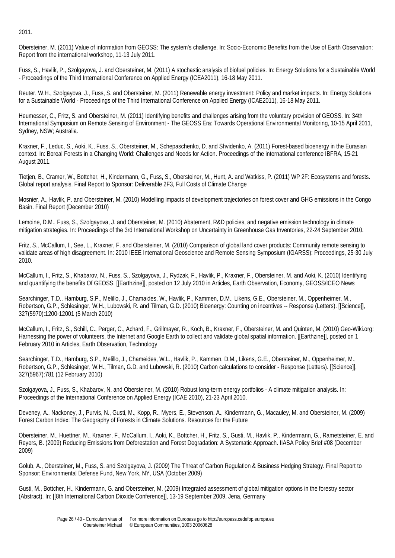2011.

Obersteiner, M. (2011) Value of information from GEOSS: The system's challenge. In: Socio-Economic Benefits from the Use of Earth Observation: Report from the international workshop, 11-13 July 2011.

Fuss, S., Havlik, P., Szolgayova, J. and Obersteiner, M. (2011) A stochastic analysis of biofuel policies. In: Energy Solutions for a Sustainable World - Proceedings of the Third International Conference on Applied Energy (ICEA2011), 16-18 May 2011.

Reuter, W.H., Szolgayova, J., Fuss, S. and Obersteiner, M. (2011) Renewable energy investment: Policy and market impacts. In: Energy Solutions for a Sustainable World - Proceedings of the Third International Conference on Applied Energy (ICAE2011), 16-18 May 2011.

Heumesser, C., Fritz, S. and Obersteiner, M. (2011) Identifying benefits and challenges arising from the voluntary provision of GEOSS. In: 34th International Symposium on Remote Sensing of Environment - The GEOSS Era: Towards Operational Environmental Monitoring, 10-15 April 2011, Sydney, NSW; Australia.

Kraxner, F., Leduc, S., Aoki, K., Fuss, S., Obersteiner, M., Schepaschenko, D. and Shvidenko, A. (2011) Forest-based bioenergy in the Eurasian context. In: Boreal Forests in a Changing World: Challenges and Needs for Action. Proceedings of the international conference IBFRA, 15-21 August 2011.

Tietjen, B., Cramer, W., Bottcher, H., Kindermann, G., Fuss, S., Obersteiner, M., Hunt, A. and Watkiss, P. (2011) WP 2F: Ecosystems and forests. Global report analysis. Final Report to Sponsor: Deliverable 2F3, Full Costs of Climate Change

Mosnier, A., Havlik, P. and Obersteiner, M. (2010) Modelling impacts of development trajectories on forest cover and GHG emissions in the Congo Basin. Final Report (December 2010)

Lemoine, D.M., Fuss, S., Szolgayova, J. and Obersteiner, M. (2010) Abatement, R&D policies, and negative emission technology in climate mitigation strategies. In: Proceedings of the 3rd International Workshop on Uncertainty in Greenhouse Gas Inventories, 22-24 September 2010.

Fritz, S., McCallum, I., See, L., Kraxner, F. and Obersteiner, M. (2010) Comparison of global land cover products: Community remote sensing to validate areas of high disagreement. In: 2010 IEEE International Geoscience and Remote Sensing Symposium (IGARSS): Proceedings, 25-30 July 2010.

McCallum, I., Fritz, S., Khabarov, N., Fuss, S., Szolgayova, J., Rydzak, F., Havlik, P., Kraxner, F., Obersteiner, M. and Aoki, K. (2010) Identifying and quantifying the benefits Of GEOSS. [[Earthzine]], posted on 12 July 2010 in Articles, Earth Observation, Economy, GEOSS/ICEO News

Searchinger, T.D., Hamburg, S.P., Melillo, J., Chamaides, W., Havlik, P., Kammen, D.M., Likens, G.E., Obersteiner, M., Oppenheimer, M., Robertson, G.P., Schlesinger, W.H., Lubowski, R. and Tilman, G.D. (2010) Bioenergy: Counting on incentives -- Response (Letters). [[Science]], 327(5970):1200-12001 (5 March 2010)

McCallum, I., Fritz, S., Schill, C., Perger, C., Achard, F., Grillmayer, R., Koch, B., Kraxner, F., Obersteiner, M. and Quinten, M. (2010) Geo-Wiki.org: Harnessing the power of volunteers, the Internet and Google Earth to collect and validate global spatial information. [[Earthzine]], posted on 1 February 2010 in Articles, Earth Observation, Technology

Searchinger, T.D., Hamburg, S.P., Melillo, J., Chameides, W.L., Havlik, P., Kammen, D.M., Likens, G.E., Obersteiner, M., Oppenheimer, M., Robertson, G.P., Schlesinger, W.H., Tilman, G.D. and Lubowski, R. (2010) Carbon calculations to consider - Response (Letters). [[Science]], 327(5967):781 (12 February 2010)

Szolgayova, J., Fuss, S., Khabarov, N. and Obersteiner, M. (2010) Robust long-term energy portfolios - A climate mitigation analysis. In: Proceedings of the International Conference on Applied Energy (ICAE 2010), 21-23 April 2010.

Deveney, A., Nackoney, J., Purvis, N., Gusti, M., Kopp, R., Myers, E., Stevenson, A., Kindermann, G., Macauley, M. and Obersteiner, M. (2009) Forest Carbon Index: The Geography of Forests in Climate Solutions. Resources for the Future

Obersteiner, M., Huettner, M., Kraxner, F., McCallum, I., Aoki, K., Bottcher, H., Fritz, S., Gusti, M., Havlik, P., Kindermann, G., Rametsteiner, E. and Reyers, B. (2009) Reducing Emissions from Deforestation and Forest Degradation: A Systematic Approach. IIASA Policy Brief #08 (December 2009)

Golub, A., Obersteiner, M., Fuss, S. and Szolgayova, J. (2009) The Threat of Carbon Regulation & Business Hedging Strategy. Final Report to Sponsor: Environmental Defense Fund, New York, NY, USA (October 2009)

Gusti, M., Bottcher, H., Kindermann, G. and Obersteiner, M. (2009) Integrated assessment of global mitigation options in the forestry sector (Abstract). In: [[8th International Carbon Dioxide Conference]], 13-19 September 2009, Jena, Germany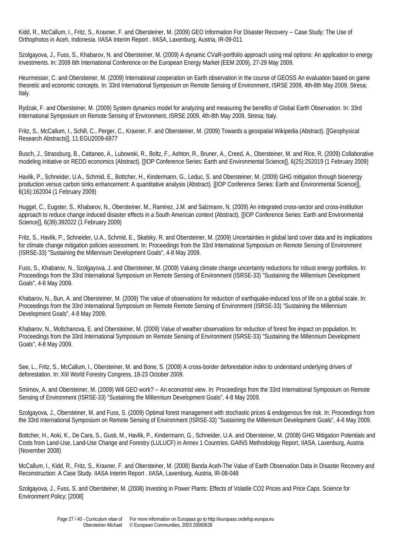Kidd, R., McCallum, I., Fritz, S., Kraxner, F. and Obersteiner, M. (2009) GEO Information For Disaster Recovery -- Case Study: The Use of Orthophotos in Aceh, Indonesia. IIASA Interim Report . IIASA, Laxenburg, Austria, IR-09-011

Szolgayova, J., Fuss, S., Khabarov, N. and Obersteiner, M. (2009) A dynamic CVaR-portfolio approach using real options: An application to energy investments. In: 2009 6th International Conference on the European Energy Market (EEM 2009), 27-29 May 2009.

Heurmesser, C. and Obersteiner, M. (2009) International cooperation on Earth observation in the course of GEOSS An evaluation based on game theoretic and economic concepts. In: 33rd International Symposium on Remote Sensing of Environment, ISRSE 2009, 4th-8th May 2009, Stresa; Italy.

Rydzak, F. and Obersteiner, M. (2009) System dynamics model for analyzing and measuring the benefits of Global Earth Observation. In: 33rd International Symposium on Remote Sensing of Environment, ISRSE 2009, 4th-8th May 2009, Stresa; Italy.

Fritz, S., McCallum, I., Schill, C., Perger, C., Kraxner, F. and Obersteiner, M. (2009) Towards a geospatial Wikipedia (Abstract). [[Geophysical Research Abstracts]], 11:EGU2009-6977

Busch, J., Strassburg, B., Cattaneo, A., Lubowski, R., Boltz, F., Ashton, R., Bruner, A., Creed, A., Obersteiner, M. and Rice, R. (2009) Collaborative modeling initiative on REDD economics (Abstract). [[IOP Conference Series: Earth and Environmental Science]], 6(25):252019 (1 February 2009)

Havlik, P., Schneider, U.A., Schmid, E., Bottcher, H., Kindermann, G., Leduc, S. and Obersteiner, M. (2009) GHG mitigation through bioenergy production versus carbon sinks enhancement: A quantitative analysis (Abstract). [[IOP Conference Series: Earth and Environmental Science]], 6(16):162004 (1 February 2009)

Huggel, C., Eugster, S., Khabarov, N., Obersteiner, M., Ramirez, J.M. and Salzmann, N. (2009) An integrated cross-sector and cross-institution approach to reduce change induced disaster effects in a South American context (Abstract). [[IOP Conference Series: Earth and Environmental Science]], 6(39):392022 (1 February 2009)

Fritz, S., Havlik, P., Schneider, U.A., Schmid, E., Skalsky, R. and Obersteiner, M. (2009) Uncertainties in global land cover data and its implications for climate change mitigation policies assessment. In: Proceedings from the 33rd International Symposium on Remote Sensing of Environment (ISRSE-33) "Sustaining the Millennium Development Goals", 4-8 May 2009.

Fuss, S., Khabarov, N., Szolgayova, J. and Obersteiner, M. (2009) Valuing climate change uncertainty reductions for robust energy portfolios. In: Proceedings from the 33rd International Symposium on Remote Sensing of Environment (ISRSE-33) "Sustaining the Millennium Development Goals", 4-8 May 2009.

Khabarov, N., Bun, A. and Obersteiner, M. (2009) The value of observations for reduction of earthquake-induced loss of life on a global scale. In: Proceedings from the 33rd International Symposium on Remote Remote Sensing of Environment (ISRSE-33) "Sustaining the Millennium Development Goals", 4-8 May 2009.

Khabarov, N., Moltchanova, E. and Obersteiner, M. (2009) Value of weather observations for reduction of forest fire impact on population. In: Proceedings from the 33rd International Symposium on Remote Sensing of Environment (ISRSE-33) "Sustaining the Millennium Development Goals", 4-8 May 2009.

See, L., Fritz, S., McCallum, I., Obersteiner, M. and Bone, S. (2009) A cross-border deforestation index to understand underlying drivers of deforestation. In: XIII World Forestry Congress, 18-23 October 2009.

Smirnov, A. and Obersteiner, M. (2009) Will GEO work? -- An economist view. In: Proceedings from the 33rd International Symposium on Remote Sensing of Environment (ISRSE-33) "Sustaining the Millennium Development Goals", 4-8 May 2009.

Szolgayova, J., Obersteiner, M. and Fuss, S. (2009) Optimal forest management with stochastic prices & endogenous fire risk. In: Proceedings from the 33rd International Symposium on Remote Sensing of Environment (ISRSE-33) "Sustaining the Millennium Development Goals", 4-8 May 2009.

Bottcher, H., Aoki, K., De Cara, S., Gusti, M., Havlik, P., Kindermann, G., Schneider, U.A. and Obersteiner, M. (2008) GHG Mitigation Potentials and Costs from Land-Use, Land-Use Change and Forestry (LULUCF) in Annex 1 Countries. GAINS Methodology Report, IIASA, Laxenburg, Austria (November 2008)

McCallum, I., Kidd, R., Fritz, S., Kraxner, F. and Obersteiner, M. (2008) Banda Aceh-The Value of Earth Observation Data in Disaster Recovery and Reconstruction: A Case Study. IIASA Interim Report . IIASA, Laxenburg, Austria, IR-08-048

Szolgayova, J., Fuss, S. and Obersteiner, M. (2008) Investing in Power Plants: Effects of Volatile CO2 Prices and Price Caps. Science for Environment Policy; [2008]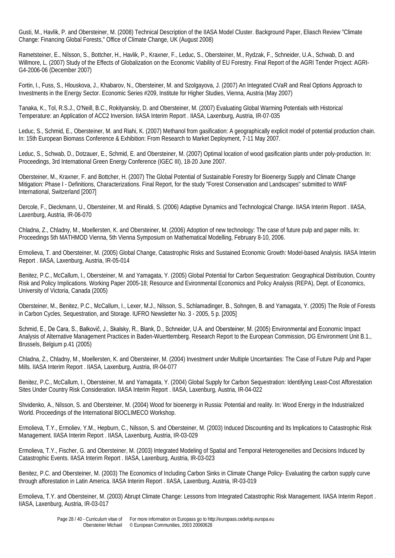Gusti, M., Havlik, P. and Obersteiner, M. (2008) Technical Description of the IIASA Model Cluster. Background Paper, Eliasch Review "Climate Change: Financing Global Forests," Office of Climate Change, UK (August 2008)

Rametsteiner, E., Nilsson, S., Bottcher, H., Havlik, P., Kraxner, F., Leduc, S., Obersteiner, M., Rydzak, F., Schneider, U.A., Schwab, D. and Willmore, L. (2007) Study of the Effects of Globalization on the Economic Viability of EU Forestry. Final Report of the AGRI Tender Project: AGRI-G4-2006-06 (December 2007)

Fortin, I., Fuss, S., Hlouskova, J., Khabarov, N., Obersteiner, M. and Szolgayova, J. (2007) An Integrated CVaR and Real Options Approach to Investments in the Energy Sector. Economic Series #209, Institute for Higher Studies, Vienna, Austria (May 2007)

Tanaka, K., Tol, R.S.J., O'Neill, B.C., Rokityanskiy, D. and Obersteiner, M. (2007) Evaluating Global Warming Potentials with Historical Temperature: an Application of ACC2 Inversion. IIASA Interim Report . IIASA, Laxenburg, Austria, IR-07-035

Leduc, S., Schmid, E., Obersteiner, M. and Riahi, K. (2007) Methanol from gasification: A geographically explicit model of potential production chain. In: 15th European Biomass Conference & Exhibition: From Research to Market Deployment, 7-11 May 2007.

Leduc, S., Schwab, D., Dotzauer, E., Schmid, E. and Obersteiner, M. (2007) Optimal location of wood gasification plants under poly-production. In: Proceedings, 3rd International Green Energy Conference (IGEC III), 18-20 June 2007.

Obersteiner, M., Kraxner, F. and Bottcher, H. (2007) The Global Potential of Sustainable Forestry for Bioenergy Supply and Climate Change Mitigation: Phase I - Definitions, Characterizations. Final Report, for the study "Forest Conservation and Landscapes" submitted to WWF International, Switzerland [2007]

Dercole, F., Dieckmann, U., Obersteiner, M. and Rinaldi, S. (2006) Adaptive Dynamics and Technological Change. IIASA Interim Report . IIASA, Laxenburg, Austria, IR-06-070

Chladna, Z., Chladny, M., Moellersten, K. and Obersteiner, M. (2006) Adoption of new technology: The case of future pulp and paper mills. In: Proceedings 5th MATHMOD Vienna, 5th Vienna Symposium on Mathematical Modelling, February 8-10, 2006.

Ermolieva, T. and Obersteiner, M. (2005) Global Change, Catastrophic Risks and Sustained Economic Growth: Model-based Analysis. IIASA Interim Report . IIASA, Laxenburg, Austria, IR-05-014

Benitez, P.C., McCallum, I., Obersteiner, M. and Yamagata, Y. (2005) Global Potential for Carbon Sequestration: Geographical Distribution, Country Risk and Policy Implications. Working Paper 2005-18; Resource and Evironmental Economics and Policy Analysis (REPA), Dept. of Economics, University of Victoria, Canada (2005)

Obersteiner, M., Benitez, P.C., McCallum, I., Lexer, M.J., Nilsson, S., Schlamadinger, B., Sohngen, B. and Yamagata, Y. (2005) The Role of Forests in Carbon Cycles, Sequestration, and Storage. IUFRO Newsletter No. 3 - 2005, 5 p. [2005]

Schmid, E., De Cara, S., Balkovič, J., Skalsky, R., Blank, D., Schneider, U.A. and Obersteiner, M. (2005) Environmental and Economic Impact Analysis of Alternative Management Practices in Baden-Wuerttemberg. Research Report to the European Commission, DG Environment Unit B.1., Brussels, Belgium p.41 (2005)

Chladna, Z., Chladny, M., Moellersten, K. and Obersteiner, M. (2004) Investment under Multiple Uncertainties: The Case of Future Pulp and Paper Mills. IIASA Interim Report . IIASA, Laxenburg, Austria, IR-04-077

Benitez, P.C., McCallum, I., Obersteiner, M. and Yamagata, Y. (2004) Global Supply for Carbon Sequestration: Identifying Least-Cost Afforestation Sites Under Country Risk Consideration. IIASA Interim Report . IIASA, Laxenburg, Austria, IR-04-022

Shvidenko, A., Nilsson, S. and Obersteiner, M. (2004) Wood for bioenergy in Russia: Potential and reality. In: Wood Energy in the Industrialized World. Proceedings of the International BIOCLIMECO Workshop.

Ermolieva, T.Y., Ermoliev, Y.M., Hepburn, C., Nilsson, S. and Obersteiner, M. (2003) Induced Discounting and Its Implications to Catastrophic Risk Management. IIASA Interim Report . IIASA, Laxenburg, Austria, IR-03-029

Ermolieva, T.Y., Fischer, G. and Obersteiner, M. (2003) Integrated Modeling of Spatial and Temporal Heterogeneities and Decisions Induced by Catastrophic Events. IIASA Interim Report . IIASA, Laxenburg, Austria, IR-03-023

Benitez, P.C. and Obersteiner, M. (2003) The Economics of Including Carbon Sinks in Climate Change Policy- Evaluating the carbon supply curve through afforestation in Latin America. IIASA Interim Report . IIASA, Laxenburg, Austria, IR-03-019

Ermolieva, T.Y. and Obersteiner, M. (2003) Abrupt Climate Change: Lessons from Integrated Catastrophic Risk Management. IIASA Interim Report . IIASA, Laxenburg, Austria, IR-03-017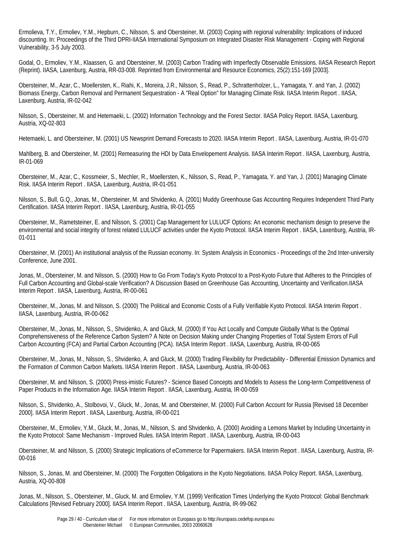Ermolieva, T.Y., Ermoliev, Y.M., Hepburn, C., Nilsson, S. and Obersteiner, M. (2003) Coping with regional vulnerability: Implications of induced discounting. In: Proceedings of the Third DPRI-IIASA International Symposium on Integrated Disaster Risk Management - Coping with Regional Vulnerability, 3-5 July 2003.

Godal, O., Ermoliev, Y.M., Klaassen, G. and Obersteiner, M. (2003) Carbon Trading with Imperfectly Observable Emissions. IIASA Research Report (Reprint). IIASA, Laxenburg, Austria, RR-03-008. Reprinted from Environmental and Resource Economics, 25(2):151-169 [2003].

Obersteiner, M., Azar, C., Moellersten, K., Riahi, K., Moreira, J.R., Nilsson, S., Read, P., Schrattenholzer, L., Yamagata, Y. and Yan, J. (2002) Biomass Energy, Carbon Removal and Permanent Sequestration - A "Real Option" for Managing Climate Risk. IIASA Interim Report . IIASA, Laxenburg, Austria, IR-02-042

Nilsson, S., Obersteiner, M. and Hetemaeki, L. (2002) Information Technology and the Forest Sector. IIASA Policy Report. IIASA, Laxenburg, Austria, XQ-02-803

Hetemaeki, L. and Obersteiner, M. (2001) US Newsprint Demand Forecasts to 2020. IIASA Interim Report . IIASA, Laxenburg, Austria, IR-01-070

Mahlberg, B. and Obersteiner, M. (2001) Remeasuring the HDI by Data Envelopement Analysis. IIASA Interim Report . IIASA, Laxenburg, Austria, IR-01-069

Obersteiner, M., Azar, C., Kossmeier, S., Mechler, R., Moellersten, K., Nilsson, S., Read, P., Yamagata, Y. and Yan, J. (2001) Managing Climate Risk. IIASA Interim Report . IIASA, Laxenburg, Austria, IR-01-051

Nilsson, S., Bull, G.Q., Jonas, M., Obersteiner, M. and Shvidenko, A. (2001) Muddy Greenhouse Gas Accounting Requires Independent Third Party Certification. IIASA Interim Report . IIASA, Laxenburg, Austria, IR-01-055

Obersteiner, M., Rametsteiner, E. and Nilsson, S. (2001) Cap Management for LULUCF Options: An economic mechanism design to preserve the environmental and social integrity of forest related LULUCF activities under the Kyoto Protocol. IIASA Interim Report . IIASA, Laxenburg, Austria, IR-01-011

Obersteiner, M. (2001) An institutional analysis of the Russian economy. In: System Analysis in Economics - Proceedings of the 2nd Inter-university Conference, June 2001.

Jonas, M., Obersteiner, M. and Nilsson, S. (2000) How to Go From Today's Kyoto Protocol to a Post-Kyoto Future that Adheres to the Principles of Full Carbon Accounting and Global-scale Verification? A Discussion Based on Greenhouse Gas Accounting, Uncertainty and Verification.IIASA Interim Report . IIASA, Laxenburg, Austria, IR-00-061

Obersteiner, M., Jonas, M. and Nilsson, S. (2000) The Political and Economic Costs of a Fully Verifiable Kyoto Protocol. IIASA Interim Report . IIASA, Laxenburg, Austria, IR-00-062

Obersteiner, M., Jonas, M., Nilsson, S., Shvidenko, A. and Gluck, M. (2000) If You Act Locally and Compute Globally What Is the Optimal Comprehensiveness of the Reference Carbon System? A Note on Decision Making under Changing Properties of Total System Errors of Full Carbon Accounting (FCA) and Partial Carbon Accounting (PCA). IIASA Interim Report . IIASA, Laxenburg, Austria, IR-00-065

Obersteiner, M., Jonas, M., Nilsson, S., Shvidenko, A. and Gluck, M. (2000) Trading Flexibility for Predictability - Differential Emission Dynamics and the Formation of Common Carbon Markets. IIASA Interim Report . IIASA, Laxenburg, Austria, IR-00-063

Obersteiner, M. and Nilsson, S. (2000) Press-imistic Futures? - Science Based Concepts and Models to Assess the Long-term Competitiveness of Paper Products in the Information Age. IIASA Interim Report . IIASA, Laxenburg, Austria, IR-00-059

Nilsson, S., Shvidenko, A., Stolbovoi, V., Gluck, M., Jonas, M. and Obersteiner, M. (2000) Full Carbon Account for Russia [Revised 18 December 2000]. IIASA Interim Report . IIASA, Laxenburg, Austria, IR-00-021

Obersteiner, M., Ermoliev, Y.M., Gluck, M., Jonas, M., Nilsson, S. and Shvidenko, A. (2000) Avoiding a Lemons Market by Including Uncertainty in the Kyoto Protocol: Same Mechanism - Improved Rules. IIASA Interim Report . IIASA, Laxenburg, Austria, IR-00-043

Obersteiner, M. and Nilsson, S. (2000) Strategic Implications of eCommerce for Papermakers. IIASA Interim Report . IIASA, Laxenburg, Austria, IR-00-016

Nilsson, S., Jonas, M. and Obersteiner, M. (2000) The Forgotten Obligations in the Kyoto Negotiations. IIASA Policy Report. IIASA, Laxenburg, Austria, XQ-00-808

Jonas, M., Nilsson, S., Obersteiner, M., Gluck, M. and Ermoliev, Y.M. (1999) Verification Times Underlying the Kyoto Protocol: Global Benchmark Calculations [Revised February 2000]. IIASA Interim Report . IIASA, Laxenburg, Austria, IR-99-062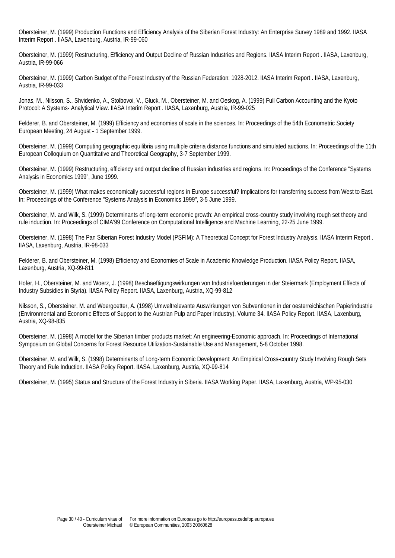Obersteiner, M. (1999) Production Functions and Efficiency Analysis of the Siberian Forest Industry: An Enterprise Survey 1989 and 1992. IIASA Interim Report . IIASA, Laxenburg, Austria, IR-99-060

Obersteiner, M. (1999) Restructuring, Efficiency and Output Decline of Russian Industries and Regions. IIASA Interim Report . IIASA, Laxenburg, Austria, IR-99-066

Obersteiner, M. (1999) Carbon Budget of the Forest Industry of the Russian Federation: 1928-2012. IIASA Interim Report . IIASA, Laxenburg, Austria, IR-99-033

Jonas, M., Nilsson, S., Shvidenko, A., Stolbovoi, V., Gluck, M., Obersteiner, M. and Oeskog, A. (1999) Full Carbon Accounting and the Kyoto Protocol: A Systems- Analytical View. IIASA Interim Report . IIASA, Laxenburg, Austria, IR-99-025

Felderer, B. and Obersteiner, M. (1999) Efficiency and economies of scale in the sciences. In: Proceedings of the 54th Econometric Society European Meeting, 24 August - 1 September 1999.

Obersteiner, M. (1999) Computing geographic equilibria using multiple criteria distance functions and simulated auctions. In: Proceedings of the 11th European Colloquium on Quantitative and Theoretical Geography, 3-7 September 1999.

Obersteiner, M. (1999) Restructuring, efficiency and output decline of Russian industries and regions. In: Proceedings of the Conference "Systems Analysis in Economics 1999", June 1999.

Obersteiner, M. (1999) What makes economically successful regions in Europe successful? Implications for transferring success from West to East. In: Proceedings of the Conference "Systems Analysis in Economics 1999", 3-5 June 1999.

Obersteiner, M. and Wilk, S. (1999) Determinants of long-term economic growth: An empirical cross-country study involving rough set theory and rule induction. In: Proceedings of CIMA'99 Conference on Computational Intelligence and Machine Learning, 22-25 June 1999.

Obersteiner, M. (1998) The Pan Siberian Forest Industry Model (PSFIM): A Theoretical Concept for Forest Industry Analysis. IIASA Interim Report . IIASA, Laxenburg, Austria, IR-98-033

Felderer, B. and Obersteiner, M. (1998) Efficiency and Economies of Scale in Academic Knowledge Production. IIASA Policy Report. IIASA, Laxenburg, Austria, XQ-99-811

Hofer, H., Obersteiner, M. and Woerz, J. (1998) Beschaeftigungswirkungen von Industriefoerderungen in der Steiermark (Employment Effects of Industry Subsidies in Styria). IIASA Policy Report. IIASA, Laxenburg, Austria, XQ-99-812

Nilsson, S., Obersteiner, M. and Woergoetter, A. (1998) Umweltrelevante Auswirkungen von Subventionen in der oesterreichischen Papierindustrie (Environmental and Economic Effects of Support to the Austrian Pulp and Paper Industry), Volume 34. IIASA Policy Report. IIASA, Laxenburg, Austria, XQ-98-835

Obersteiner, M. (1998) A model for the Siberian timber products market: An engineering-Economic approach. In: Proceedings of International Symposium on Global Concerns for Forest Resource Utilization-Sustainable Use and Management, 5-8 October 1998.

Obersteiner, M. and Wilk, S. (1998) Determinants of Long-term Economic Development: An Empirical Cross-country Study Involving Rough Sets Theory and Rule Induction. IIASA Policy Report. IIASA, Laxenburg, Austria, XQ-99-814

Obersteiner, M. (1995) Status and Structure of the Forest Industry in Siberia. IIASA Working Paper. IIASA, Laxenburg, Austria, WP-95-030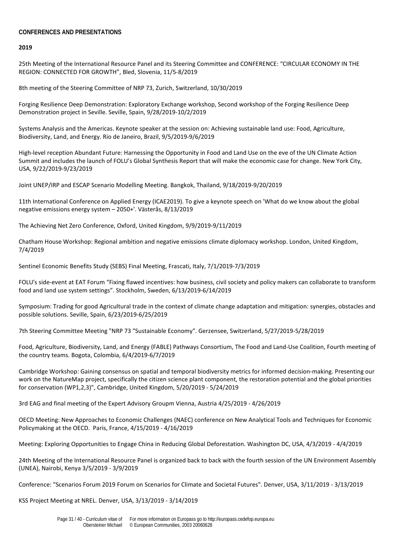# **CONFERENCES AND PRESENTATIONS**

**2019**

25th Meeting of the International Resource Panel and its Steering Committee and CONFERENCE: "CIRCULAR ECONOMY IN THE REGION: CONNECTED FOR GROWTH", Bled, Slovenia, 11/5-8/2019

8th meeting of the Steering Committee of NRP 73, Zurich, Switzerland, 10/30/2019

Forging Resilience Deep Demonstration: Exploratory Exchange workshop, Second workshop of the Forging Resilience Deep Demonstration project in Seville. Seville, Spain, 9/28/2019-10/2/2019

Systems Analysis and the Americas. Keynote speaker at the session on: Achieving sustainable land use: Food, Agriculture, Biodiversity, Land, and Energy. Rio de Janeiro, Brazil, 9/5/2019-9/6/2019

High-level reception Abundant Future: Harnessing the Opportunity in Food and Land Use on the eve of the UN Climate Action Summit and includes the launch of FOLU's Global Synthesis Report that will make the economic case for change. New York City, USA, 9/22/2019-9/23/2019

Joint UNEP/IRP and ESCAP Scenario Modelling Meeting. Bangkok, Thailand, 9/18/2019-9/20/2019

11th International Conference on Applied Energy (ICAE2019). To give a keynote speech on 'What do we know about the global negative emissions energy system – 2050+'. Västerås, 8/13/2019

The Achieving Net Zero Conference, Oxford, United Kingdom, 9/9/2019-9/11/2019

Chatham House Workshop: Regional ambition and negative emissions climate diplomacy workshop. London, United Kingdom, 7/4/2019

Sentinel Economic Benefits Study (SEBS) Final Meeting, Frascati, Italy, 7/1/2019-7/3/2019

FOLU's side-event at EAT Forum "Fixing flawed incentives: how business, civil society and policy makers can collaborate to transform food and land use system settings". Stockholm, Sweden, 6/13/2019-6/14/2019

Symposium: Trading for good Agricultural trade in the context of climate change adaptation and mitigation: synergies, obstacles and possible solutions. Seville, Spain, 6/23/2019-6/25/2019

7th Steering Committee Meeting "NRP 73 ″Sustainable Economy″. Gerzensee, Switzerland, 5/27/2019-5/28/2019

Food, Agriculture, Biodiversity, Land, and Energy (FABLE) Pathways Consortium, The Food and Land-Use Coalition, Fourth meeting of the country teams. Bogota, Colombia, 6/4/2019-6/7/2019

Cambridge Workshop: Gaining consensus on spatial and temporal biodiversity metrics for informed decision-making. Presenting our work on the NatureMap project, specifically the citizen science plant component, the restoration potential and the global priorities for conservation (WP1,2,3)", Cambridge, United Kingdom, 5/20/2019 - 5/24/2019

3rd EAG and final meeting of the Expert Advisory Groupm Vienna, Austria 4/25/2019 - 4/26/2019

OECD Meeting: New Approaches to Economic Challenges (NAEC) conference on New Analytical Tools and Techniques for Economic Policymaking at the OECD. Paris, France, 4/15/2019 - 4/16/2019

Meeting: Exploring Opportunities to Engage China in Reducing Global Deforestation. Washington DC, USA, 4/3/2019 - 4/4/2019

24th Meeting of the International Resource Panel is organized back to back with the fourth session of the UN Environment Assembly (UNEA), Nairobi, Kenya 3/5/2019 - 3/9/2019

Conference: "Scenarios Forum 2019 Forum on Scenarios for Climate and Societal Futures". Denver, USA, 3/11/2019 - 3/13/2019

KSS Project Meeting at NREL. Denver, USA, 3/13/2019 - 3/14/2019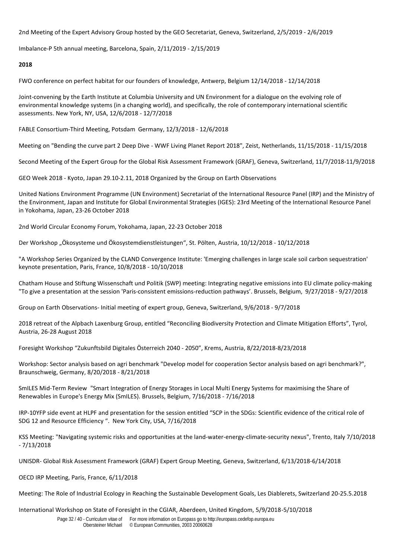2nd Meeting of the Expert Advisory Group hosted by the GEO Secretariat, Geneva, Switzerland, 2/5/2019 - 2/6/2019

Imbalance-P 5th annual meeting, Barcelona, Spain, 2/11/2019 - 2/15/2019

#### **2018**

FWO conference on perfect habitat for our founders of knowledge, Antwerp, Belgium 12/14/2018 - 12/14/2018

Joint-convening by the Earth Institute at Columbia University and UN Environment for a dialogue on the evolving role of environmental knowledge systems (in a changing world), and specifically, the role of contemporary international scientific assessments. New York, NY, USA, 12/6/2018 - 12/7/2018

FABLE Consortium-Third Meeting, Potsdam Germany, 12/3/2018 - 12/6/2018

Meeting on "Bending the curve part 2 Deep Dive - WWF Living Planet Report 2018", Zeist, Netherlands, 11/15/2018 - 11/15/2018

Second Meeting of the Expert Group for the Global Risk Assessment Framework (GRAF), Geneva, Switzerland, 11/7/2018-11/9/2018

GEO Week 2018 - Kyoto, Japan 29.10-2.11, 2018 Organized by the Group on Earth Observations

United Nations Environment Programme (UN Environment) Secretariat of the International Resource Panel (IRP) and the Ministry of the Environment, Japan and Institute for Global Environmental Strategies (IGES): 23rd Meeting of the International Resource Panel in Yokohama, Japan, 23-26 October 2018

2nd World Circular Economy Forum, Yokohama, Japan, 22-23 October 2018

Der Workshop "Ökosysteme und Ökosystemdienstleistungen", St. Pölten, Austria, 10/12/2018 - 10/12/2018

"A Workshop Series Organized by the CLAND Convergence Institute: 'Emerging challenges in large scale soil carbon sequestration' keynote presentation, Paris, France, 10/8/2018 - 10/10/2018

Chatham House and Stiftung Wissenschaft und Politik (SWP) meeting: Integrating negative emissions into EU climate policy-making "To give a presentation at the session 'Paris-consistent emissions-reduction pathways'. Brussels, Belgium, 9/27/2018 - 9/27/2018

Group on Earth Observations- Initial meeting of expert group, Geneva, Switzerland, 9/6/2018 - 9/7/2018

2018 retreat of the Alpbach Laxenburg Group, entitled "Reconciling Biodiversity Protection and Climate Mitigation Efforts", Tyrol, Austria, 26-28 August 2018

Foresight Workshop "Zukunftsbild Digitales Österreich 2040 - 2050", Krems, Austria, 8/22/2018-8/23/2018

Workshop: Sector analysis based on agri benchmark "Develop model for cooperation Sector analysis based on agri benchmark?", Braunschweig, Germany, 8/20/2018 - 8/21/2018

SmILES Mid-Term Review "Smart Integration of Energy Storages in Local Multi Energy Systems for maximising the Share of Renewables in Europe's Energy Mix (SmILES). Brussels, Belgium, 7/16/2018 - 7/16/2018

IRP-10YFP side event at HLPF and presentation for the session entitled "SCP in the SDGs: Scientific evidence of the critical role of SDG 12 and Resource Efficiency ". New York City, USA, 7/16/2018

KSS Meeting: "Navigating systemic risks and opportunities at the land-water-energy-climate-security nexus", Trento, Italy 7/10/2018 - 7/13/2018

UNISDR- Global Risk Assessment Framework (GRAF) Expert Group Meeting, Geneva, Switzerland, 6/13/2018-6/14/2018

OECD IRP Meeting, Paris, France, 6/11/2018

Meeting: The Role of Industrial Ecology in Reaching the Sustainable Development Goals, Les Diablerets, Switzerland 20-25.5.2018

International Workshop on State of Foresight in the CGIAR, Aberdeen, United Kingdom, 5/9/2018-5/10/2018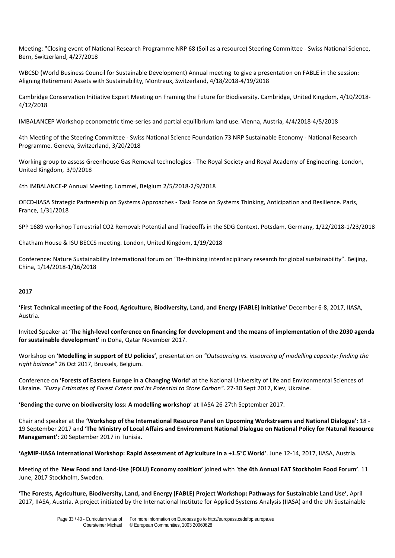Meeting: "Closing event of National Research Programme NRP 68 (Soil as a resource) Steering Committee - Swiss National Science, Bern, Switzerland, 4/27/2018

WBCSD (World Business Council for Sustainable Development) Annual meeting to give a presentation on FABLE in the session: Aligning Retirement Assets with Sustainability, Montreux, Switzerland, 4/18/2018-4/19/2018

Cambridge Conservation Initiative Expert Meeting on Framing the Future for Biodiversity. Cambridge, United Kingdom, 4/10/2018- 4/12/2018

IMBALANCEP Workshop econometric time-series and partial equilibrium land use. Vienna, Austria, 4/4/2018-4/5/2018

4th Meeting of the Steering Committee - Swiss National Science Foundation 73 NRP Sustainable Economy - National Research Programme. Geneva, Switzerland, 3/20/2018

Working group to assess Greenhouse Gas Removal technologies - The Royal Society and Royal Academy of Engineering. London, United Kingdom, 3/9/2018

4th IMBALANCE-P Annual Meeting. Lommel, Belgium 2/5/2018-2/9/2018

OECD-IIASA Strategic Partnership on Systems Approaches - Task Force on Systems Thinking, Anticipation and Resilience. Paris, France, 1/31/2018

SPP 1689 workshop Terrestrial CO2 Removal: Potential and Tradeoffs in the SDG Context. Potsdam, Germany, 1/22/2018-1/23/2018

Chatham House & ISU BECCS meeting. London, United Kingdom, 1/19/2018

Conference: Nature Sustainability International forum on "Re-thinking interdisciplinary research for global sustainability". Beijing, China, 1/14/2018-1/16/2018

#### **2017**

**'First Technical meeting of the Food, Agriculture, Biodiversity, Land, and Energy (FABLE) Initiative'** December 6-8, 2017, IIASA, Austria.

Invited Speaker at '**The high-level conference on financing for development and the means of implementation of the 2030 agenda for sustainable development'** in Doha, Qatar November 2017.

Workshop on **'Modelling in support of EU policies'**, presentation on *"Outsourcing vs. insourcing of modelling capacity: finding the right balance"* 26 Oct 2017, Brussels, Belgium.

Conference on **'Forests of Eastern Europe in a Changing World'** at the National University of Life and Environmental Sciences of Ukraine. *"Fuzzy Estimates of Forest Extent and its Potential to Store Carbon".* 27-30 Sept 2017, Kiev, Ukraine.

**'Bending the curve on biodiversity loss: A modelling workshop**' at IIASA 26-27th September 2017.

Chair and speaker at the **'Workshop of the International Resource Panel on Upcoming Workstreams and National Dialogue'**: 18 - 19 September 2017 and **'The Ministry of Local Affairs and Environment National Dialogue on National Policy for Natural Resource Management'**: 20 September 2017 in Tunisia.

**'AgMIP-IIASA International Workshop: Rapid Assessment of Agriculture in a +1.5°C World'**. June 12-14, 2017, IIASA, Austria.

Meeting of the '**New Food and Land-Use (FOLU) Economy coalition'** joined with '**the 4th Annual EAT Stockholm Food Forum'**. 11 June, 2017 Stockholm, Sweden.

**'The Forests, Agriculture, Biodiversity, Land, and Energy (FABLE) Project Workshop: Pathways for Sustainable Land Use'**, April 2017, IIASA, Austria. A project initiated by the International Institute for Applied Systems Analysis (IIASA) and the UN Sustainable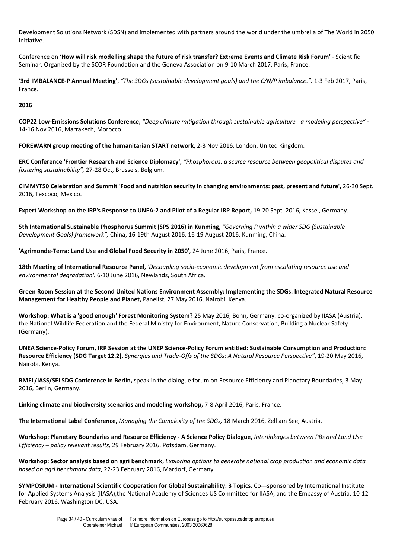Development Solutions Network (SDSN) and implemented with partners around the world under the umbrella of [The World in 2050](http://www.iiasa.ac.at/web/home/research/researchProjects/TWI2050.html)  [Initiative.](http://www.iiasa.ac.at/web/home/research/researchProjects/TWI2050.html)

Conference on **'How will risk modelling shape the future of risk transfer? Extreme Events and Climate Risk Forum'** - Scientific Seminar. Organized by the SCOR Foundation and the Geneva Association on 9-10 March 2017, Paris, France.

**'3rd IMBALANCE-P Annual Meeting'**, *"The SDGs (sustainable development goals) and the C/N/P imbalance.".* 1-3 Feb 2017, Paris, France.

**2016**

**COP22 Low-Emissions Solutions Conference,** *"Deep climate mitigation through sustainable agriculture - a modeling perspective"* **-** 14-16 Nov 2016, Marrakech, Morocco.

**FOREWARN group meeting of the humanitarian START network,** 2-3 Nov 2016, London, United Kingdom.

**ERC Conference 'Frontier Research and Science Diplomacy',** *"Phosphorous: a scarce resource between geopolitical disputes and fostering sustainability",* 27-28 Oct, Brussels, Belgium.

**CIMMYT50 Celebration and Summit 'Food and nutrition security in changing environments: past, present and future',** 26-30 Sept. 2016, Texcoco, Mexico.

**Expert Workshop on the IRP's Response to UNEA-2 and Pilot of a Regular IRP Report,** 19-20 Sept. 2016, Kassel, Germany.

**5th International Sustainable Phosphorus Summit (SPS 2016) in Kunming**, *"Governing P within a wider SDG (Sustainable Development Goals) framework",* China, 16-19th August 2016, 16-19 August 2016. Kunming, China.

**'Agrimonde-Terra: Land Use and Global Food Security in 2050'**, 24 June 2016, Paris, France.

**18th Meeting of International Resource Panel,** *'Decoupling socio-economic development from escalating resource use and environmental degradation'.* 6-10 June 2016, Newlands, South Africa.

**Green Room Session at the Second United Nations Environment Assembly: Implementing the SDGs: Integrated Natural Resource Management for Healthy People and Planet,** Panelist, 27 May 2016, Nairobi, Kenya.

**Workshop: What is a 'good enough' Forest Monitoring System?** 25 May 2016, Bonn, Germany. co-organized by IIASA (Austria), the National Wildlife Federation and the Federal Ministry for Environment, Nature Conservation, Building a Nuclear Safety (Germany).

**UNEA Science-Policy Forum, IRP Session at the UNEP Science-Policy Forum entitled: Sustainable Consumption and Production: Resource Efficiency (SDG Target 12.2),** *Synergies and Trade-Offs of the SDGs: A Natural Resource Perspective"*, 19-20 May 2016, Nairobi, Kenya.

**BMEL/IASS/SEI SDG Conference in Berlin,** speak in the dialogue forum on Resource Efficiency and Planetary Boundaries, 3 May 2016, Berlin, Germany.

**Linking climate and biodiversity scenarios and modeling workshop,** 7-8 April 2016, Paris, France.

**The International Label Conference,** *Managing the Complexity of the SDGs,* 18 March 2016, Zell am See, Austria.

**Workshop: Planetary Boundaries and Resource Efficiency - A Science Policy Dialogue,** *Interlinkages between PBs and Land Use Efficiency – policy relevant results,* 29 February 2016, Potsdam, Germany.

**Workshop: Sector analysis based on agri benchmark,** *Exploring options to generate national crop production and economic data based on agri benchmark data*, 22-23 February 2016, Mardorf, Germany.

**SYMPOSIUM - International Scientific Cooperation for Global Sustainability: 3 Topics**, Co---sponsored by International Institute for Applied Systems Analysis (IIASA),the National Academy of Sciences US Committee for IIASA, and the Embassy of Austria, 10-12 February 2016, Washington DC, USA.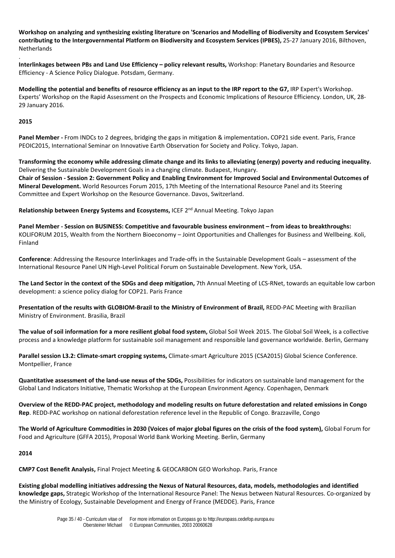**Workshop on analyzing and synthesizing existing literature on 'Scenarios and Modelling of Biodiversity and Ecosystem Services' contributing to the Intergovernmental Platform on Biodiversity and Ecosystem Services (IPBES),** 25-27 January 2016, Bilthoven, Netherlands

**Interlinkages between PBs and Land Use Efficiency – policy relevant results,** Workshop: Planetary Boundaries and Resource Efficiency - A Science Policy Dialogue. Potsdam, Germany.

**Modelling the potential and benefits of resource efficiency as an input to the IRP report to the G7,** IRP Expert's Workshop. Experts' Workshop on the Rapid Assessment on the Prospects and Economic Implications of Resource Efficiency. London, UK, 28- 29 January 2016.

# **2015**

.

**Panel Member -** From INDCs to 2 degrees, bridging the gaps in mitigation & implementation**.** COP21 side event. Paris, France PEOIC2015, International Seminar on Innovative Earth Observation for Society and Policy. Tokyo, Japan.

**Transforming the economy while addressing climate change and its links to alleviating (energy) poverty and reducing inequality.**  Delivering the Sustainable Development Goals in a changing climate. Budapest, Hungary. **Chair of Session - Session 2: Government Policy and Enabling Environment for Improved Social and Environmental Outcomes of Mineral Development.** World Resources Forum 2015, 17th Meeting of the International Resource Panel and its Steering Committee and Expert Workshop on the Resource Governance. Davos, Switzerland.

**Relationship between Energy Systems and Ecosystems,** ICEF 2nd Annual Meeting. Tokyo Japan

**Panel Member - Session on BUSINESS: Competitive and favourable business environment – from ideas to breakthroughs:** KOLIFORUM 2015, Wealth from the Northern Bioeconomy – Joint Opportunities and Challenges for Business and Wellbeing. Koli, Finland

**Conference**: Addressing the Resource Interlinkages and Trade-offs in the Sustainable Development Goals – assessment of the International Resource Panel UN High-Level Political Forum on Sustainable Development. New York, USA.

**The Land Sector in the context of the SDGs and deep mitigation,** 7th Annual Meeting of LCS-RNet, towards an equitable low carbon development: a science policy dialog for COP21. Paris France

**Presentation of the results with GLOBIOM-Brazil to the Ministry of Environment of Brazil,** REDD-PAC Meeting with Brazilian Ministry of Environment. Brasilia, Brazil

**The value of soil information for a more resilient global food system,** Global Soil Week 2015. The Global Soil Week, is a collective process and a knowledge platform for sustainable soil management and responsible land governance worldwide. Berlin, Germany

**Parallel session L3.2: Climate-smart cropping systems,** Climate-smart Agriculture 2015 (CSA2015) Global Science Conference. Montpellier, France

**Quantitative assessment of the land-use nexus of the SDGs,** Possibilities for indicators on sustainable land management for the Global Land Indicators Initiative, Thematic Workshop at the European Environment Agency. Copenhagen, Denmark

**Overview of the REDD-PAC project, methodology and modeling results on future deforestation and related emissions in Congo Rep**. REDD-PAC workshop on national deforestation reference level in the Republic of Congo. Brazzaville, Congo

**The World of Agriculture Commodities in 2030 (Voices of major global figures on the crisis of the food system),** Global Forum for Food and Agriculture (GFFA 2015), Proposal World Bank Working Meeting. Berlin, Germany

# **2014**

**CMP7 Cost Benefit Analysis,** Final Project Meeting & GEOCARBON GEO Workshop. Paris, France

**Existing global modelling initiatives addressing the Nexus of Natural Resources, data, models, methodologies and identified knowledge gaps,** Strategic Workshop of the International Resource Panel: The Nexus between Natural Resources. Co-organized by the Ministry of Ecology, Sustainable Development and Energy of France (MEDDE). Paris, France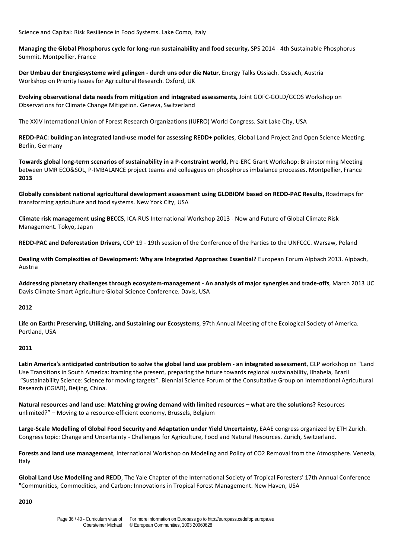Science and Capital: Risk Resilience in Food Systems. Lake Como, Italy

**Managing the Global Phosphorus cycle for long-run sustainability and food security,** SPS 2014 - 4th Sustainable Phosphorus Summit. Montpellier, France

**Der Umbau der Energiesysteme wird gelingen - durch uns oder die Natur**, Energy Talks Ossiach. Ossiach, Austria Workshop on Priority Issues for Agricultural Research. Oxford, UK

**Evolving observational data needs from mitigation and integrated assessments,** Joint GOFC-GOLD/GCOS Workshop on Observations for Climate Change Mitigation. Geneva, Switzerland

The XXIV International Union of Forest Research Organizations (IUFRO) World Congress. Salt Lake City, USA

**REDD-PAC: building an integrated land-use model for assessing REDD+ policies**, Global Land Project 2nd Open Science Meeting. Berlin, Germany

**Towards global long-term scenarios of sustainability in a P-constraint world,** Pre-ERC Grant Workshop: Brainstorming Meeting between UMR ECO&SOL, P-IMBALANCE project teams and colleagues on phosphorus imbalance processes. Montpellier, France **2013**

**Globally consistent national agricultural development assessment using GLOBIOM based on REDD-PAC Results,** Roadmaps for transforming agriculture and food systems. New York City, USA

**Climate risk management using BECCS**, ICA-RUS International Workshop 2013 - Now and Future of Global Climate Risk Management. Tokyo, Japan

**REDD-PAC and Deforestation Drivers,** COP 19 - 19th session of the Conference of the Parties to the UNFCCC. Warsaw, Poland

**Dealing with Complexities of Development: Why are Integrated Approaches Essential?** European Forum Alpbach 2013. Alpbach, Austria

**Addressing planetary challenges through ecosystem-management - An analysis of major synergies and trade-offs**, March 2013 UC Davis Climate-Smart Agriculture Global Science Conference. Davis, USA

# **2012**

**Life on Earth: Preserving, Utilizing, and Sustaining our Ecosystems**, 97th Annual Meeting of the Ecological Society of America. Portland, USA

# **2011**

**Latin America's anticipated contribution to solve the global land use problem - an integrated assessment**, GLP workshop on "Land Use Transitions in South America: framing the present, preparing the future towards regional sustainability, Ilhabela, Brazil "Sustainability Science: Science for moving targets". Biennial Science Forum of the Consultative Group on International Agricultural Research (CGIAR), Beijing, China.

**Natural resources and land use: Matching growing demand with limited resources – what are the solutions?** Resources unlimited?" – Moving to a resource-efficient economy, Brussels, Belgium

**Large-Scale Modelling of Global Food Security and Adaptation under Yield Uncertainty,** EAAE congress organized by ETH Zurich. Congress topic: Change and Uncertainty - Challenges for Agriculture, Food and Natural Resources. Zurich, Switzerland.

**Forests and land use management**, International Workshop on Modeling and Policy of CO2 Removal from the Atmosphere. Venezia, Italy

**Global Land Use Modelling and REDD**, The Yale Chapter of the International Society of Tropical Foresters' 17th Annual Conference "Communities, Commodities, and Carbon: Innovations in Tropical Forest Management. New Haven, USA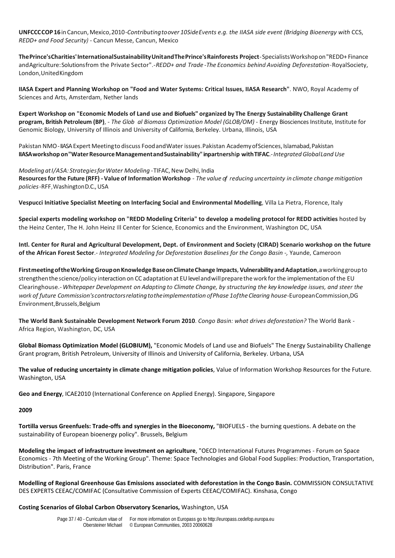**UNFCCCCOP16**in Cancun,Mexico,2010-*Contributingtoover 10SideEvents e.g. the IIASA side event (Bridging Bioenergy with* CCS, *REDD+ and Food Security)* - Cancun Messe, Cancun, Mexico

**ThePrince'sCharities'InternationalSustainabilityUnitandThePrince'sRainforests Project**-SpecialistsWorkshopon"REDD+ Finance andAgriculture:Solutionsfrom the Private Sector".-*REDD+ and Trade* -*The Economics behind Avoiding Deforestation*-RoyalSociety, London,UnitedKingdom

**IIASA Expert and Planning Workshop on "Food and Water Systems: Critical Issues, IIASA Research"**. NWO, Royal Academy of Sciences and Arts, Amsterdam, Nether lands

**Expert Workshop on "Economic Models of Land use and Biofuels" organized by The Energy Sustainability Challenge Grant program, British Petroleum (BP)**, - *The Glob al Biomass Optimization Model (GLOB/OM)* - Energy Biosciences Institute, Institute for Genomic Biology, University of Illinois and University of California, Berkeley. Urbana, Illinois, USA

Pakistan NMO-IIASA Expert Meetingto discuss Food and Water issues. Pakistan Academy of Sciences, Islamabad, Pakistan **IIASAworkshop on"WaterResourceManagementandSustainability"inpartnership withTIFAC**.-*IntegratedGlobalLand Use*

*Modeling* at I/ASA: Strategies for Water Modeling -TIFAC, New Delhi, India Resources for the Future (RFF) - Value of Information Workshop - The value of reducing uncertainty in climate change mitigation *policies*-RFF,WashingtonD.C., USA

**Vespucci Initiative Specialist Meeting on Interfacing Social and Environmental Modelling**, Villa La Pietra, Florence, Italy

**Special experts modeling workshop on "REDD Modeling Criteria" to develop a modeling protocol for REDD activities** hosted by the Heinz Center, The H. John Heinz Ill Center for Science, Economics and the Environment, Washington DC, USA

**Intl. Center for Rural and Agricultural Development, Dept. of Environment and Society (CIRAD) Scenario workshop on the future of the African Forest Sector**.- *Integrated Modeling for Deforestation Baselines for the Congo Basin -,* Yaunde, Cameroon

**FirstmeetingoftheWorking GrouponKnowledgeBaseonClimateChange Impacts, VulnerabilityandAdaptation**,aworkinggroupto strengthen the science/policy interaction on CC adaptation at EU level and will prepare the work for the implementation of the EU Clearinghouse.- *Whitepaper Development on Adapting to Climate Change, by structuring the key knowledge issues, and steer the work of future Commission'scontractorsrelatingtotheimplementation ofPhase 1oftheClearing house*-EuropeanCommission,DG Environment,Brussels,Belgium

**The World Bank Sustainable Development Network Forum 2010**. *Congo Basin: what drives deforestation?* The World Bank - Africa Region, Washington, DC, USA

**Global Biomass Optimization Model (GLOBIUM),** "Economic Models of Land use and Biofuels" The Energy Sustainability Challenge Grant program, British Petroleum, University of Illinois and University of California, Berkeley. Urbana, USA

**The value of reducing uncertainty in climate change mitigation policies**, Value of Information Workshop Resources for the Future. Washington, USA

**Geo and Energy**, ICAE2010 (International Conference on Applied Energy). Singapore, Singapore

#### **2009**

**Tortilla versus Greenfuels: Trade-offs and synergies in the Bioeconomy,** "BIOFUELS - the burning questions. A debate on the sustainability of European bioenergy policy". Brussels, Belgium

**Modeling the impact of infrastructure investment on agriculture**, "OECD International Futures Programmes - Forum on Space Economics - 7th Meeting of the Working Group". Theme: Space Technologies and Global Food Supplies: Production, Transportation, Distribution". Paris, France

**Modelling of Regional Greenhouse Gas Emissions associated with deforestation in the Congo Basin.** COMMISSION CONSULTATIVE DES EXPERTS CEEAC/COMIFAC (Consultative Commission of Experts CEEAC/COMIFAC). Kinshasa, Congo

**Costing Scenarios of Global Carbon Observatory Scenarios,** Washington, USA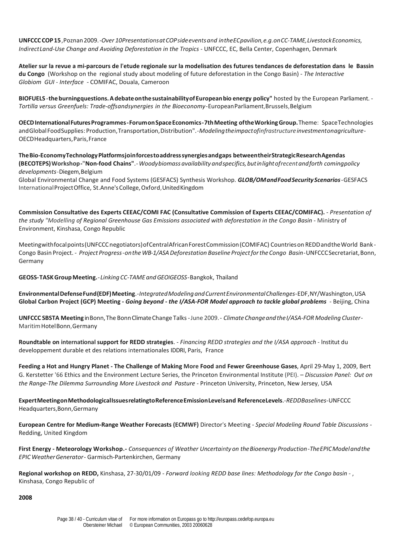**UNFCCCCOP15**,Poznan2009.-*Over 10PresentationsatCOPsideeventsand intheECpavilion,e.g.onCC-TAME,LivestockEconomics, IndirectLand-Use Change and Avoiding Deforestation in the Tropics* - UNFCCC, EC, Bella Center, Copenhagen, Denmark

**Atelier sur la revue a mi-parcours de l'etude regionale sur la modelisation des futures tendances de deforestation dans le Bassin du Congo** (Workshop on the regional study about modeling of future deforestation in the Congo Basin) - *The Interactive Globiom GUI* - *Interface* - COMIFAC, Douala, Cameroon

**BIOFUELS -the burningquestions.AdebateonthesustainabilityofEuropeanbio energy policy"** hosted by the European Parliament. - *Tortilla versus Greenfuels: Trade-offsandsynergies in the Bioeconomy-*EuropeanParliament,Brussels,Belgium

**OECDInternationalFuturesProgrammes-ForumonSpaceEconomics-7thMeeting oftheWorkingGroup.**Theme: SpaceTechnologies andGlobalFoodSupplies: Production,Transportation,Distribution".-*Modelingtheimpactofinfrastructureinvestmentonagriculture*-OECDHeadquarters,Paris,France

**TheBio-EconomyTechnologyPlatformsjoinforcestoaddresssynergiesandgaps betweentheirStrategicResearchAgendas (BECOTEPS)Workshop-"Non-food Chains"**.-*Woodybiomass availability andspecifics,butinlightofrecentandforth comingpolicy developments*-Diegem,Belgium

Global Environmental Change and Food Systems (GESFACS) Synthesis Workshop. *GLOB/OMandFoodSecurityScenarios*-GESFACS InternationalProjectOffice, St.Anne'sCollege,Oxford,UnitedKingdom

**Commission Consultative des Experts CEEAC/COMI FAC (Consultative Commission of Experts CEEAC/COMIFAC).** - *Presentation of*  the study "Modelling of Regional Greenhouse Gas Emissions associated with deforestation in the Congo Basin - Ministry of Environment, Kinshasa, Congo Republic

Meetingwithfocal points(UNFCCC negotiators) of Central African Forest Commission (COMIFAC) Countries on REDD and the World Bank -Congo Basin Project. - *Project Progress*-*onthe WB-1/ASADeforestation Baseline ProjectfortheCongo Basin*-UNFCCCSecretariat,Bonn, Germany

**GEOSS-TASKGroupMeeting.**-*Linking CC-TAMEandGEOIGEOSS-*Bangkok, Thailand

**EnvironmentalDefenseFund(EDF)Meeting**.-*IntegratedModelingandCurrentEnvironmentalChallenges-*EDF,NY/Washington,USA **Global Carbon Project (GCP) Meeting -** *Going beyond* **-** *the I/ASA-FOR Model approach to tackle global problems* - Beijing, China

**UNFCCC SBSTA Meeting** inBonn,The BonnClimateChange Talks-June 2009.- *ClimateChangeandtheI/ASA-FOR Modeling Cluster-*MaritimHotelBonn,Germany

**Roundtable on international support for REDD strategies**. - *Financing REDD strategies and the I/ASA approach* - lnstitut du developpement durable et des relations internationales IDDRI, Paris, France

**Feeding a Hot and Hungry Planet - The Challenge of Making More Food and Fewer Greenhouse Gases**, April 29-May 1, 2009, Bert G. Kerstetter '66 Ethics and the Environment Lecture Series, the Princeton Environmental Institute (PEI). – *Discussion Panel: Out on the Range-The Dilemma Surrounding More Livestock and Pasture* - Princeton University, Princeton, New Jersey, USA

**ExpertMeetingonMethodologicalIssuesrelatingtoReferenceEmissionLevelsand ReferenceLevels**.-*REDDBaselines*-UNFCCC Headquarters,Bonn,Germany

**European Centre for Medium-Range Weather Forecasts (ECMWF)** Director's Meeting - *Special Modeling Round Table Discussions* - Redding, United Kingdom

**First Energy - Meteorology Workshop.-** *Consequences of Weather Uncertainty on theBioenergy Production*-*TheEPICModelandthe EPIC WeatherGenerator*- Garmisch-Partenkirchen, Germany

**Regional workshop on REDD,** Kinshasa, 27-30/01/09 - *Forward looking REDD base lines: Methodology for the Congo basin* - , Kinshasa, Congo Republic of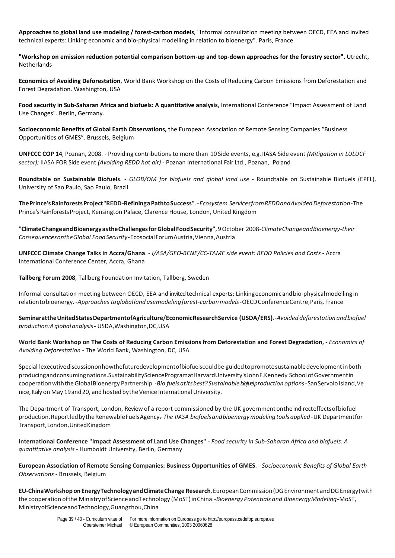**Approaches to global land use modeling / forest-carbon models**, "Informal consultation meeting between OECD, EEA and invited technical experts: Linking economic and bio-physical modelling in relation to bioenergy". Paris, France

**"Workshop on emission reduction potential comparison bottom-up and top-down approaches for the forestry sector".** Utrecht, **Netherlands** 

**Economics of Avoiding Deforestation**, World Bank Workshop on the Costs of Reducing Carbon Emissions from Deforestation and Forest Degradation. Washington, USA

**Food security in Sub-Saharan Africa and biofuels: A quantitative analysis**, International Conference "Impact Assessment of Land Use Changes". Berlin, Germany.

**Socioeconomic Benefits of Global Earth Observations,** the European Association of Remote Sensing Companies "Business Opportunities of GMES". Brussels, Belgium

**UNFCCC COP 14**, Poznan, 2008. - Providing contributions to more than 10 Side events, e.g. IIASA Side event *(Mitigation in LULUCF sector);* IIASA FOR Side event *(Avoiding REDD hot air)* - Poznan International Fair Ltd., Poznan, Poland

**Roundtable on Sustainable Biofuels**. - *GLOB/OM for biofuels and global land use* - Roundtable on Sustainable Biofuels (EPFL), University of Sao Paulo, Sao Paulo, Brazil

**ThePrince'sRainforestsProject"REDD-RefiningaPathtoSuccess"**.-*Ecosystem ServicesfromREDDandAvoidedDeforestation*-The Prince'sRainforestsProject, Kensington Palace, Clarence House, London, United Kingdom

**"ClimateChangeandBioenergyastheChallengesforGlobalFoodSecurity"**,9 October 2008-*ClimateChangeandBioenergy-their ConsequencesontheGlobal FoodSecurity*-EcosocialForumAustria,Vienna, Austria

**UNFCCC Climate Change Talks in Accra/Ghana**. - *I/ASA/GEO-BENE/CC-TAME side event: REDD Policies and Costs* - Accra International Conference Center, Accra, Ghana

**Tallberg Forum 2008**, Tallberg Foundation Invitation, Tallberg, Sweden

Informal consultation meeting between OECD, EEA and invited technical experts: Linkingeconomicandbio-physicalmodelling in relationtobioenergy.-*Approaches togloballandusemodeling forest-carbonmodels*-OECDConferenceCentre,Paris, France

**SeminarattheUnitedStatesDepartmentofAgriculture/EconomicResearchService (USDA/ERS)**.*-Avoided deforestation andbiofuel production:Aglobalanalysis*- USDA,Washington,DC,USA

**World Bank Workshop on The Costs of Reducing Carbon Emissions from Deforestation and Forest Degradation, -** *Economics of Avoiding Deforestation* - The World Bank, Washington, DC, USA

Special lexecutivediscussiononhowthefuturedevelopmentofbiofuelscouldbe guidedtopromotesustainabledevelopmentinboth producingandconsumingnations.SustainabilityScienceProgramatHarvardUniversity'sJohnF.Kennedy School ofGovernmentin cooperationwiththeGlobalBioenergy Partnership.-*Bio fuelsatitsbest? Sustainablebiofuel production options*-SanServolo Island,Ve nice, Italy on May 19 and 20, and hosted by the Venice International University.

The Department of Transport, London, Review of a report commissioned by the UK governmentontheindirecteffectsofbiofuel production.ReportledbytheRenewableFuelsAgency. - *The IIASA biofuelsandbioenergymodelingtoolsapplied-*UK Departmentfor Transport,London,UnitedKingdom

**International Conference "Impact Assessment of Land Use Changes"** - *Food security in Sub-Saharan Africa and biofuels: A quantitative analysis* - Humboldt University, Berlin, Germany

**European Association of Remote Sensing Companies: Business Opportunities of GMES**. - *Socioeconomic Benefits of Global Earth Observations* - Brussels, Belgium

**EU-ChinaWorkshop onEnergyTechnologyandClimateChange Research**.EuropeanCommission(DGEnvironment andDGEnergy)with thecooperation ofthe MinistryofScienceandTechnology (MoST)inChina.-*Bioenergy Potentials and BioenergyModeling-*MoST, MinistryofScienceandTechnology,Guangzhou,China